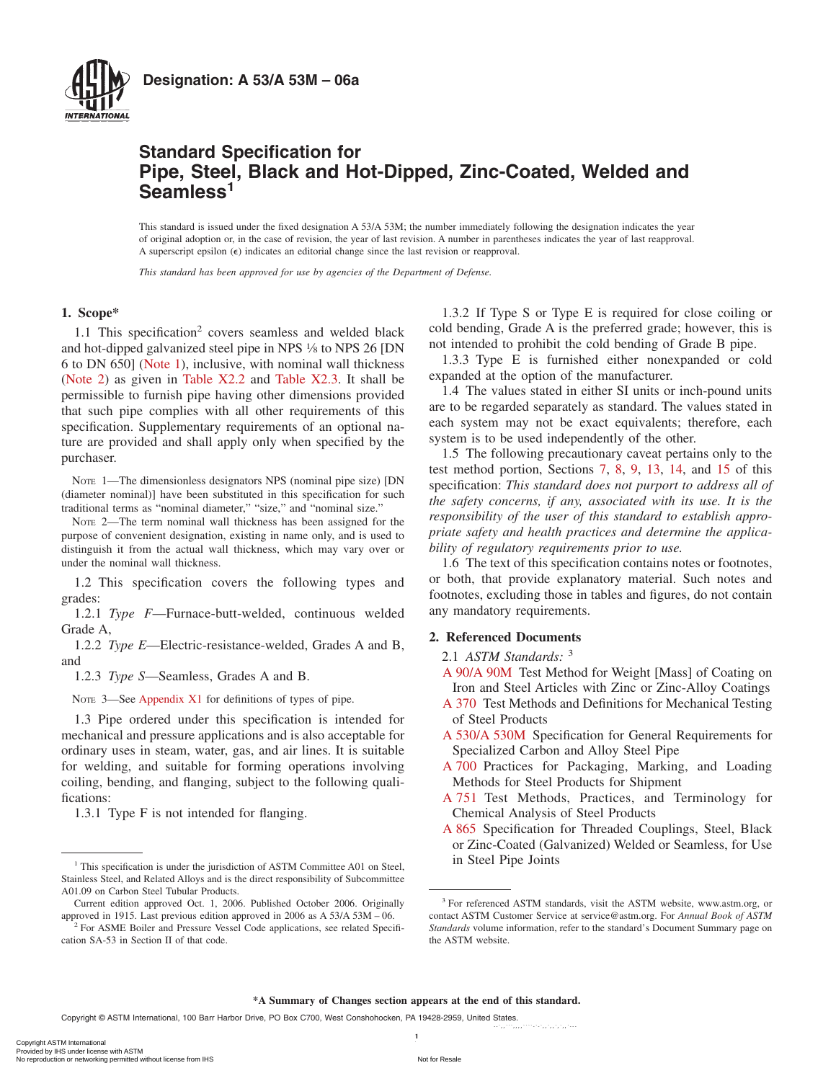

## **Standard Specification for Pipe, Steel, Black and Hot-Dipped, Zinc-Coated, Welded and Seamless<sup>1</sup>**

This standard is issued under the fixed designation A 53/A 53M; the number immediately following the designation indicates the year of original adoption or, in the case of revision, the year of last revision. A number in parentheses indicates the year of last reapproval. A superscript epsilon  $(\epsilon)$  indicates an editorial change since the last revision or reapproval.

*This standard has been approved for use by agencies of the Department of Defense.*

#### **1. Scope\***

1.1 This specification<sup>2</sup> covers seamless and welded black and hot-dipped galvanized steel pipe in NPS 1⁄8 to NPS 26 [DN 6 to DN 650] [\(Note 1\)](#page-0-0), inclusive, with nominal wall thickness [\(Note 2\)](#page-0-1) as given in [Table X2.2](#page-11-0) and [Table X2.3.](#page-15-0) It shall be permissible to furnish pipe having other dimensions provided that such pipe complies with all other requirements of this specification. Supplementary requirements of an optional nature are provided and shall apply only when specified by the purchaser.

NOTE 1—The dimensionless designators NPS (nominal pipe size) [DN (diameter nominal)] have been substituted in this specification for such traditional terms as "nominal diameter," "size," and "nominal size."

NOTE 2—The term nominal wall thickness has been assigned for the purpose of convenient designation, existing in name only, and is used to distinguish it from the actual wall thickness, which may vary over or under the nominal wall thickness.

1.2 This specification covers the following types and grades:

1.2.1 *Type F*—Furnace-butt-welded, continuous welded Grade A,

1.2.2 *Type E*—Electric-resistance-welded, Grades A and B, and

1.2.3 *Type S*—Seamless, Grades A and B.

NOTE 3—See [Appendix X1](#page-9-0) for definitions of types of pipe.

1.3 Pipe ordered under this specification is intended for mechanical and pressure applications and is also acceptable for ordinary uses in steam, water, gas, and air lines. It is suitable for welding, and suitable for forming operations involving coiling, bending, and flanging, subject to the following qualifications:

1.3.1 Type F is not intended for flanging.

<span id="page-0-9"></span>1.3.2 If Type S or Type E is required for close coiling or cold bending, Grade A is the preferred grade; however, this is not intended to prohibit the cold bending of Grade B pipe.

1.3.3 Type E is furnished either nonexpanded or cold expanded at the option of the manufacturer.

1.4 The values stated in either SI units or inch-pound units are to be regarded separately as standard. The values stated in each system may not be exact equivalents; therefore, each system is to be used independently of the other.

<span id="page-0-1"></span><span id="page-0-0"></span>1.5 The following precautionary caveat pertains only to the test method portion, Sections [7,](#page-2-0) [8,](#page-3-0) [9,](#page-3-1) 13, 14, and [15](#page-6-0) of this specification: *This standard does not purport to address all of the safety concerns, if any, associated with its use. It is the responsibility of the user of this standard to establish appropriate safety and health practices and determine the applicability of regulatory requirements prior to use.*

1.6 The text of this specification contains notes or footnotes, or both, that provide explanatory material. Such notes and footnotes, excluding those in tables and figures, do not contain any mandatory requirements.

#### <span id="page-0-7"></span>**2. Referenced Documents**

#### <span id="page-0-2"></span>2.1 *ASTM Standards:* <sup>3</sup>

- [A 90/A 90M](#page-7-0) Test Method for Weight [Mass] of Coating on Iron and Steel Articles with Zinc or Zinc-Alloy Coatings
- <span id="page-0-6"></span>[A 370](#page-6-1) Test Methods and Definitions for Mechanical Testing of Steel Products
- <span id="page-0-5"></span>[A 530/A 530M](#page-6-2) Specification for General Requirements for Specialized Carbon and Alloy Steel Pipe
- <span id="page-0-8"></span>[A 700](#page-8-0) Practices for Packaging, Marking, and Loading Methods for Steel Products for Shipment
- <span id="page-0-3"></span>[A 751](#page-2-1) Test Methods, Practices, and Terminology for Chemical Analysis of Steel Products
- <span id="page-0-4"></span>[A 865](#page-5-0) Specification for Threaded Couplings, Steel, Black or Zinc-Coated (Galvanized) Welded or Seamless, for Use

**\*A Summary of Changes section appears at the end of this standard.**

 $\frac{1}{2}$ 

<sup>&</sup>lt;sup>1</sup> This specification is under the jurisdiction of ASTM Committee A01 on Steel, in Steel Pipe Joints Stainless Steel, and Related Alloys and is the direct responsibility of Subcommittee A01.09 on Carbon Steel Tubular Products.

Current edition approved Oct. 1, 2006. Published October 2006. Originally approved in 1915. Last previous edition approved in 2006 as A 53/A 53M – 06.

<sup>&</sup>lt;sup>2</sup> For ASME Boiler and Pressure Vessel Code applications, see related Specification SA-53 in Section II of that code.

<sup>3</sup> For referenced ASTM standards, visit the ASTM website, www.astm.org, or contact ASTM Customer Service at service@astm.org. For *Annual Book of ASTM Standards* volume information, refer to the standard's Document Summary page on the ASTM website.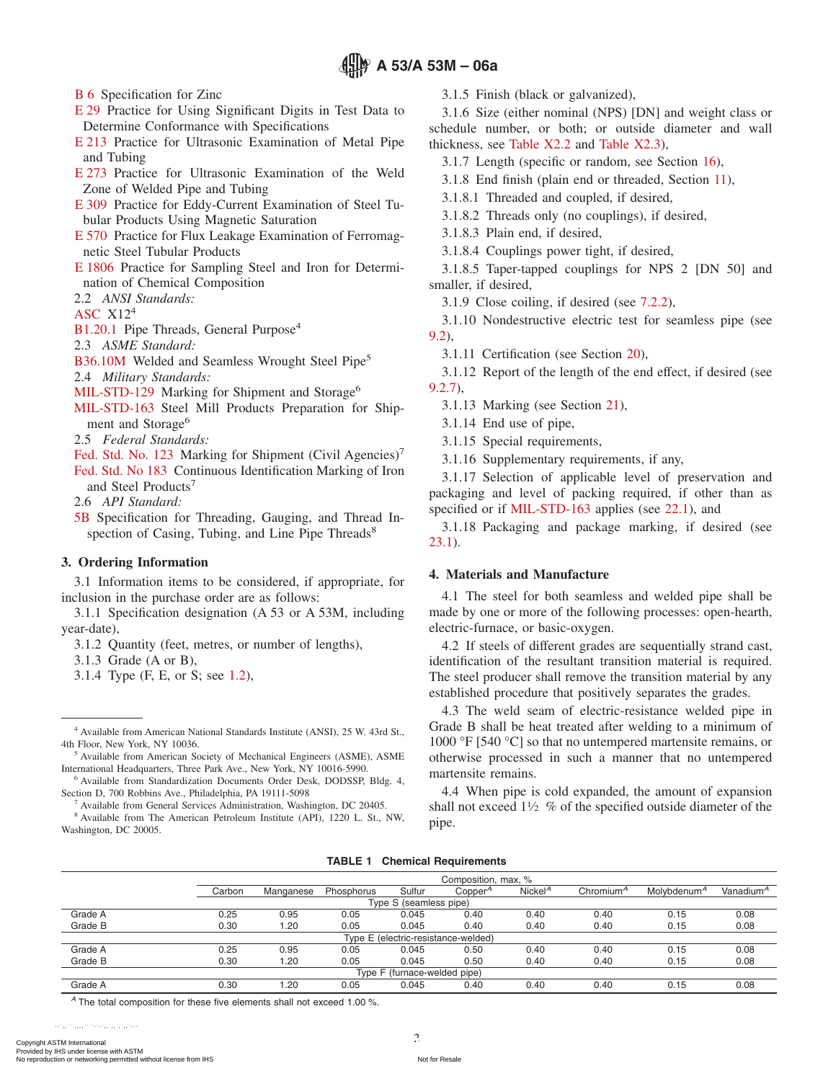[B 6](#page-7-1) Specification for Zinc

- [E 29](#page-16-0) Practice for Using Significant Digits in Test Data to Determine Conformance with Specifications
- [E 213](#page-3-2) Practice for Ultrasonic Examination of Metal Pipe and Tubing
- [E 273](#page-3-3) Practice for Ultrasonic Examination of the Weld Zone of Welded Pipe and Tubing
- [E 309](#page-3-3) Practice for Eddy-Current Examination of Steel Tubular Products Using Magnetic Saturation
- [E 570](#page-3-3) Practice for Flux Leakage Examination of Ferromagnetic Steel Tubular Products
- [E 1806](#page-2-2) Practice for Sampling Steel and Iron for Determination of Chemical Composition

2.2 *ANSI Standards:*

[ASC](#page-7-2) X124

[B1.20.1](#page-5-1) Pipe Threads, General Purpose<sup>4</sup>

2.3 *ASME Standard:*

[B36.10M](#page-5-2) Welded and Seamless Wrought Steel Pipe<sup>5</sup>

2.4 *Military Standards:*

- [MIL-STD-129](#page-8-1) Marking for Shipment and Storage<sup>6</sup>
- [MIL-STD-163](#page-1-0) Steel Mill Products Preparation for Shipment and Storage<sup>6</sup>

2.5 *Federal Standards:*

- [Fed. Std. No. 123](#page-8-2) Marking for Shipment (Civil Agencies)<sup>7</sup>
- [Fed. Std. No 183](#page-8-1) Continuous Identification Marking of Iron and Steel Products<sup>7</sup>

2.6 *API Standard:*

[5B](#page-5-3) Specification for Threading, Gauging, and Thread Inspection of Casing, Tubing, and Line Pipe Threads<sup>8</sup>

#### **3. Ordering Information**

3.1 Information items to be considered, if appropriate, for inclusion in the purchase order are as follows:

3.1.1 Specification designation (A 53 or A 53M, including year-date),

3.1.2 Quantity (feet, metres, or number of lengths),

3.1.3 Grade (A or B),

3.1.4 Type (F, E, or S; see [1.2\)](#page-0-2),

<sup>5</sup> Available from American Society of Mechanical Engineers (ASME), ASME International Headquarters, Three Park Ave., New York, NY 10016-5990.

<sup>6</sup> Available from Standardization Documents Order Desk, DODSSP, Bldg. 4, Section D, 700 Robbins Ave., Philadelphia, PA 19111-5098

<sup>7</sup> Available from General Services Administration, Washington, DC 20405.

<sup>8</sup> Available from The American Petroleum Institute (API), 1220 L. St., NW, Washington, DC 20005.

<span id="page-1-14"></span><span id="page-1-9"></span>3.1.5 Finish (black or galvanized),

3.1.6 Size (either nominal (NPS) [DN] and weight class or schedule number, or both; or outside diameter and wall thickness, see [Table X2.2](#page-11-0) and [Table X2.3\)](#page-15-0),

<span id="page-1-5"></span>3.1.7 Length (specific or random, see Section [16\)](#page-6-3),

<span id="page-1-16"></span>3.1.8 End finish (plain end or threaded, Section [11\)](#page-5-4),

<span id="page-1-3"></span>3.1.8.1 Threaded and coupled, if desired,

3.1.8.2 Threads only (no couplings), if desired,

<span id="page-1-4"></span><span id="page-1-2"></span>3.1.8.3 Plain end, if desired,

3.1.8.4 Couplings power tight, if desired,

3.1.8.5 Taper-tapped couplings for NPS 2 [DN 50] and smaller, if desired,

<span id="page-1-10"></span><span id="page-1-7"></span>3.1.9 Close coiling, if desired (see [7.2.2\)](#page-2-3),

3.1.10 Nondestructive electric test for seamless pipe (see [9.2\)](#page-3-4),

<span id="page-1-6"></span>3.1.11 Certification (see Section 20),

3.1.12 Report of the length of the end effect, if desired (see [9.2.7\)](#page-5-5),

<span id="page-1-15"></span><span id="page-1-13"></span>3.1.13 Marking (see Section 21),

<span id="page-1-11"></span>3.1.14 End use of pipe,

<span id="page-1-12"></span>3.1.15 Special requirements,

<span id="page-1-8"></span>3.1.16 Supplementary requirements, if any,

<span id="page-1-0"></span>3.1.17 Selection of applicable level of preservation and packaging and level of packing required, if other than as specified or if [MIL-STD-163](#page-8-3) applies (see [22.1\)](#page-8-4), and

3.1.18 Packaging and package marking, if desired (see [23.1\)](#page-8-5).

#### **4. Materials and Manufacture**

4.1 The steel for both seamless and welded pipe shall be made by one or more of the following processes: open-hearth, electric-furnace, or basic-oxygen.

4.2 If steels of different grades are sequentially strand cast, identification of the resultant transition material is required. The steel producer shall remove the transition material by any established procedure that positively separates the grades.

4.3 The weld seam of electric-resistance welded pipe in Grade B shall be heat treated after welding to a minimum of 1000 °F [540 °C] so that no untempered martensite remains, or otherwise processed in such a manner that no untempered martensite remains.

<span id="page-1-1"></span>4.4 When pipe is cold expanded, the amount of expansion shall not exceed  $1\frac{1}{2}$  % of the specified outside diameter of the pipe.

|  |  | <b>TABLE 1 Chemical Requirements</b> |
|--|--|--------------------------------------|
|--|--|--------------------------------------|

|         |                              | Composition, max, % |            |                        |                                     |                     |                       |                         |                       |
|---------|------------------------------|---------------------|------------|------------------------|-------------------------------------|---------------------|-----------------------|-------------------------|-----------------------|
|         | Carbon                       | Manganese           | Phosphorus | Sulfur                 | Copper <sup>"</sup>                 | Nickel <sup>A</sup> | Chromium <sup>4</sup> | Molybdenum <sup>A</sup> | Vanadium <sup>A</sup> |
|         |                              |                     |            | Type S (seamless pipe) |                                     |                     |                       |                         |                       |
| Grade A | 0.25                         | 0.95                | 0.05       | 0.045                  | 0.40                                | 0.40                | 0.40                  | 0.15                    | 0.08                  |
| Grade B | 0.30                         | 1.20                | 0.05       | 0.045                  | 0.40                                | 0.40                | 0.40                  | 0.15                    | 0.08                  |
|         |                              |                     |            |                        | Type E (electric-resistance-welded) |                     |                       |                         |                       |
| Grade A | 0.25                         | 0.95                | 0.05       | 0.045                  | 0.50                                | 0.40                | 0.40                  | 0.15                    | 0.08                  |
| Grade B | 0.30                         | 1.20                | 0.05       | 0.045                  | 0.50                                | 0.40                | 0.40                  | 0.15                    | 0.08                  |
|         | Type F (furnace-welded pipe) |                     |            |                        |                                     |                     |                       |                         |                       |
| Grade A | 0.30                         | .20                 | 0.05       | 0.045                  | 0.40                                | 0.40                | 0.40                  | 0.15                    | 0.08                  |

*<sup>A</sup>* The total composition for these five elements shall not exceed 1.00 %.

<sup>4</sup> Available from American National Standards Institute (ANSI), 25 W. 43rd St., 4th Floor, New York, NY 10036.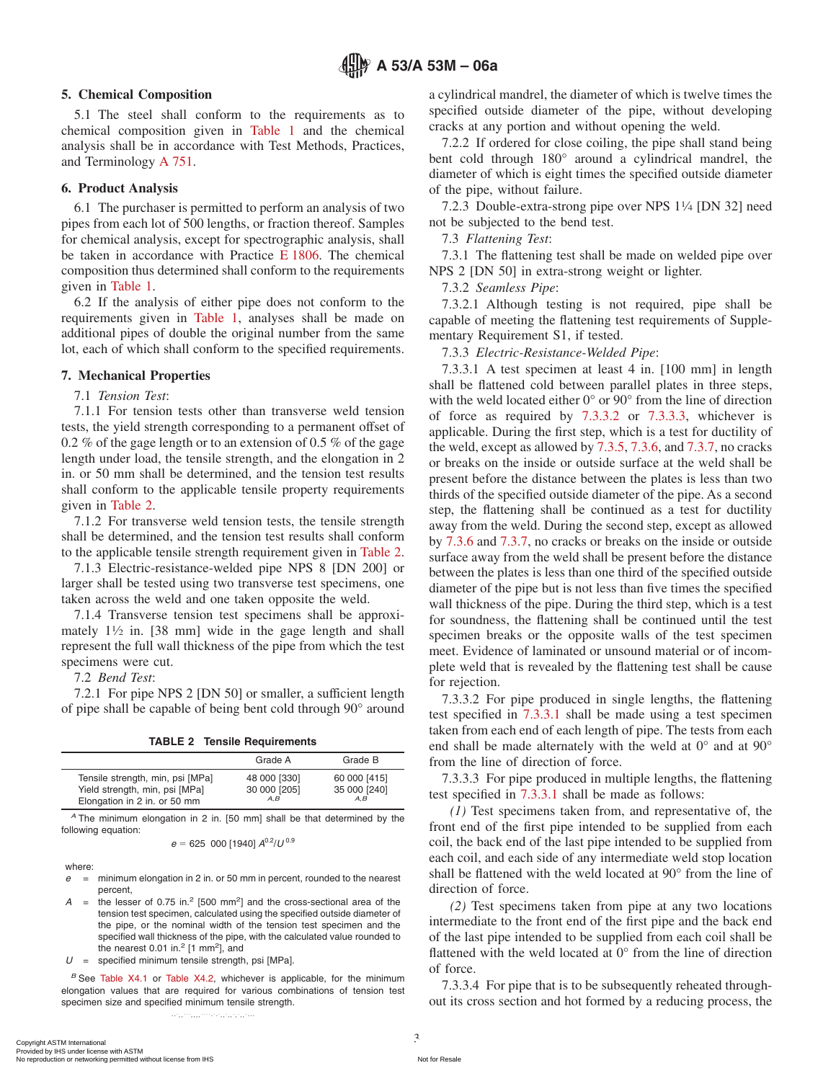#### **5. Chemical Composition**

5.1 The steel shall conform to the requirements as to chemical composition given in [Table 1](#page-1-1) and the chemical analysis shall be in accordance with Test Methods, Practices, and Terminology [A 751.](#page-0-3)

#### **6. Product Analysis**

6.1 The purchaser is permitted to perform an analysis of two pipes from each lot of 500 lengths, or fraction thereof. Samples for chemical analysis, except for spectrographic analysis, shall be taken in accordance with Practice [E 1806.](#page-1-2) The chemical composition thus determined shall conform to the requirements given in [Table 1.](#page-1-1)

6.2 If the analysis of either pipe does not conform to the requirements given in [Table 1,](#page-1-1) analyses shall be made on additional pipes of double the original number from the same lot, each of which shall conform to the specified requirements.

#### **7. Mechanical Properties**

7.1 *Tension Test*:

7.1.1 For tension tests other than transverse weld tension tests, the yield strength corresponding to a permanent offset of 0.2 % of the gage length or to an extension of 0.5 % of the gage length under load, the tensile strength, and the elongation in 2 in. or 50 mm shall be determined, and the tension test results shall conform to the applicable tensile property requirements given in [Table 2.](#page-2-4)

7.1.2 For transverse weld tension tests, the tensile strength shall be determined, and the tension test results shall conform to the applicable tensile strength requirement given in [Table 2.](#page-2-4)

7.1.3 Electric-resistance-welded pipe NPS 8 [DN 200] or larger shall be tested using two transverse test specimens, one taken across the weld and one taken opposite the weld.

7.1.4 Transverse tension test specimens shall be approximately  $1\frac{1}{2}$  in. [38 mm] wide in the gage length and shall represent the full wall thickness of the pipe from which the test specimens were cut.

7.2 *Bend Test*:

7.2.1 For pipe NPS 2 [DN 50] or smaller, a sufficient length of pipe shall be capable of being bent cold through 90° around

**TABLE 2 Tensile Requirements**

|                                  | Grade A      | Grade B      |
|----------------------------------|--------------|--------------|
| Tensile strength, min, psi [MPa] | 48 000 [330] | 60 000 [415] |
| Yield strength, min, psi [MPa]   | 30 000 [205] | 35 000 [240] |
| Elongation in 2 in. or 50 mm     | A.B          | A.B          |

*<sup>A</sup>* The minimum elongation in 2 in. [50 mm] shall be that determined by the following equation:

$$
e = 625\ 000\ [1940]\ A^{0.2}/U^{0.9}
$$

where:

- *e* = minimum elongation in 2 in. or 50 mm in percent, rounded to the nearest percent,
- $A =$  the lesser of 0.75 in.<sup>2</sup> [500 mm<sup>2</sup>] and the cross-sectional area of the tension test specimen, calculated using the specified outside diameter of the pipe, or the nominal width of the tension test specimen and the specified wall thickness of the pipe, with the calculated value rounded to the nearest  $0.01$  in.<sup>2</sup> [1 mm<sup>2</sup>], and

*U* = specified minimum tensile strength, psi [MPa].

*<sup>B</sup>* See [Table X4.1](#page-18-0) or [Table X4.2,](#page-20-0) whichever is applicable, for the minimum elongation values that are required for various combinations of tension test specimen size and specified minimum tensile strength.

a cylindrical mandrel, the diameter of which is twelve times the specified outside diameter of the pipe, without developing cracks at any portion and without opening the weld.

<span id="page-2-3"></span>7.2.2 If ordered for close coiling, the pipe shall stand being bent cold through 180° around a cylindrical mandrel, the diameter of which is eight times the specified outside diameter of the pipe, without failure.

7.2.3 Double-extra-strong pipe over NPS 11⁄4 [DN 32] need not be subjected to the bend test.

<span id="page-2-2"></span><span id="page-2-1"></span>7.3 *Flattening Test*:

<span id="page-2-10"></span><span id="page-2-9"></span>7.3.1 The flattening test shall be made on welded pipe over NPS 2 [DN 50] in extra-strong weight or lighter.

7.3.2 *Seamless Pipe*:

7.3.2.1 Although testing is not required, pipe shall be capable of meeting the flattening test requirements of Supplementary Requirement S1, if tested.

<span id="page-2-8"></span><span id="page-2-0"></span>7.3.3 *Electric-Resistance-Welded Pipe*:

<span id="page-2-7"></span>7.3.3.1 A test specimen at least 4 in. [100 mm] in length shall be flattened cold between parallel plates in three steps, with the weld located either 0° or 90° from the line of direction of force as required by [7.3.3.2](#page-2-5) or [7.3.3.3,](#page-2-6) whichever is applicable. During the first step, which is a test for ductility of the weld, except as allowed by [7.3.5,](#page-3-5) [7.3.6,](#page-3-6) and [7.3.7,](#page-3-7) no cracks or breaks on the inside or outside surface at the weld shall be present before the distance between the plates is less than two thirds of the specified outside diameter of the pipe. As a second step, the flattening shall be continued as a test for ductility away from the weld. During the second step, except as allowed by [7.3.6](#page-3-6) and [7.3.7,](#page-3-7) no cracks or breaks on the inside or outside surface away from the weld shall be present before the distance between the plates is less than one third of the specified outside diameter of the pipe but is not less than five times the specified wall thickness of the pipe. During the third step, which is a test for soundness, the flattening shall be continued until the test specimen breaks or the opposite walls of the test specimen meet. Evidence of laminated or unsound material or of incomplete weld that is revealed by the flattening test shall be cause for rejection.

<span id="page-2-5"></span>7.3.3.2 For pipe produced in single lengths, the flattening test specified in [7.3.3.1](#page-2-7) shall be made using a test specimen taken from each end of each length of pipe. The tests from each end shall be made alternately with the weld at 0° and at 90° from the line of direction of force.

<span id="page-2-6"></span><span id="page-2-4"></span>7.3.3.3 For pipe produced in multiple lengths, the flattening test specified in [7.3.3.1](#page-2-7) shall be made as follows:

*(1)* Test specimens taken from, and representative of, the front end of the first pipe intended to be supplied from each coil, the back end of the last pipe intended to be supplied from each coil, and each side of any intermediate weld stop location shall be flattened with the weld located at 90° from the line of direction of force.

*(2)* Test specimens taken from pipe at any two locations intermediate to the front end of the first pipe and the back end of the last pipe intended to be supplied from each coil shall be flattened with the weld located at 0° from the line of direction of force.

7.3.3.4 For pipe that is to be subsequently reheated throughout its cross section and hot formed by a reducing process, the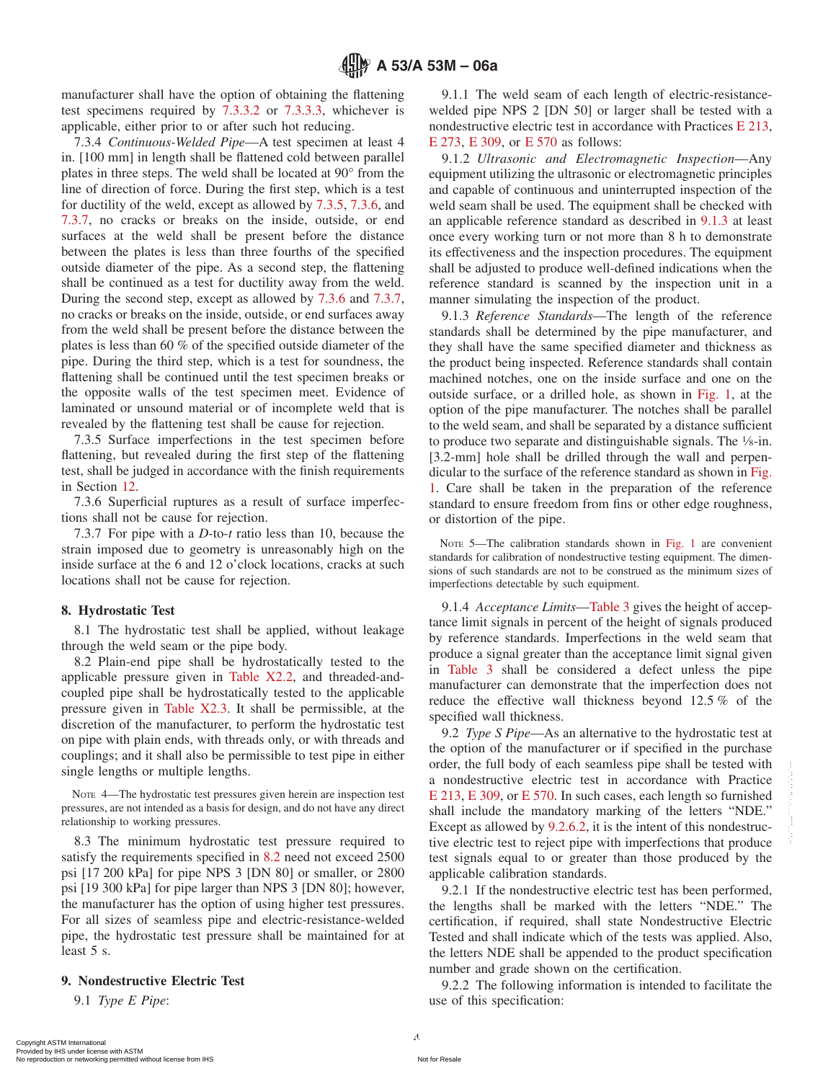manufacturer shall have the option of obtaining the flattening test specimens required by [7.3.3.2](#page-2-5) or [7.3.3.3,](#page-2-6) whichever is applicable, either prior to or after such hot reducing.

7.3.4 *Continuous-Welded Pipe*—A test specimen at least 4 in. [100 mm] in length shall be flattened cold between parallel plates in three steps. The weld shall be located at 90° from the line of direction of force. During the first step, which is a test for ductility of the weld, except as allowed by [7.3.5,](#page-3-5) [7.3.6,](#page-3-6) and [7.3.7,](#page-3-7) no cracks or breaks on the inside, outside, or end surfaces at the weld shall be present before the distance between the plates is less than three fourths of the specified outside diameter of the pipe. As a second step, the flattening shall be continued as a test for ductility away from the weld. During the second step, except as allowed by [7.3.6](#page-3-6) and [7.3.7,](#page-3-7) no cracks or breaks on the inside, outside, or end surfaces away from the weld shall be present before the distance between the plates is less than 60 % of the specified outside diameter of the pipe. During the third step, which is a test for soundness, the flattening shall be continued until the test specimen breaks or the opposite walls of the test specimen meet. Evidence of laminated or unsound material or of incomplete weld that is revealed by the flattening test shall be cause for rejection.

7.3.5 Surface imperfections in the test specimen before flattening, but revealed during the first step of the flattening test, shall be judged in accordance with the finish requirements in Section [12.](#page-5-6)

7.3.6 Superficial ruptures as a result of surface imperfections shall not be cause for rejection.

7.3.7 For pipe with a *D*-to-*t* ratio less than 10, because the strain imposed due to geometry is unreasonably high on the inside surface at the 6 and 12 o'clock locations, cracks at such locations shall not be cause for rejection.

#### **8. Hydrostatic Test**

8.1 The hydrostatic test shall be applied, without leakage through the weld seam or the pipe body.

8.2 Plain-end pipe shall be hydrostatically tested to the applicable pressure given in [Table X2.2,](#page-11-0) and threaded-andcoupled pipe shall be hydrostatically tested to the applicable pressure given in [Table X2.3.](#page-15-0) It shall be permissible, at the discretion of the manufacturer, to perform the hydrostatic test on pipe with plain ends, with threads only, or with threads and couplings; and it shall also be permissible to test pipe in either single lengths or multiple lengths.

NOTE 4—The hydrostatic test pressures given herein are inspection test pressures, are not intended as a basis for design, and do not have any direct relationship to working pressures.

8.3 The minimum hydrostatic test pressure required to satisfy the requirements specified in [8.2](#page-3-8) need not exceed 2500 psi [17 200 kPa] for pipe NPS 3 [DN 80] or smaller, or 2800 psi [19 300 kPa] for pipe larger than NPS 3 [DN 80]; however, the manufacturer has the option of using higher test pressures. For all sizes of seamless pipe and electric-resistance-welded pipe, the hydrostatic test pressure shall be maintained for at least 5 s.

#### **9. Nondestructive Electric Test**

9.1 *Type E Pipe*:

<span id="page-3-11"></span><span id="page-3-2"></span>9.1.1 The weld seam of each length of electric-resistancewelded pipe NPS 2 [DN 50] or larger shall be tested with a nondestructive electric test in accordance with Practices [E 213,](#page-3-9) [E 273,](#page-21-0) [E 309,](#page-3-9) or [E 570](#page-3-9) as follows:

<span id="page-3-3"></span>9.1.2 *Ultrasonic and Electromagnetic Inspection*—Any equipment utilizing the ultrasonic or electromagnetic principles and capable of continuous and uninterrupted inspection of the weld seam shall be used. The equipment shall be checked with an applicable reference standard as described in [9.1.3](#page-3-10) at least once every working turn or not more than 8 h to demonstrate its effectiveness and the inspection procedures. The equipment shall be adjusted to produce well-defined indications when the reference standard is scanned by the inspection unit in a manner simulating the inspection of the product.

<span id="page-3-10"></span>9.1.3 *Reference Standards*—The length of the reference standards shall be determined by the pipe manufacturer, and they shall have the same specified diameter and thickness as the product being inspected. Reference standards shall contain machined notches, one on the inside surface and one on the outside surface, or a drilled hole, as shown in [Fig. 1,](#page-4-0) at the option of the pipe manufacturer. The notches shall be parallel to the weld seam, and shall be separated by a distance sufficient to produce two separate and distinguishable signals. The 1⁄8-in. [3.2-mm] hole shall be drilled through the wall and perpendicular to the surface of the reference standard as shown in [Fig.](#page-4-0) [1.](#page-4-0) Care shall be taken in the preparation of the reference standard to ensure freedom from fins or other edge roughness, or distortion of the pipe.

<span id="page-3-7"></span><span id="page-3-6"></span><span id="page-3-5"></span>NOTE 5—The calibration standards shown in [Fig. 1](#page-4-0) are convenient standards for calibration of nondestructive testing equipment. The dimensions of such standards are not to be construed as the minimum sizes of imperfections detectable by such equipment.

<span id="page-3-8"></span><span id="page-3-0"></span>9.1.4 *Acceptance Limits*[—Table 3](#page-4-1) gives the height of acceptance limit signals in percent of the height of signals produced by reference standards. Imperfections in the weld seam that produce a signal greater than the acceptance limit signal given in [Table 3](#page-4-1) shall be considered a defect unless the pipe manufacturer can demonstrate that the imperfection does not reduce the effective wall thickness beyond 12.5 % of the specified wall thickness.

<span id="page-3-9"></span><span id="page-3-4"></span>9.2 *Type S Pipe*—As an alternative to the hydrostatic test at the option of the manufacturer or if specified in the purchase order, the full body of each seamless pipe shall be tested with a nondestructive electric test in accordance with Practice [E 213,](#page-4-2) [E 309,](#page-1-3) or [E 570.](#page-1-4) In such cases, each length so furnished shall include the mandatory marking of the letters "NDE." Except as allowed by [9.2.6.2,](#page-5-7) it is the intent of this nondestructive electric test to reject pipe with imperfections that produce test signals equal to or greater than those produced by the applicable calibration standards.

9.2.1 If the nondestructive electric test has been performed, the lengths shall be marked with the letters "NDE." The certification, if required, shall state Nondestructive Electric Tested and shall indicate which of the tests was applied. Also, the letters NDE shall be appended to the product specification number and grade shown on the certification.

<span id="page-3-1"></span>9.2.2 The following information is intended to facilitate the use of this specification: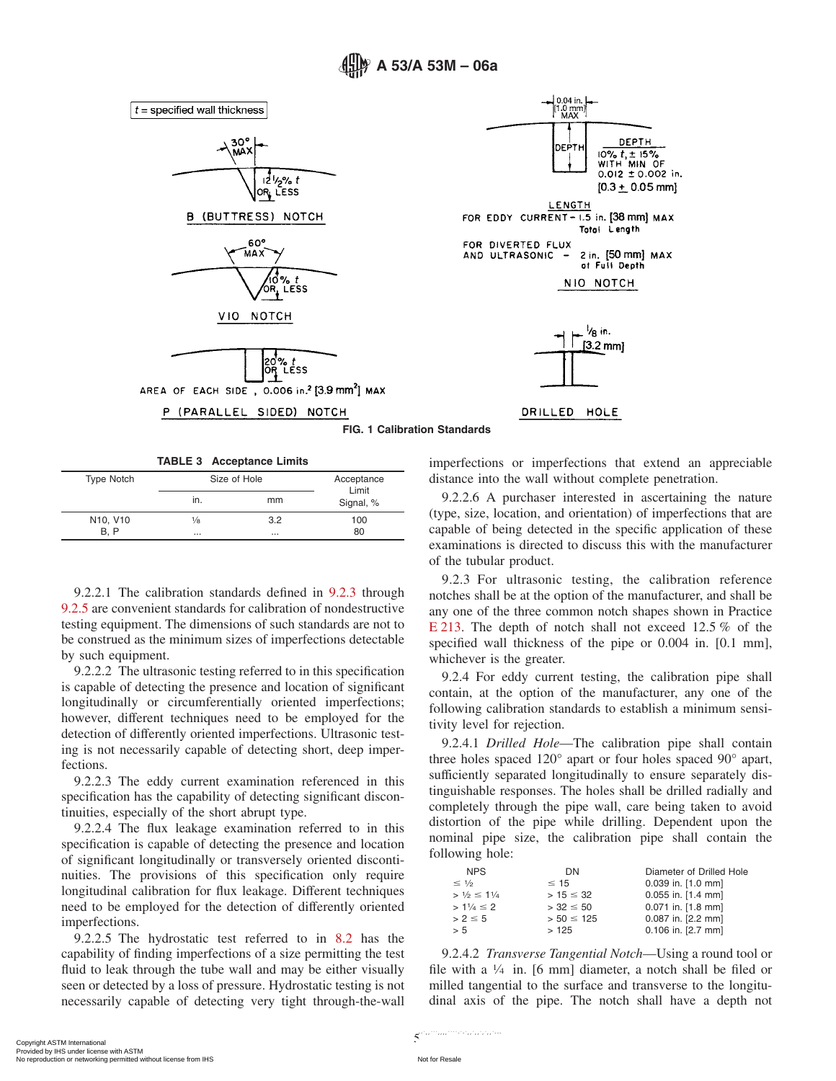



**B (BUTTRESS) NOTCH** 



VIO NOTCH



AREA OF EACH SIDE, 0.006 in.<sup>2</sup> [3.9 mm<sup>2</sup>] MAX

P (PARALLEL SIDED) NOTCH

<span id="page-4-0"></span>

#### **FIG. 1 Calibration Standards**

**TABLE 3 Acceptance Limits**

| <b>Type Notch</b>                 | Size of Hole  | Acceptance<br>Limit |           |  |
|-----------------------------------|---------------|---------------------|-----------|--|
|                                   | ın.           | mm                  | Signal, % |  |
| N <sub>10</sub> , V <sub>10</sub> | $\frac{1}{8}$ | 3.2                 | 100       |  |
| <b>B.P</b>                        | $\cdots$      | $\cdots$            | 80        |  |

9.2.2.1 The calibration standards defined in [9.2.3](#page-4-3) through [9.2.5](#page-5-8) are convenient standards for calibration of nondestructive testing equipment. The dimensions of such standards are not to be construed as the minimum sizes of imperfections detectable by such equipment.

9.2.2.2 The ultrasonic testing referred to in this specification is capable of detecting the presence and location of significant longitudinally or circumferentially oriented imperfections; however, different techniques need to be employed for the detection of differently oriented imperfections. Ultrasonic testing is not necessarily capable of detecting short, deep imperfections.

9.2.2.3 The eddy current examination referenced in this specification has the capability of detecting significant discontinuities, especially of the short abrupt type.

9.2.2.4 The flux leakage examination referred to in this specification is capable of detecting the presence and location of significant longitudinally or transversely oriented discontinuities. The provisions of this specification only require longitudinal calibration for flux leakage. Different techniques need to be employed for the detection of differently oriented imperfections.

9.2.2.5 The hydrostatic test referred to in [8.2](#page-3-8) has the capability of finding imperfections of a size permitting the test fluid to leak through the tube wall and may be either visually seen or detected by a loss of pressure. Hydrostatic testing is not necessarily capable of detecting very tight through-the-wall <span id="page-4-1"></span>imperfections or imperfections that extend an appreciable distance into the wall without complete penetration.

9.2.2.6 A purchaser interested in ascertaining the nature (type, size, location, and orientation) of imperfections that are capable of being detected in the specific application of these examinations is directed to discuss this with the manufacturer of the tubular product.

<span id="page-4-3"></span><span id="page-4-2"></span>9.2.3 For ultrasonic testing, the calibration reference notches shall be at the option of the manufacturer, and shall be any one of the three common notch shapes shown in Practice [E 213.](#page-1-5) The depth of notch shall not exceed 12.5 % of the specified wall thickness of the pipe or 0.004 in. [0.1 mm], whichever is the greater.

9.2.4 For eddy current testing, the calibration pipe shall contain, at the option of the manufacturer, any one of the following calibration standards to establish a minimum sensitivity level for rejection.

9.2.4.1 *Drilled Hole*—The calibration pipe shall contain three holes spaced 120° apart or four holes spaced 90° apart, sufficiently separated longitudinally to ensure separately distinguishable responses. The holes shall be drilled radially and completely through the pipe wall, care being taken to avoid distortion of the pipe while drilling. Dependent upon the nominal pipe size, the calibration pipe shall contain the following hole:

| <b>NPS</b>              | DN             | Diameter of Drilled Hole |
|-------------------------|----------------|--------------------------|
| $\leq$ 1/2              | $\leq$ 15      | $0.039$ in. [1.0 mm]     |
| $> 1/2 \leq 11/4$       | $> 15 \leq 32$ | $0.055$ in. [1.4 mm]     |
| $> 1\frac{1}{4} \leq 2$ | $> 32 \leq 50$ | 0.071 in. [1.8 mm]       |
| $> 2 \leq 5$            | $> 50 \le 125$ | 0.087 in. [2.2 mm]       |
| > 5                     | >125           | $0.106$ in. [2.7 mm]     |

9.2.4.2 *Transverse Tangential Notch*—Using a round tool or file with a  $\frac{1}{4}$  in. [6 mm] diameter, a notch shall be filed or milled tangential to the surface and transverse to the longitudinal axis of the pipe. The notch shall have a depth not

--`,,```,,,,````-`-`,,`,,`,`,,`---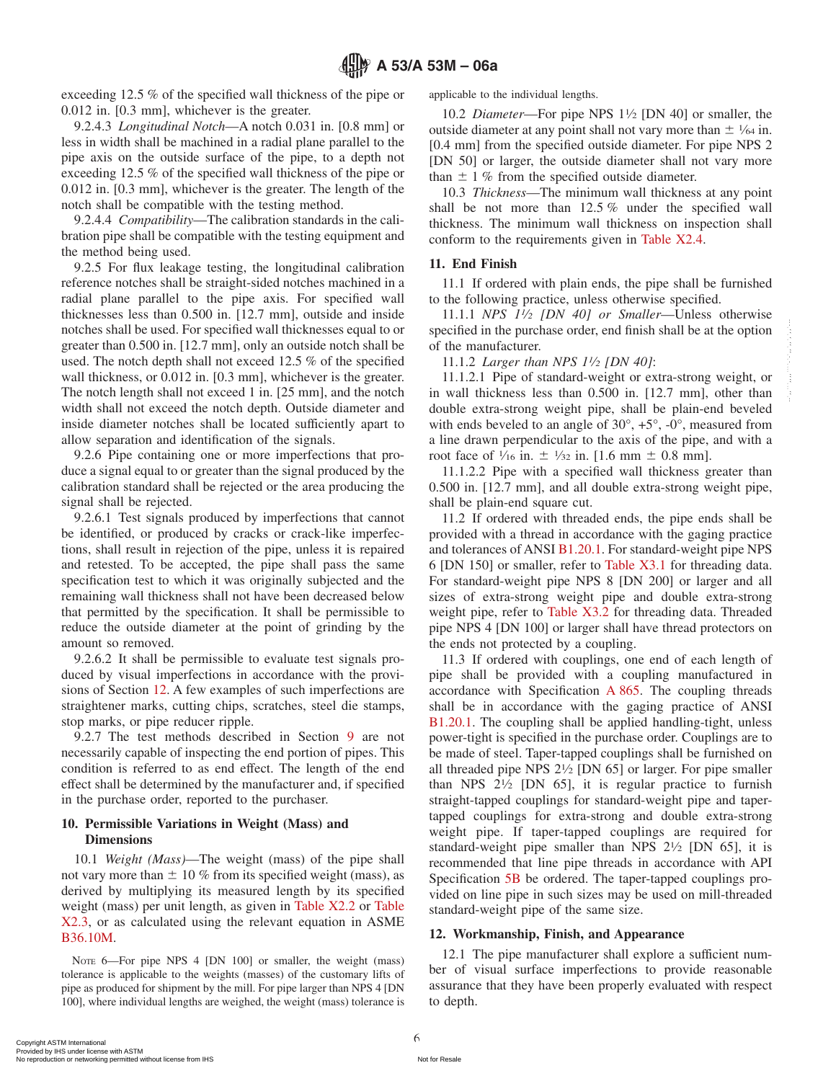exceeding 12.5 % of the specified wall thickness of the pipe or 0.012 in. [0.3 mm], whichever is the greater.

## 9.2.4.3 *Longitudinal Notch*—A notch 0.031 in. [0.8 mm] or less in width shall be machined in a radial plane parallel to the pipe axis on the outside surface of the pipe, to a depth not exceeding 12.5 % of the specified wall thickness of the pipe or 0.012 in. [0.3 mm], whichever is the greater. The length of the notch shall be compatible with the testing method.

9.2.4.4 *Compatibility*—The calibration standards in the calibration pipe shall be compatible with the testing equipment and the method being used.

9.2.5 For flux leakage testing, the longitudinal calibration reference notches shall be straight-sided notches machined in a radial plane parallel to the pipe axis. For specified wall thicknesses less than 0.500 in. [12.7 mm], outside and inside notches shall be used. For specified wall thicknesses equal to or greater than 0.500 in. [12.7 mm], only an outside notch shall be used. The notch depth shall not exceed 12.5 % of the specified wall thickness, or 0.012 in. [0.3 mm], whichever is the greater. The notch length shall not exceed 1 in. [25 mm], and the notch width shall not exceed the notch depth. Outside diameter and inside diameter notches shall be located sufficiently apart to allow separation and identification of the signals.

9.2.6 Pipe containing one or more imperfections that produce a signal equal to or greater than the signal produced by the calibration standard shall be rejected or the area producing the signal shall be rejected.

9.2.6.1 Test signals produced by imperfections that cannot be identified, or produced by cracks or crack-like imperfections, shall result in rejection of the pipe, unless it is repaired and retested. To be accepted, the pipe shall pass the same specification test to which it was originally subjected and the remaining wall thickness shall not have been decreased below that permitted by the specification. It shall be permissible to reduce the outside diameter at the point of grinding by the amount so removed.

9.2.6.2 It shall be permissible to evaluate test signals produced by visual imperfections in accordance with the provisions of Section [12.](#page-5-6) A few examples of such imperfections are straightener marks, cutting chips, scratches, steel die stamps, stop marks, or pipe reducer ripple.

9.2.7 The test methods described in Section [9](#page-3-1) are not necessarily capable of inspecting the end portion of pipes. This condition is referred to as end effect. The length of the end effect shall be determined by the manufacturer and, if specified in the purchase order, reported to the purchaser.

#### **10. Permissible Variations in Weight (Mass) and Dimensions**

10.1 *Weight (Mass)*—The weight (mass) of the pipe shall not vary more than  $\pm$  10 % from its specified weight (mass), as derived by multiplying its measured length by its specified weight (mass) per unit length, as given in [Table X2.2](#page-11-0) or [Table](#page-15-0) [X2.3,](#page-15-0) or as calculated using the relevant equation in ASME [B36.10M.](#page-1-6)

NOTE 6-For pipe NPS 4 [DN 100] or smaller, the weight (mass) tolerance is applicable to the weights (masses) of the customary lifts of pipe as produced for shipment by the mill. For pipe larger than NPS 4 [DN 100], where individual lengths are weighed, the weight (mass) tolerance is applicable to the individual lengths.

10.2 *Diameter*—For pipe NPS 11⁄2 [DN 40] or smaller, the outside diameter at any point shall not vary more than  $\pm$  1/64 in. [0.4 mm] from the specified outside diameter. For pipe NPS 2 [DN 50] or larger, the outside diameter shall not vary more than  $\pm$  1 % from the specified outside diameter.

10.3 *Thickness*—The minimum wall thickness at any point shall be not more than 12.5 % under the specified wall thickness. The minimum wall thickness on inspection shall conform to the requirements given in [Table X2.4.](#page-16-1)

#### <span id="page-5-8"></span><span id="page-5-4"></span>**11. End Finish**

11.1 If ordered with plain ends, the pipe shall be furnished to the following practice, unless otherwise specified.

11.1.1 *NPS 11⁄2 [DN 40] or Smaller*—Unless otherwise specified in the purchase order, end finish shall be at the option of the manufacturer.

11.1.2 *Larger than NPS 11⁄2 [DN 40]*:

11.1.2.1 Pipe of standard-weight or extra-strong weight, or in wall thickness less than 0.500 in. [12.7 mm], other than double extra-strong weight pipe, shall be plain-end beveled with ends beveled to an angle of  $30^{\circ}$ ,  $+5^{\circ}$ ,  $-0^{\circ}$ , measured from a line drawn perpendicular to the axis of the pipe, and with a root face of  $\frac{1}{16}$  in.  $\pm \frac{1}{32}$  in. [1.6 mm  $\pm$  0.8 mm].

11.1.2.2 Pipe with a specified wall thickness greater than 0.500 in. [12.7 mm], and all double extra-strong weight pipe, shall be plain-end square cut.

<span id="page-5-1"></span>11.2 If ordered with threaded ends, the pipe ends shall be provided with a thread in accordance with the gaging practice and tolerances of ANSI [B1.20.1.](#page-5-9) For standard-weight pipe NPS 6 [DN 150] or smaller, refer to [Table X3.1](#page-17-0) for threading data. For standard-weight pipe NPS 8 [DN 200] or larger and all sizes of extra-strong weight pipe and double extra-strong weight pipe, refer to [Table X3.2](#page-18-1) for threading data. Threaded pipe NPS 4 [DN 100] or larger shall have thread protectors on the ends not protected by a coupling.

<span id="page-5-9"></span><span id="page-5-7"></span><span id="page-5-5"></span><span id="page-5-0"></span>11.3 If ordered with couplings, one end of each length of pipe shall be provided with a coupling manufactured in accordance with Specification [A 865.](#page-0-4) The coupling threads shall be in accordance with the gaging practice of ANSI [B1.20.1.](#page-1-7) The coupling shall be applied handling-tight, unless power-tight is specified in the purchase order. Couplings are to be made of steel. Taper-tapped couplings shall be furnished on all threaded pipe NPS  $2\frac{1}{2}$  [DN 65] or larger. For pipe smaller than NPS  $2\frac{1}{2}$  [DN 65], it is regular practice to furnish straight-tapped couplings for standard-weight pipe and tapertapped couplings for extra-strong and double extra-strong weight pipe. If taper-tapped couplings are required for standard-weight pipe smaller than NPS 21/2 [DN 65], it is recommended that line pipe threads in accordance with API Specification [5B](#page-1-8) be ordered. The taper-tapped couplings provided on line pipe in such sizes may be used on mill-threaded standard-weight pipe of the same size.

#### <span id="page-5-6"></span><span id="page-5-3"></span><span id="page-5-2"></span>**12. Workmanship, Finish, and Appearance**

12.1 The pipe manufacturer shall explore a sufficient number of visual surface imperfections to provide reasonable assurance that they have been properly evaluated with respect to depth.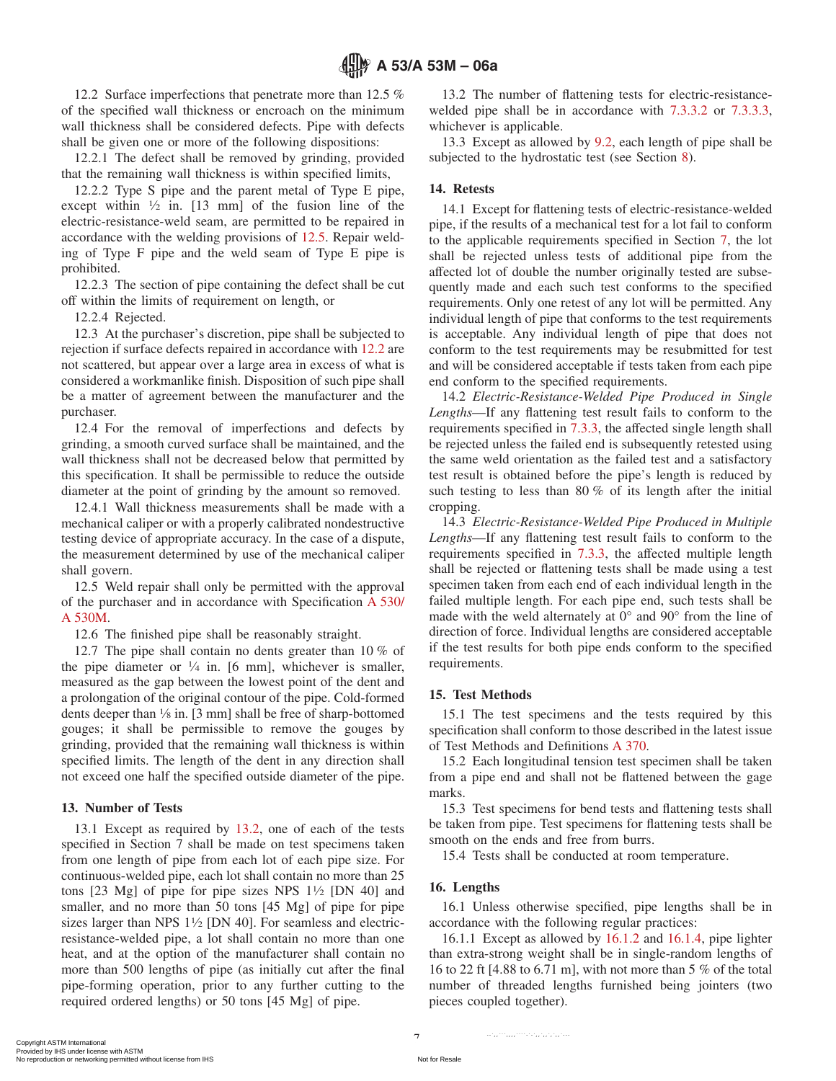12.2 Surface imperfections that penetrate more than 12.5 % of the specified wall thickness or encroach on the minimum wall thickness shall be considered defects. Pipe with defects shall be given one or more of the following dispositions:

12.2.1 The defect shall be removed by grinding, provided that the remaining wall thickness is within specified limits,

12.2.2 Type S pipe and the parent metal of Type E pipe, except within  $\frac{1}{2}$  in. [13 mm] of the fusion line of the electric-resistance-weld seam, are permitted to be repaired in accordance with the welding provisions of [12.5.](#page-6-4) Repair welding of Type F pipe and the weld seam of Type E pipe is prohibited.

12.2.3 The section of pipe containing the defect shall be cut off within the limits of requirement on length, or

12.2.4 Rejected.

12.3 At the purchaser's discretion, pipe shall be subjected to rejection if surface defects repaired in accordance with [12.2](#page-6-5) are not scattered, but appear over a large area in excess of what is considered a workmanlike finish. Disposition of such pipe shall be a matter of agreement between the manufacturer and the purchaser.

12.4 For the removal of imperfections and defects by grinding, a smooth curved surface shall be maintained, and the wall thickness shall not be decreased below that permitted by this specification. It shall be permissible to reduce the outside diameter at the point of grinding by the amount so removed.

12.4.1 Wall thickness measurements shall be made with a mechanical caliper or with a properly calibrated nondestructive testing device of appropriate accuracy. In the case of a dispute, the measurement determined by use of the mechanical caliper shall govern.

12.5 Weld repair shall only be permitted with the approval of the purchaser and in accordance with Specification [A 530/](#page-0-5) [A 530M.](#page-0-5)

12.6 The finished pipe shall be reasonably straight.

12.7 The pipe shall contain no dents greater than 10 % of the pipe diameter or  $\frac{1}{4}$  in. [6 mm], whichever is smaller, measured as the gap between the lowest point of the dent and a prolongation of the original contour of the pipe. Cold-formed dents deeper than 1⁄8 in. [3 mm] shall be free of sharp-bottomed gouges; it shall be permissible to remove the gouges by grinding, provided that the remaining wall thickness is within specified limits. The length of the dent in any direction shall not exceed one half the specified outside diameter of the pipe.

## **13. Number of Tests**

13.1 Except as required by [13.2,](#page-6-6) one of each of the tests specified in Section 7 shall be made on test specimens taken from one length of pipe from each lot of each pipe size. For continuous-welded pipe, each lot shall contain no more than 25 tons  $[23 \text{ Mg}]$  of pipe for pipe sizes NPS  $1\frac{1}{2}$  [DN 40] and smaller, and no more than 50 tons [45 Mg] of pipe for pipe sizes larger than NPS  $1\frac{1}{2}$  [DN 40]. For seamless and electricresistance-welded pipe, a lot shall contain no more than one heat, and at the option of the manufacturer shall contain no more than 500 lengths of pipe (as initially cut after the final pipe-forming operation, prior to any further cutting to the required ordered lengths) or 50 tons [45 Mg] of pipe.

<span id="page-6-6"></span><span id="page-6-5"></span>13.2 The number of flattening tests for electric-resistancewelded pipe shall be in accordance with [7.3.3.2](#page-2-5) or [7.3.3.3,](#page-2-6) whichever is applicable.

13.3 Except as allowed by [9.2,](#page-3-4) each length of pipe shall be subjected to the hydrostatic test (see Section [8\)](#page-3-0).

### **14. Retests**

14.1 Except for flattening tests of electric-resistance-welded pipe, if the results of a mechanical test for a lot fail to conform to the applicable requirements specified in Section [7,](#page-2-0) the lot shall be rejected unless tests of additional pipe from the affected lot of double the number originally tested are subsequently made and each such test conforms to the specified requirements. Only one retest of any lot will be permitted. Any individual length of pipe that conforms to the test requirements is acceptable. Any individual length of pipe that does not conform to the test requirements may be resubmitted for test and will be considered acceptable if tests taken from each pipe end conform to the specified requirements.

14.2 *Electric-Resistance-Welded Pipe Produced in Single Lengths*—If any flattening test result fails to conform to the requirements specified in [7.3.3,](#page-2-8) the affected single length shall be rejected unless the failed end is subsequently retested using the same weld orientation as the failed test and a satisfactory test result is obtained before the pipe's length is reduced by such testing to less than 80 % of its length after the initial cropping.

<span id="page-6-4"></span><span id="page-6-2"></span>14.3 *Electric-Resistance-Welded Pipe Produced in Multiple Lengths*—If any flattening test result fails to conform to the requirements specified in [7.3.3,](#page-2-8) the affected multiple length shall be rejected or flattening tests shall be made using a test specimen taken from each end of each individual length in the failed multiple length. For each pipe end, such tests shall be made with the weld alternately at 0° and 90° from the line of direction of force. Individual lengths are considered acceptable if the test results for both pipe ends conform to the specified requirements.

## <span id="page-6-0"></span>**15. Test Methods**

<span id="page-6-1"></span>15.1 The test specimens and the tests required by this specification shall conform to those described in the latest issue of Test Methods and Definitions [A 370.](#page-0-6)

15.2 Each longitudinal tension test specimen shall be taken from a pipe end and shall not be flattened between the gage marks.

15.3 Test specimens for bend tests and flattening tests shall be taken from pipe. Test specimens for flattening tests shall be smooth on the ends and free from burrs.

<span id="page-6-3"></span>15.4 Tests shall be conducted at room temperature.

## **16. Lengths**

16.1 Unless otherwise specified, pipe lengths shall be in accordance with the following regular practices:

16.1.1 Except as allowed by [16.1.2](#page-7-3) and [16.1.4,](#page-7-4) pipe lighter than extra-strong weight shall be in single-random lengths of 16 to 22 ft [4.88 to 6.71 m], with not more than 5 % of the total number of threaded lengths furnished being jointers (two pieces coupled together).

 $\cdots$ ,  $\cdots$ ,  $\cdots$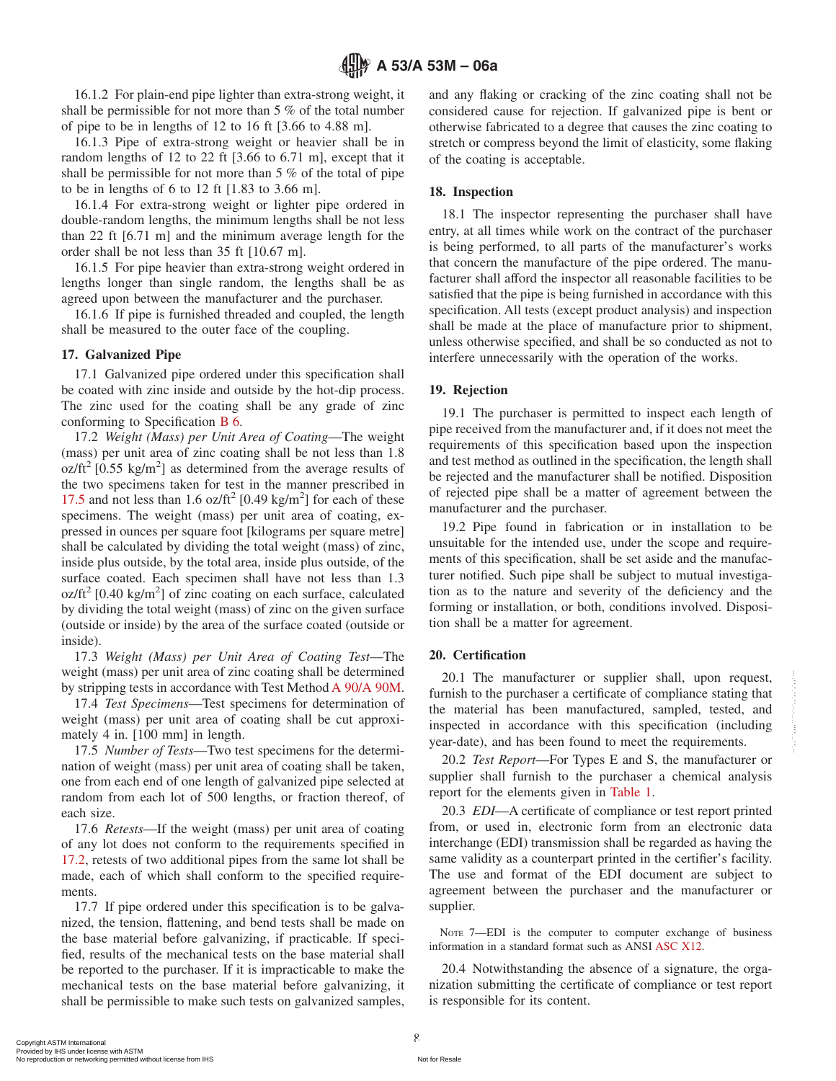16.1.2 For plain-end pipe lighter than extra-strong weight, it shall be permissible for not more than 5 % of the total number of pipe to be in lengths of 12 to 16 ft [3.66 to 4.88 m].

16.1.3 Pipe of extra-strong weight or heavier shall be in random lengths of 12 to 22 ft [3.66 to 6.71 m], except that it shall be permissible for not more than 5 % of the total of pipe to be in lengths of 6 to 12 ft  $[1.83 \text{ to } 3.66 \text{ m}]$ .

16.1.4 For extra-strong weight or lighter pipe ordered in double-random lengths, the minimum lengths shall be not less than 22 ft [6.71 m] and the minimum average length for the order shall be not less than 35 ft [10.67 m].

16.1.5 For pipe heavier than extra-strong weight ordered in lengths longer than single random, the lengths shall be as agreed upon between the manufacturer and the purchaser.

16.1.6 If pipe is furnished threaded and coupled, the length shall be measured to the outer face of the coupling.

#### **17. Galvanized Pipe**

17.1 Galvanized pipe ordered under this specification shall be coated with zinc inside and outside by the hot-dip process. The zinc used for the coating shall be any grade of zinc conforming to Specification [B 6.](#page-1-9)

17.2 *Weight (Mass) per Unit Area of Coating*—The weight (mass) per unit area of zinc coating shall be not less than 1.8  $oz/ft^2$  [0.55 kg/m<sup>2</sup>] as determined from the average results of the two specimens taken for test in the manner prescribed in [17.5](#page-7-5) and not less than 1.6 oz/ft<sup>2</sup> [0.49 kg/m<sup>2</sup>] for each of these specimens. The weight (mass) per unit area of coating, expressed in ounces per square foot [kilograms per square metre] shall be calculated by dividing the total weight (mass) of zinc, inside plus outside, by the total area, inside plus outside, of the surface coated. Each specimen shall have not less than 1.3  $oz/ft^2$  [0.40 kg/m<sup>2</sup>] of zinc coating on each surface, calculated by dividing the total weight (mass) of zinc on the given surface (outside or inside) by the area of the surface coated (outside or inside).

17.3 *Weight (Mass) per Unit Area of Coating Test*—The weight (mass) per unit area of zinc coating shall be determined by stripping tests in accordance with Test Method [A 90/A 90M.](#page-0-7)

17.4 *Test Specimens*—Test specimens for determination of weight (mass) per unit area of coating shall be cut approximately 4 in. [100 mm] in length.

17.5 *Number of Tests*—Two test specimens for the determination of weight (mass) per unit area of coating shall be taken, one from each end of one length of galvanized pipe selected at random from each lot of 500 lengths, or fraction thereof, of each size.

17.6 *Retests*—If the weight (mass) per unit area of coating of any lot does not conform to the requirements specified in [17.2,](#page-7-6) retests of two additional pipes from the same lot shall be made, each of which shall conform to the specified requirements.

17.7 If pipe ordered under this specification is to be galvanized, the tension, flattening, and bend tests shall be made on the base material before galvanizing, if practicable. If specified, results of the mechanical tests on the base material shall be reported to the purchaser. If it is impracticable to make the mechanical tests on the base material before galvanizing, it shall be permissible to make such tests on galvanized samples, <span id="page-7-3"></span>and any flaking or cracking of the zinc coating shall not be considered cause for rejection. If galvanized pipe is bent or otherwise fabricated to a degree that causes the zinc coating to stretch or compress beyond the limit of elasticity, some flaking of the coating is acceptable.

## <span id="page-7-4"></span>**18. Inspection**

18.1 The inspector representing the purchaser shall have entry, at all times while work on the contract of the purchaser is being performed, to all parts of the manufacturer's works that concern the manufacture of the pipe ordered. The manufacturer shall afford the inspector all reasonable facilities to be satisfied that the pipe is being furnished in accordance with this specification. All tests (except product analysis) and inspection shall be made at the place of manufacture prior to shipment, unless otherwise specified, and shall be so conducted as not to interfere unnecessarily with the operation of the works.

## **19. Rejection**

<span id="page-7-6"></span><span id="page-7-1"></span>19.1 The purchaser is permitted to inspect each length of pipe received from the manufacturer and, if it does not meet the requirements of this specification based upon the inspection and test method as outlined in the specification, the length shall be rejected and the manufacturer shall be notified. Disposition of rejected pipe shall be a matter of agreement between the manufacturer and the purchaser.

19.2 Pipe found in fabrication or in installation to be unsuitable for the intended use, under the scope and requirements of this specification, shall be set aside and the manufacturer notified. Such pipe shall be subject to mutual investigation as to the nature and severity of the deficiency and the forming or installation, or both, conditions involved. Disposition shall be a matter for agreement.

#### **20. Certification**

<span id="page-7-0"></span>20.1 The manufacturer or supplier shall, upon request, furnish to the purchaser a certificate of compliance stating that the material has been manufactured, sampled, tested, and inspected in accordance with this specification (including year-date), and has been found to meet the requirements.

<span id="page-7-5"></span>20.2 *Test Report*—For Types E and S, the manufacturer or supplier shall furnish to the purchaser a chemical analysis report for the elements given in [Table 1.](#page-1-1)

20.3 *EDI*—A certificate of compliance or test report printed from, or used in, electronic form from an electronic data interchange (EDI) transmission shall be regarded as having the same validity as a counterpart printed in the certifier's facility. The use and format of the EDI document are subject to agreement between the purchaser and the manufacturer or supplier.

<span id="page-7-2"></span>NOTE 7—EDI is the computer to computer exchange of business information in a standard format such as ANSI [ASC X12.](#page-1-10)

20.4 Notwithstanding the absence of a signature, the organization submitting the certificate of compliance or test report is responsible for its content.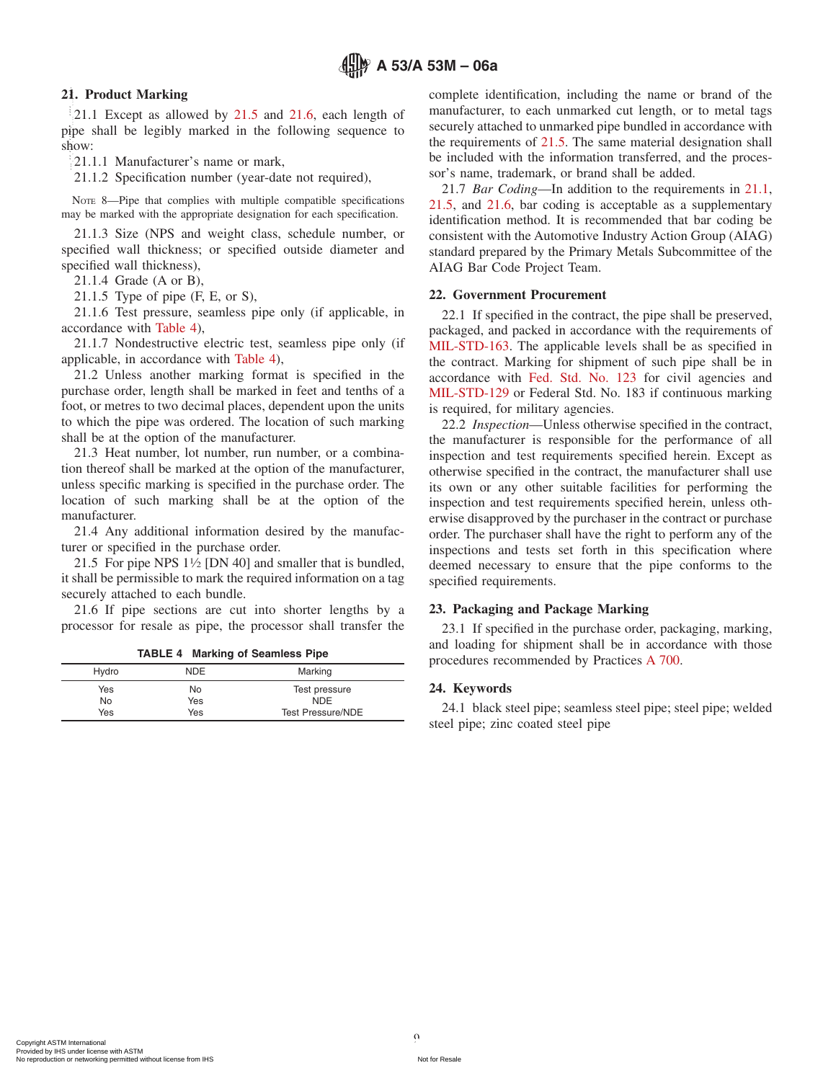## **21. Product Marking**

21.1 Except as allowed by [21.5](#page-8-6) and [21.6,](#page-8-7) each length of pipe shall be legibly marked in the following sequence to show:  $\blacksquare$ 

21.1.1 Manufacturer's name or mark,

21.1.2 Specification number (year-date not required),

NOTE 8—Pipe that complies with multiple compatible specifications may be marked with the appropriate designation for each specification.

21.1.3 Size (NPS and weight class, schedule number, or specified wall thickness; or specified outside diameter and specified wall thickness),

21.1.4 Grade (A or B),

21.1.5 Type of pipe (F, E, or S),

21.1.6 Test pressure, seamless pipe only (if applicable, in accordance with [Table 4\)](#page-8-8),

21.1.7 Nondestructive electric test, seamless pipe only (if applicable, in accordance with [Table 4\)](#page-8-8),

21.2 Unless another marking format is specified in the purchase order, length shall be marked in feet and tenths of a foot, or metres to two decimal places, dependent upon the units to which the pipe was ordered. The location of such marking shall be at the option of the manufacturer.

21.3 Heat number, lot number, run number, or a combination thereof shall be marked at the option of the manufacturer, unless specific marking is specified in the purchase order. The location of such marking shall be at the option of the manufacturer.

21.4 Any additional information desired by the manufacturer or specified in the purchase order.

21.5 For pipe NPS  $1\frac{1}{2}$  [DN 40] and smaller that is bundled, it shall be permissible to mark the required information on a tag securely attached to each bundle.

21.6 If pipe sections are cut into shorter lengths by a processor for resale as pipe, the processor shall transfer the

|  |  |  | <b>TABLE 4 Marking of Seamless Pipe</b> |  |
|--|--|--|-----------------------------------------|--|
|--|--|--|-----------------------------------------|--|

| Hydro     | NDE       | Marking                     |
|-----------|-----------|-----------------------------|
| Yes<br>No | No<br>Yes | Test pressure<br><b>NDE</b> |
| Yes       | Yes       | <b>Test Pressure/NDE</b>    |

<span id="page-8-9"></span>complete identification, including the name or brand of the manufacturer, to each unmarked cut length, or to metal tags securely attached to unmarked pipe bundled in accordance with the requirements of [21.5.](#page-8-6) The same material designation shall be included with the information transferred, and the processor's name, trademark, or brand shall be added.

21.7 *Bar Coding*—In addition to the requirements in [21.1,](#page-8-9) [21.5,](#page-8-6) and [21.6,](#page-8-7) bar coding is acceptable as a supplementary identification method. It is recommended that bar coding be consistent with the Automotive Industry Action Group (AIAG) standard prepared by the Primary Metals Subcommittee of the AIAG Bar Code Project Team.

#### <span id="page-8-4"></span>**22. Government Procurement**

<span id="page-8-3"></span><span id="page-8-2"></span>22.1 If specified in the contract, the pipe shall be preserved, packaged, and packed in accordance with the requirements of [MIL-STD-163.](#page-1-11) The applicable levels shall be as specified in the contract. Marking for shipment of such pipe shall be in accordance with [Fed. Std. No. 123](#page-1-12) for civil agencies and [MIL-STD-129](#page-1-13) or Federal Std. No. 183 if continuous marking is required, for military agencies.

<span id="page-8-1"></span>22.2 *Inspection*—Unless otherwise specified in the contract, the manufacturer is responsible for the performance of all inspection and test requirements specified herein. Except as otherwise specified in the contract, the manufacturer shall use its own or any other suitable facilities for performing the inspection and test requirements specified herein, unless otherwise disapproved by the purchaser in the contract or purchase order. The purchaser shall have the right to perform any of the inspections and tests set forth in this specification where deemed necessary to ensure that the pipe conforms to the specified requirements.

#### <span id="page-8-7"></span><span id="page-8-6"></span><span id="page-8-5"></span>**23. Packaging and Package Marking**

<span id="page-8-8"></span><span id="page-8-0"></span>23.1 If specified in the purchase order, packaging, marking, and loading for shipment shall be in accordance with those procedures recommended by Practices [A 700.](#page-0-8)

#### **24. Keywords**

24.1 black steel pipe; seamless steel pipe; steel pipe; welded steel pipe; zinc coated steel pipe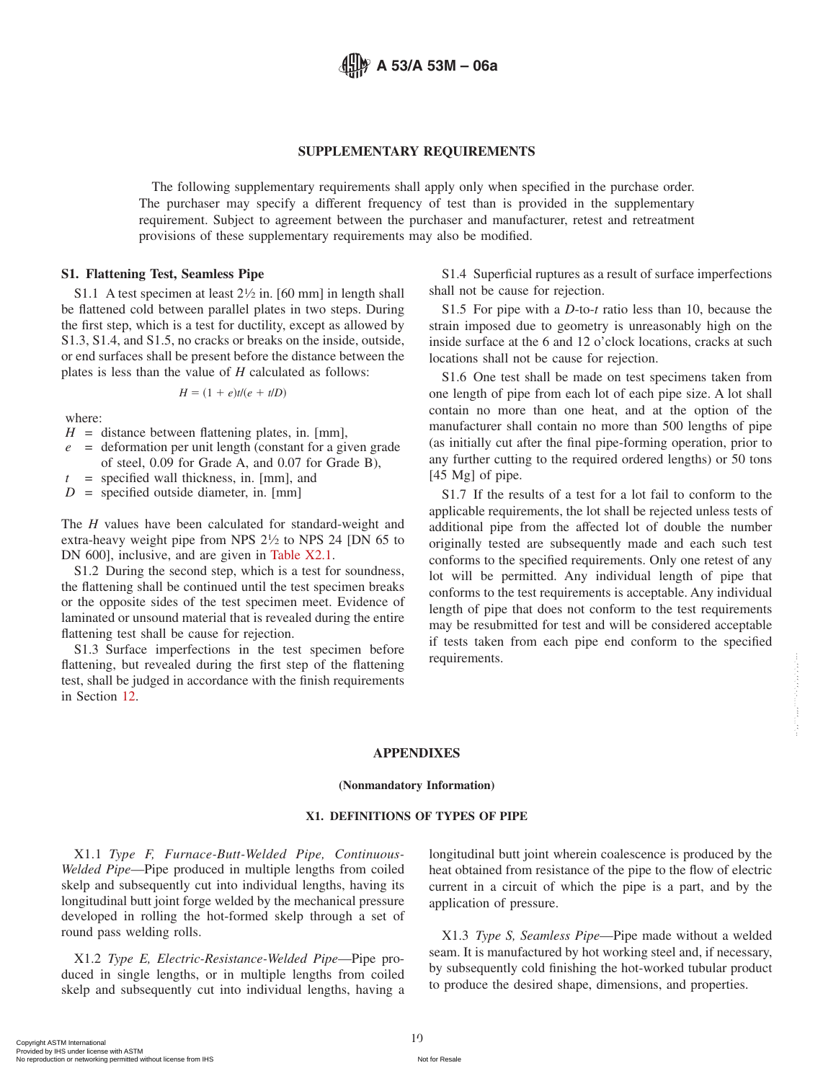

#### **SUPPLEMENTARY REQUIREMENTS**

The following supplementary requirements shall apply only when specified in the purchase order. The purchaser may specify a different frequency of test than is provided in the supplementary requirement. Subject to agreement between the purchaser and manufacturer, retest and retreatment provisions of these supplementary requirements may also be modified.

#### **S1. Flattening Test, Seamless Pipe**

S1.1 A test specimen at least  $2\frac{1}{2}$  in. [60 mm] in length shall be flattened cold between parallel plates in two steps. During the first step, which is a test for ductility, except as allowed by S1.3, S1.4, and S1.5, no cracks or breaks on the inside, outside, or end surfaces shall be present before the distance between the plates is less than the value of *H* calculated as follows:

$$
H = (1 + e)t/(e + t/D)
$$

where:

- $H =$  distance between flattening plates, in. [mm],
- *e* = deformation per unit length (constant for a given grade of steel, 0.09 for Grade A, and 0.07 for Grade B),
- *t* = specified wall thickness, in. [mm], and

*D* = specified outside diameter, in. [mm]

The *H* values have been calculated for standard-weight and extra-heavy weight pipe from NPS  $2\frac{1}{2}$  to NPS 24 [DN 65 to DN 600], inclusive, and are given in [Table X2.1.](#page-10-0)

S1.2 During the second step, which is a test for soundness, the flattening shall be continued until the test specimen breaks or the opposite sides of the test specimen meet. Evidence of laminated or unsound material that is revealed during the entire flattening test shall be cause for rejection.

S1.3 Surface imperfections in the test specimen before flattening, but revealed during the first step of the flattening test, shall be judged in accordance with the finish requirements in Section [12.](#page-5-6)

S1.4 Superficial ruptures as a result of surface imperfections shall not be cause for rejection.

S1.5 For pipe with a *D*-to-*t* ratio less than 10, because the strain imposed due to geometry is unreasonably high on the inside surface at the 6 and 12 o'clock locations, cracks at such locations shall not be cause for rejection.

S1.6 One test shall be made on test specimens taken from one length of pipe from each lot of each pipe size. A lot shall contain no more than one heat, and at the option of the manufacturer shall contain no more than 500 lengths of pipe (as initially cut after the final pipe-forming operation, prior to any further cutting to the required ordered lengths) or 50 tons [45 Mg] of pipe.

S1.7 If the results of a test for a lot fail to conform to the applicable requirements, the lot shall be rejected unless tests of additional pipe from the affected lot of double the number originally tested are subsequently made and each such test conforms to the specified requirements. Only one retest of any lot will be permitted. Any individual length of pipe that conforms to the test requirements is acceptable. Any individual length of pipe that does not conform to the test requirements may be resubmitted for test and will be considered acceptable if tests taken from each pipe end conform to the specified requirements.

#### **APPENDIXES**

#### **(Nonmandatory Information)**

#### **X1. DEFINITIONS OF TYPES OF PIPE**

X1.1 *Type F, Furnace-Butt-Welded Pipe, Continuous-Welded Pipe*—Pipe produced in multiple lengths from coiled skelp and subsequently cut into individual lengths, having its longitudinal butt joint forge welded by the mechanical pressure developed in rolling the hot-formed skelp through a set of round pass welding rolls.

X1.2 *Type E, Electric-Resistance-Welded Pipe*—Pipe produced in single lengths, or in multiple lengths from coiled skelp and subsequently cut into individual lengths, having a <span id="page-9-0"></span>longitudinal butt joint wherein coalescence is produced by the heat obtained from resistance of the pipe to the flow of electric current in a circuit of which the pipe is a part, and by the application of pressure.

X1.3 *Type S, Seamless Pipe*—Pipe made without a welded seam. It is manufactured by hot working steel and, if necessary, by subsequently cold finishing the hot-worked tubular product to produce the desired shape, dimensions, and properties.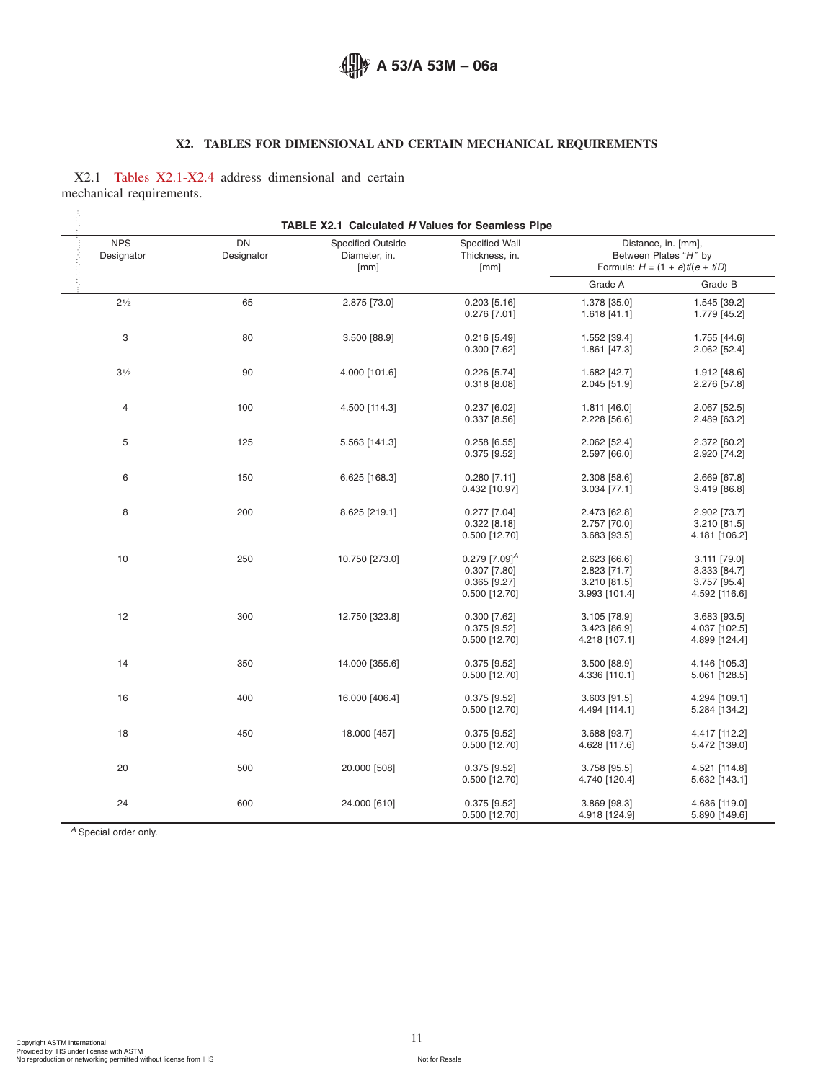## <span id="page-10-0"></span>**X2. TABLES FOR DIMENSIONAL AND CERTAIN MECHANICAL REQUIREMENTS**

X2.1 [Tables X2.1-X2.4](#page-10-0) address dimensional and certain mechanical requirements.

| <b>NPS</b><br>Designator | DN<br>Designator | <b>Specified Outside</b><br>Diameter, in.<br>[mm] | Specified Wall<br>Thickness, in.<br>[mm]                                         |                                                               | Distance, in. [mm],<br>Between Plates "H" by<br>Formula: $H = (1 + e)t(e + t/D)$ |
|--------------------------|------------------|---------------------------------------------------|----------------------------------------------------------------------------------|---------------------------------------------------------------|----------------------------------------------------------------------------------|
|                          |                  |                                                   |                                                                                  | Grade A                                                       | Grade B                                                                          |
| $2\frac{1}{2}$           | 65               | 2.875 [73.0]                                      | $0.203$ [5.16]<br>$0.276$ [7.01]                                                 | 1.378 [35.0]<br>$1.618$ [41.1]                                | 1.545 [39.2]<br>1.779 [45.2]                                                     |
| 3                        | 80               | 3.500 [88.9]                                      | $0.216$ [5.49]<br>$0.300$ [7.62]                                                 | 1.552 [39.4]<br>1.861 [47.3]                                  | 1.755 [44.6]<br>2.062 [52.4]                                                     |
| $3\frac{1}{2}$           | 90               | 4.000 [101.6]                                     | $0.226$ [5.74]<br>$0.318$ [8.08]                                                 | 1.682 [42.7]<br>2.045 [51.9]                                  | 1.912 [48.6]<br>2.276 [57.8]                                                     |
| 4                        | 100              | 4.500 [114.3]                                     | $0.237$ [6.02]<br>$0.337$ [8.56]                                                 | 1.811 [46.0]<br>2.228 [56.6]                                  | 2.067 [52.5]<br>2.489 [63.2]                                                     |
| 5                        | 125              | 5.563 [141.3]                                     | $0.258$ [6.55]<br>$0.375$ [9.52]                                                 | 2.062 [52.4]<br>2.597 [66.0]                                  | 2.372 [60.2]<br>2.920 [74.2]                                                     |
| 6                        | 150              | 6.625 [168.3]                                     | $0.280$ [7.11]<br>0.432 [10.97]                                                  | 2.308 [58.6]<br>3.034 [77.1]                                  | 2.669 [67.8]<br>3.419 [86.8]                                                     |
| 8                        | 200              | 8.625 [219.1]                                     | $0.277$ [7.04]<br>$0.322$ [8.18]<br>0.500 [12.70]                                | 2.473 [62.8]<br>2.757 [70.0]<br>3.683 [93.5]                  | 2.902 [73.7]<br>3.210 [81.5]<br>4.181 [106.2]                                    |
| 10                       | 250              | 10.750 [273.0]                                    | $0.279$ [7.09] <sup>A</sup><br>$0.307$ [7.80]<br>$0.365$ [9.27]<br>0.500 [12.70] | 2.623 [66.6]<br>2.823 [71.7]<br>3.210 [81.5]<br>3.993 [101.4] | 3.111 [79.0]<br>3.333 [84.7]<br>3.757 [95.4]<br>4.592 [116.6]                    |
| 12                       | 300              | 12.750 [323.8]                                    | $0.300$ [7.62]<br>$0.375$ [9.52]<br>0.500 [12.70]                                | 3.105 [78.9]<br>3.423 [86.9]<br>4.218 [107.1]                 | 3.683 [93.5]<br>4.037 [102.5]<br>4.899 [124.4]                                   |
| 14                       | 350              | 14.000 [355.6]                                    | $0.375$ [9.52]<br>0.500 [12.70]                                                  | 3.500 [88.9]<br>4.336 [110.1]                                 | 4.146 [105.3]<br>5.061 [128.5]                                                   |
| 16                       | 400              | 16.000 [406.4]                                    | $0.375$ [9.52]<br>0.500 [12.70]                                                  | 3.603 [91.5]<br>4.494 [114.1]                                 | 4.294 [109.1]<br>5.284 [134.2]                                                   |
| 18                       | 450              | 18.000 [457]                                      | $0.375$ [9.52]<br>0.500 [12.70]                                                  | 3.688 [93.7]<br>4.628 [117.6]                                 | 4.417 [112.2]<br>5.472 [139.0]                                                   |
| 20                       | 500              | 20.000 [508]                                      | $0.375$ [9.52]<br>0.500 [12.70]                                                  | 3.758 [95.5]<br>4.740 [120.4]                                 | 4.521 [114.8]<br>5.632 [143.1]                                                   |
| 24                       | 600              | 24.000 [610]                                      | $0.375$ [9.52]<br>0.500 [12.70]                                                  | 3.869 [98.3]<br>4.918 [124.9]                                 | 4.686 [119.0]<br>5.890 [149.6]                                                   |

*<sup>A</sup>* Special order only.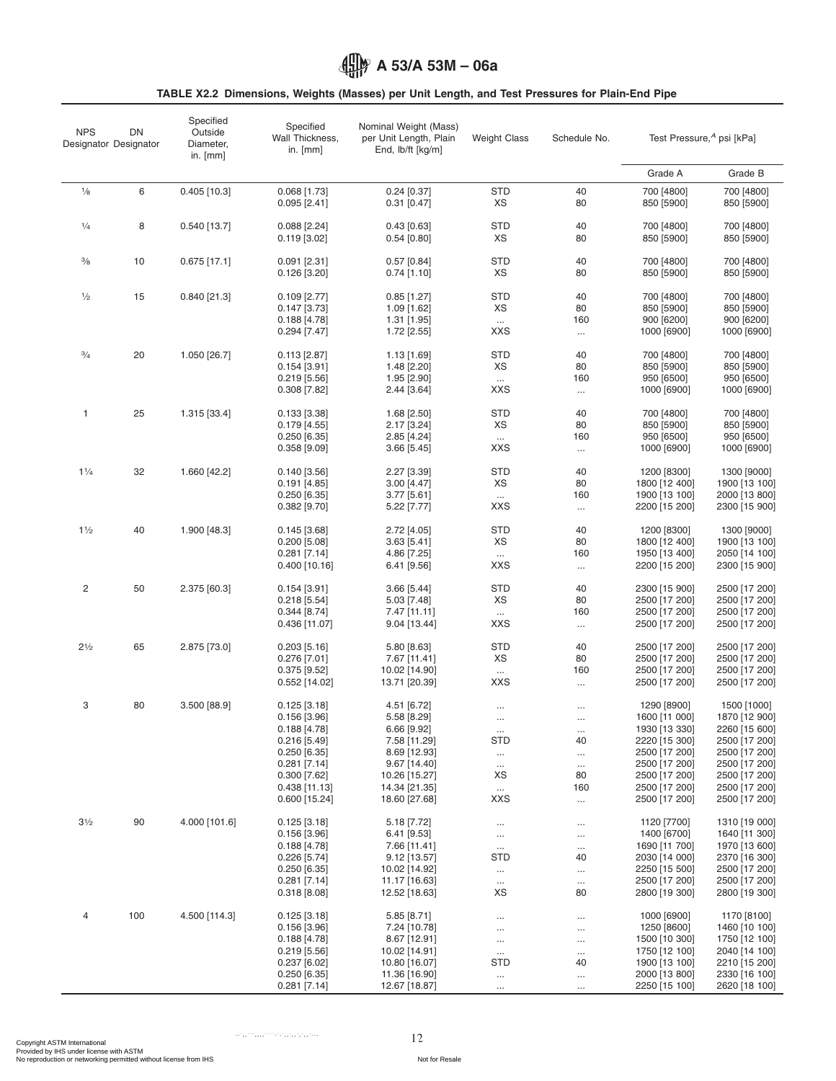## <span id="page-11-0"></span>**TABLE X2.2 Dimensions, Weights (Masses) per Unit Length, and Test Pressures for Plain-End Pipe**

| <b>NPS</b>     | DN<br>Designator Designator | Specified<br>Outside<br>Diameter,<br>in. $[mm]$ | Specified<br>Wall Thickness,<br>in. $[mm]$ | Nominal Weight (Mass)<br>per Unit Length, Plain<br>End, lb/ft [kg/m] | <b>Weight Class</b>    | Schedule No.         | Test Pressure, <sup>A</sup> psi [kPa] |                                |  |
|----------------|-----------------------------|-------------------------------------------------|--------------------------------------------|----------------------------------------------------------------------|------------------------|----------------------|---------------------------------------|--------------------------------|--|
|                |                             |                                                 |                                            |                                                                      |                        |                      | Grade A                               | Grade B                        |  |
| $\frac{1}{8}$  | 6                           | $0.405$ [10.3]                                  | $0.068$ [1.73]                             | $0.24$ [0.37]                                                        | <b>STD</b>             | 40                   | 700 [4800]                            | 700 [4800]                     |  |
|                |                             |                                                 | $0.095$ [2.41]                             | $0.31$ [0.47]                                                        | XS                     | 80                   | 850 [5900]                            | 850 [5900]                     |  |
| $\frac{1}{4}$  | 8                           | $0.540$ [13.7]                                  | $0.088$ [2.24]                             | $0.43$ [0.63]                                                        | <b>STD</b>             | 40                   | 700 [4800]                            | 700 [4800]                     |  |
|                |                             |                                                 | $0.119$ [3.02]                             | 0.54 [0.80]                                                          | ХS                     | 80                   | 850 [5900]                            | 850 [5900]                     |  |
| $\frac{3}{8}$  | 10                          | $0.675$ [17.1]                                  | $0.091$ [2.31]                             | $0.57$ [0.84]                                                        | <b>STD</b>             | 40                   | 700 [4800]                            | 700 [4800]                     |  |
|                |                             |                                                 | $0.126$ [3.20]                             | $0.74$ [1.10]                                                        | XS                     | 80                   | 850 [5900]                            | 850 [5900]                     |  |
| $\frac{1}{2}$  | 15                          | $0.840$ [21.3]                                  | $0.109$ [2.77]                             | $0.85$ [1.27]                                                        | <b>STD</b>             | 40                   | 700 [4800]                            | 700 [4800]                     |  |
|                |                             |                                                 | $0.147$ [3.73]                             | 1.09 [1.62]                                                          | XS                     | 80                   | 850 [5900]                            | 850 [5900]                     |  |
|                |                             |                                                 | $0.188$ [4.78]                             | $1.31$ [1.95]                                                        | $\ldots$               | 160                  | 900 [6200]                            | 900 [6200]                     |  |
|                |                             |                                                 | $0.294$ [7.47]                             | 1.72 [2.55]                                                          | <b>XXS</b>             | $\ldots$             | 1000 [6900]                           | 1000 [6900]                    |  |
| $\frac{3}{4}$  | 20                          | 1.050 [26.7]                                    | $0.113$ [2.87]                             | $1.13$ [1.69]                                                        | <b>STD</b>             | 40                   | 700 [4800]                            | 700 [4800]                     |  |
|                |                             |                                                 | $0.154$ [3.91]                             | 1.48 [2.20]                                                          | XS                     | 80                   | 850 [5900]                            | 850 [5900]                     |  |
|                |                             |                                                 | $0.219$ [5.56]                             | 1.95 [2.90]                                                          | $\dots$                | 160                  | 950 [6500]                            | 950 [6500]                     |  |
|                |                             |                                                 | $0.308$ [7.82]                             | 2.44 [3.64]                                                          | <b>XXS</b>             | $\ldots$             | 1000 [6900]                           | 1000 [6900]                    |  |
| 1              | 25                          | 1.315 [33.4]                                    | $0.133$ [3.38]                             | 1.68 [2.50]                                                          | <b>STD</b>             | 40                   | 700 [4800]                            | 700 [4800]                     |  |
|                |                             |                                                 | $0.179$ [4.55]                             | 2.17 [3.24]                                                          | XS                     | 80                   | 850 [5900]                            | 850 [5900]                     |  |
|                |                             |                                                 | $0.250$ [6.35]                             | $2.85$ [4.24]                                                        | $\ldots$               | 160                  | 950 [6500]                            | 950 [6500]                     |  |
|                |                             |                                                 | $0.358$ [ $9.09$ ]                         | 3.66 [5.45]                                                          | <b>XXS</b>             | $\ldots$             | 1000 [6900]                           | 1000 [6900]                    |  |
| $1\frac{1}{4}$ | 32                          | 1.660 [42.2]                                    | $0.140$ [3.56]                             | 2.27 [3.39]                                                          | <b>STD</b>             | 40                   | 1200 [8300]                           | 1300 [9000]                    |  |
|                |                             |                                                 | $0.191$ [4.85]                             | 3.00 [4.47]                                                          | XS                     | 80                   | 1800 [12 400]                         | 1900 [13 100]                  |  |
|                |                             |                                                 | $0.250$ [6.35]                             | 3.77 [5.61]                                                          | $\ldots$               | 160                  | 1900 [13 100]                         | 2000 [13 800]                  |  |
|                |                             |                                                 | $0.382$ [9.70]                             | 5.22 [7.77]                                                          | <b>XXS</b>             | $\ldots$             | 2200 [15 200]                         | 2300 [15 900]                  |  |
| 11/2           | 40                          | 1.900 [48.3]                                    | $0.145$ [3.68]                             | 2.72 [4.05]                                                          | <b>STD</b>             | 40                   | 1200 [8300]                           | 1300 [9000]                    |  |
|                |                             |                                                 | $0.200$ [5.08]                             | $3.63$ [5.41]                                                        | XS                     | 80                   | 1800 [12 400]                         | 1900 [13 100]                  |  |
|                |                             |                                                 | $0.281$ [7.14]                             | 4.86 [7.25]                                                          | $\ldots$               | 160                  | 1950 [13 400]                         | 2050 [14 100]                  |  |
|                |                             |                                                 | $0.400$ [10.16]                            | 6.41 [9.56]                                                          | <b>XXS</b>             | $\cdots$             | 2200 [15 200]                         | 2300 [15 900]                  |  |
| 2              | 50                          | 2.375 [60.3]                                    | $0.154$ [3.91]                             | 3.66 [5.44]                                                          | <b>STD</b>             | 40                   | 2300 [15 900]                         | 2500 [17 200]                  |  |
|                |                             |                                                 | 0.218[5.54]                                | 5.03 [7.48]                                                          | XS                     | 80                   | 2500 [17 200]                         | 2500 [17 200]                  |  |
|                |                             |                                                 | $0.344$ [8.74]                             | 7.47 [11.11]                                                         | $\cdots$               | 160                  | 2500 [17 200]                         | 2500 [17 200]                  |  |
|                |                             |                                                 | 0.436 [11.07]                              | 9.04 [13.44]                                                         | <b>XXS</b>             | $\dots$              | 2500 [17 200]                         | 2500 [17 200]                  |  |
| $2\frac{1}{2}$ | 65                          | 2.875 [73.0]                                    | $0.203$ [5.16]                             | 5.80 [8.63]                                                          | <b>STD</b>             | 40                   | 2500 [17 200]                         | 2500 [17 200]                  |  |
|                |                             |                                                 | $0.276$ [7.01]                             | 7.67 [11.41]                                                         | XS                     | 80                   | 2500 [17 200]                         | 2500 [17 200]                  |  |
|                |                             |                                                 | $0.375$ [9.52]                             | 10.02 [14.90]                                                        | $\cdots$               | 160                  | 2500 [17 200]                         | 2500 [17 200]                  |  |
|                |                             |                                                 | 0.552 [14.02]                              | 13.71 [20.39]                                                        | <b>XXS</b>             | $\ldots$             | 2500 [17 200]                         | 2500 [17 200]                  |  |
| 3              | 80                          | 3.500 [88.9]                                    | $0.125$ [3.18]                             | 4.51 [6.72]                                                          | $\cdots$               | $\cdots$             | 1290 [8900]                           | 1500 [1000]                    |  |
|                |                             |                                                 | $0.156$ [3.96]                             | 5.58 [8.29]                                                          | $\cdots$               | $\cdots$             | 1600 [11 000]                         | 1870 [12 900]                  |  |
|                |                             |                                                 | $0.188$ [4.78]                             | 6.66 [9.92]                                                          | $\cdots$<br><b>STD</b> | $\cdots$<br>40       | 1930 [13 330]<br>2220 [15 300]        | 2260 [15 600]<br>2500 [17 200] |  |
|                |                             |                                                 | $0.216$ [5.49]<br>0.250 [6.35]             | 7.58 [11.29]<br>8.69 [12.93]                                         |                        |                      | 2500 [17 200]                         | 2500 [17 200]                  |  |
|                |                             |                                                 | $0.281$ [7.14]                             | 9.67 [14.40]                                                         | $\ldots$<br>$\cdots$   | $\cdots$<br>$\ldots$ | 2500 [17 200]                         | 2500 [17 200]                  |  |
|                |                             |                                                 | $0.300$ [7.62]                             | 10.26 [15.27]                                                        | XS                     | 80                   | 2500 [17 200]                         | 2500 [17 200]                  |  |
|                |                             |                                                 | $0.438$ [11.13]                            | 14.34 [21.35]                                                        | $\cdots$               | 160                  | 2500 [17 200]                         | 2500 [17 200]                  |  |
|                |                             |                                                 | $0.600$ [15.24]                            | 18.60 [27.68]                                                        | <b>XXS</b>             | $\ldots$             | 2500 [17 200]                         | 2500 [17 200]                  |  |
| $3\frac{1}{2}$ | 90                          | 4.000 [101.6]                                   | $0.125$ [3.18]                             | 5.18 [7.72]                                                          | $\cdots$               | $\cdots$             | 1120 [7700]                           | 1310 [19 000]                  |  |
|                |                             |                                                 | $0.156$ [3.96]                             | 6.41 [9.53]                                                          | $\cdots$               | $\cdots$             | 1400 [6700]                           | 1640 [11 300]                  |  |
|                |                             |                                                 | 0.188[4.78]                                | 7.66 [11.41]                                                         | $\ldots$               | $\cdots$             | 1690 [11 700]                         | 1970 [13 600]                  |  |
|                |                             |                                                 | $0.226$ [5.74]                             | $9.12$ [13.57]                                                       | STD                    | 40                   | 2030 [14 000]                         | 2370 [16 300]                  |  |
|                |                             |                                                 | $0.250$ [6.35]<br>$0.281$ [7.14]           | 10.02 [14.92]<br>11.17 [16.63]                                       | $\cdots$               | $\cdots$             | 2250 [15 500]<br>2500 [17 200]        | 2500 [17 200]<br>2500 [17 200] |  |
|                |                             |                                                 | $0.318$ [8.08]                             | 12.52 [18.63]                                                        | $\cdots$<br>XS         | $\cdots$<br>80       | 2800 [19 300]                         | 2800 [19 300]                  |  |
| 4              | 100                         | 4.500 [114.3]                                   | $0.125$ [3.18]                             | $5.85$ [8.71]                                                        |                        |                      | 1000 [6900]                           | 1170 [8100]                    |  |
|                |                             |                                                 | $0.156$ [3.96]                             | 7.24 [10.78]                                                         | $\cdots$<br>$\cdots$   | $\cdots$<br>$\cdots$ | 1250 [8600]                           | 1460 [10 100]                  |  |
|                |                             |                                                 | 0.188[4.78]                                | $8.67$ [12.91]                                                       | $\cdots$               | $\cdots$             | 1500 [10 300]                         | 1750 [12 100]                  |  |
|                |                             |                                                 | $0.219$ [5.56]                             | 10.02 [14.91]                                                        | $\cdots$               | $\ldots$             | 1750 [12 100]                         | 2040 [14 100]                  |  |
|                |                             |                                                 | $0.237$ [6.02]                             | 10.80 [16.07]                                                        | STD                    | 40                   | 1900 [13 100]                         | 2210 [15 200]                  |  |
|                |                             |                                                 | $0.250$ [6.35]                             | 11.36 [16.90]                                                        | $\cdots$               | $\cdots$             | 2000 [13 800]                         | 2330 [16 100]                  |  |
|                |                             |                                                 | $0.281$ [7.14]                             | 12.67 [18.87]                                                        | $\cdots$               | $\cdots$             | 2250 [15 100]                         | 2620 [18 100]                  |  |

12 Copyright ASTM International Provided by IHS under license with ASTM No reproduction or networking permitted without license from IHS Not for Resale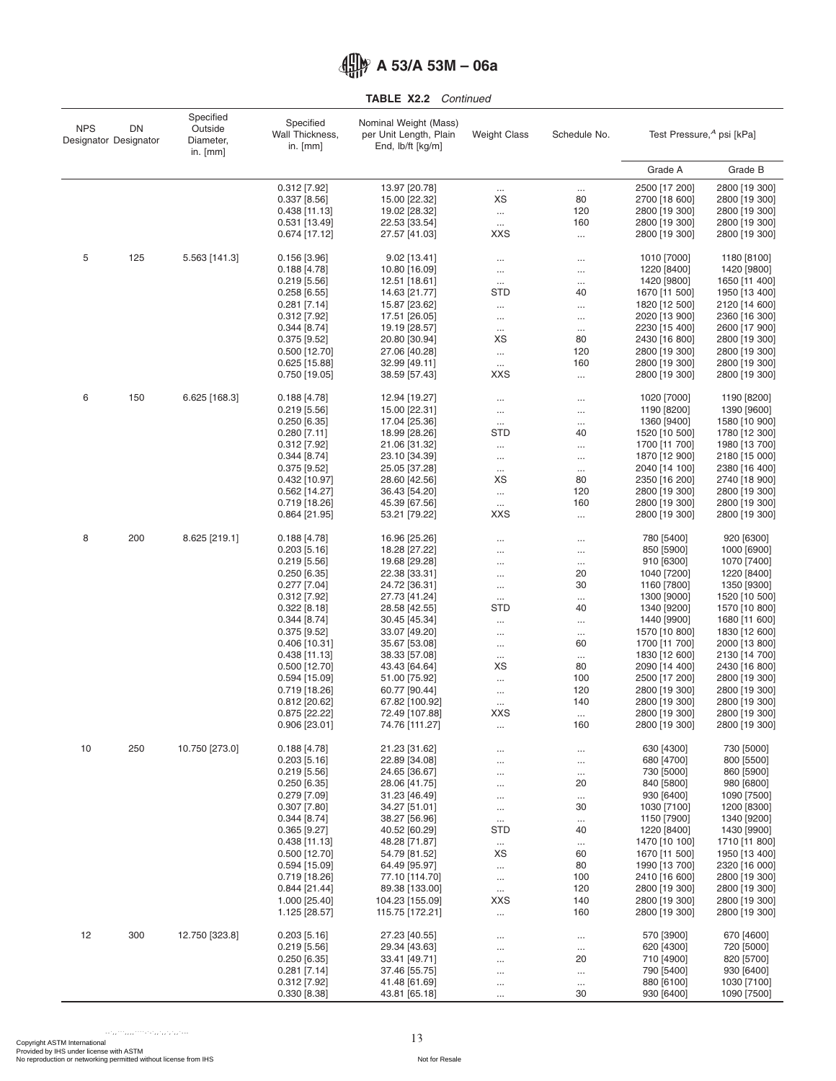**TABLE X2.2** *Continued*

| <b>NPS</b> | DN<br>Designator Designator | Specified<br>Outside<br>Diameter,<br>in. $[mm]$ | Specified<br>Wall Thickness,<br>in. $[mm]$ | Nominal Weight (Mass)<br>per Unit Length, Plain<br>End, lb/ft [kg/m] | <b>Weight Class</b>    | Schedule No.    | Test Pressure, <sup>A</sup> psi [kPa] |                                |
|------------|-----------------------------|-------------------------------------------------|--------------------------------------------|----------------------------------------------------------------------|------------------------|-----------------|---------------------------------------|--------------------------------|
|            |                             |                                                 |                                            |                                                                      |                        |                 | Grade A                               | Grade B                        |
|            |                             |                                                 | 0.312 [7.92]                               | 13.97 [20.78]                                                        | $\cdots$               | $\cdots$        | 2500 [17 200]                         | 2800 [19 300]                  |
|            |                             |                                                 | $0.337$ [8.56]                             | 15.00 [22.32]                                                        | XS                     | 80              | 2700 [18 600]                         | 2800 [19 300]                  |
|            |                             |                                                 | $0.438$ [11.13]                            | 19.02 [28.32]                                                        | $\ddotsc$              | 120             | 2800 [19 300]                         | 2800 [19 300]                  |
|            |                             |                                                 | $0.531$ [13.49]<br>0.674 [17.12]           | 22.53 [33.54]<br>27.57 [41.03]                                       | $\ldots$<br><b>XXS</b> | 160<br>$\cdots$ | 2800 [19 300]<br>2800 [19 300]        | 2800 [19 300]<br>2800 [19 300] |
|            |                             |                                                 |                                            |                                                                      |                        |                 |                                       |                                |
| 5          | 125                         | 5.563 [141.3]                                   | $0.156$ [3.96]                             | 9.02 [13.41]                                                         | $\cdots$               | $\cdots$        | 1010 [7000]                           | 1180 [8100]                    |
|            |                             |                                                 | 0.188[4.78]<br>$0.219$ [5.56]              | 10.80 [16.09]<br>12.51 [18.61]                                       | $\cdots$               |                 | 1220 [8400]<br>1420 [9800]            | 1420 [9800]<br>1650 [11 400]   |
|            |                             |                                                 | $0.258$ [6.55]                             | 14.63 [21.77]                                                        | $\ldots$<br><b>STD</b> | $\cdots$<br>40  | 1670 [11 500]                         | 1950 [13 400]                  |
|            |                             |                                                 | $0.281$ [7.14]                             | 15.87 [23.62]                                                        |                        | $\cdots$        | 1820 [12 500]                         | 2120 [14 600]                  |
|            |                             |                                                 | $0.312$ [7.92]                             | 17.51 [26.05]                                                        | $\cdots$               | $\cdots$        | 2020 [13 900]                         | 2360 [16 300]                  |
|            |                             |                                                 | 0.344 [8.74]                               | 19.19 [28.57]                                                        | $\ldots$               | $\ldots$        | 2230 [15 400]                         | 2600 [17 900]                  |
|            |                             |                                                 | $0.375$ [9.52]                             | 20.80 [30.94]                                                        | XS                     | 80              | 2430 [16 800]                         | 2800 [19 300]                  |
|            |                             |                                                 | $0.500$ [12.70]<br>$0.625$ [15.88]         | 27.06 [40.28]<br>32.99 [49.11]                                       | $\ldots$               | 120<br>160      | 2800 [19 300]<br>2800 [19 300]        | 2800 [19 300]<br>2800 [19 300] |
|            |                             |                                                 | 0.750 [19.05]                              | 38.59 [57.43]                                                        | $\ldots$<br><b>XXS</b> | $\cdots$        | 2800 [19 300]                         | 2800 [19 300]                  |
| 6          | 150                         | 6.625 [168.3]                                   | 0.188[4.78]                                | 12.94 [19.27]                                                        |                        |                 | 1020 [7000]                           | 1190 [8200]                    |
|            |                             |                                                 | $0.219$ [5.56]                             | 15.00 [22.31]                                                        | $\cdots$<br>$\cdots$   | <br>$\cdots$    | 1190 [8200]                           | 1390 [9600]                    |
|            |                             |                                                 | $0.250$ [6.35]                             | 17.04 [25.36]                                                        | $\cdots$               | $\cdots$        | 1360 [9400]                           | 1580 [10 900]                  |
|            |                             |                                                 | $0.280$ [7.11]                             | 18.99 [28.26]                                                        | <b>STD</b>             | 40              | 1520 [10 500]                         | 1780 [12 300]                  |
|            |                             |                                                 | $0.312$ [7.92]                             | 21.06 [31.32]                                                        |                        | $\cdots$        | 1700 [11 700]                         | 1980 [13 700]                  |
|            |                             |                                                 | $0.344$ [8.74]                             | 23.10 [34.39]                                                        | $\cdots$               | $\cdots$        | 1870 [12 900]                         | 2180 [15 000]                  |
|            |                             |                                                 | $0.375$ [9.52]                             | 25.05 [37.28]                                                        | $\cdots$               | $\cdots$        | 2040 [14 100]                         | 2380 [16 400]                  |
|            |                             |                                                 | 0.432 [10.97]<br>$0.562$ [14.27]           | 28.60 [42.56]<br>36.43 [54.20]                                       | XS                     | 80<br>120       | 2350 [16 200]<br>2800 [19 300]        | 2740 [18 900]<br>2800 [19 300] |
|            |                             |                                                 | $0.719$ [18.26]                            | 45.39 [67.56]                                                        | $\ldots$<br>$\cdots$   | 160             | 2800 [19 300]                         | 2800 [19 300]                  |
|            |                             |                                                 | 0.864 [21.95]                              | 53.21 [79.22]                                                        | <b>XXS</b>             | $\cdots$        | 2800 [19 300]                         | 2800 [19 300]                  |
| 8          | 200                         | 8.625 [219.1]                                   | 0.188[4.78]                                | 16.96 [25.26]                                                        | $\cdots$               | $\cdots$        | 780 [5400]                            | 920 [6300]                     |
|            |                             |                                                 | $0.203$ [5.16]                             | 18.28 [27.22]                                                        |                        | $\cdots$        | 850 [5900]                            | 1000 [6900]                    |
|            |                             |                                                 | $0.219$ [5.56]                             | 19.68 [29.28]                                                        |                        | $\cdots$        | 910 [6300]                            | 1070 [7400]                    |
|            |                             |                                                 | $0.250$ [6.35]                             | 22.38 [33.31]                                                        | $\cdots$               | 20              | 1040 [7200]                           | 1220 [8400]                    |
|            |                             |                                                 | $0.277$ [7.04]                             | 24.72 [36.31]                                                        | $\cdots$               | 30              | 1160 [7800]                           | 1350 [9300]                    |
|            |                             |                                                 | $0.312$ [7.92]<br>$0.322$ [8.18]           | 27.73 [41.24]<br>28.58 [42.55]                                       | $\cdots$<br>STD        | <br>40          | 1300 [9000]<br>1340 [9200]            | 1520 [10 500]<br>1570 [10 800] |
|            |                             |                                                 | $0.344$ [8.74]                             | 30.45 [45.34]                                                        | $\cdots$               |                 | 1440 [9900]                           | 1680 [11 600]                  |
|            |                             |                                                 | $0.375$ [9.52]                             | 33.07 [49.20]                                                        | $\cdots$               |                 | 1570 [10 800]                         | 1830 [12 600]                  |
|            |                             |                                                 | $0.406$ [10.31]                            | 35.67 [53.08]                                                        | $\cdots$               | 60              | 1700 [11 700]                         | 2000 [13 800]                  |
|            |                             |                                                 | $0.438$ [11.13]                            | 38.33 [57.08]                                                        | $\cdots$               | $\cdots$        | 1830 [12 600]                         | 2130 [14 700]                  |
|            |                             |                                                 | $0.500$ [12.70]                            | 43.43 [64.64]                                                        | XS                     | 80              | 2090 [14 400]                         | 2430 [16 800]                  |
|            |                             |                                                 | $0.594$ [15.09]<br>$0.719$ [18.26]         | 51.00 [75.92]<br>60.77 [90.44]                                       | $\cdots$               | 100<br>120      | 2500 [17 200]<br>2800 [19 300]        | 2800 [19 300]<br>2800 [19 300] |
|            |                             |                                                 | $0.812$ [20.62]                            | 67.82 [100.92]                                                       | $\ldots$<br>$\ldots$   | 140             | 2800 [19 300]                         | 2800 [19 300]                  |
|            |                             |                                                 | $0.875$ [22.22]                            | 72.49 [107.88]                                                       | <b>XXS</b>             | $\cdots$        | 2800 [19 300]                         | 2800 [19 300]                  |
|            |                             |                                                 | 0.906 [23.01]                              | 74.76 [111.27]                                                       | $\cdots$               | 160             | 2800 [19 300]                         | 2800 [19 300]                  |
| 10         | 250                         | 10.750 [273.0]                                  | 0.188[4.78]                                | 21.23 [31.62]                                                        | $\cdots$               | $\cdots$        | 630 [4300]                            | 730 [5000]                     |
|            |                             |                                                 | $0.203$ [5.16]                             | 22.89 [34.08]                                                        |                        | $\cdots$        | 680 [4700]                            | 800 [5500]                     |
|            |                             |                                                 | $0.219$ [5.56]                             | 24.65 [36.67]                                                        | $\cdots$               | $\ldots$        | 730 [5000]                            | 860 [5900]                     |
|            |                             |                                                 | $0.250$ [6.35]                             | 28.06 [41.75]                                                        | $\cdots$               | 20              | 840 [5800]                            | 980 [6800]                     |
|            |                             |                                                 | $0.279$ [7.09]<br>$0.307$ [7.80]           | 31.23 [46.49]<br>34.27 [51.01]                                       | $\cdots$               | $\cdots$<br>30  | 930 [6400]<br>1030 [7100]             | 1090 [7500]<br>1200 [8300]     |
|            |                             |                                                 | $0.344$ [8.74]                             | 38.27 [56.96]                                                        | $\cdots$<br>$\cdots$   | $\cdots$        | 1150 [7900]                           | 1340 [9200]                    |
|            |                             |                                                 | $0.365$ [9.27]                             | 40.52 [60.29]                                                        | <b>STD</b>             | 40              | 1220 [8400]                           | 1430 [9900]                    |
|            |                             |                                                 | $0.438$ [11.13]                            | 48.28 [71.87]                                                        | $\ldots$               | $\cdots$        | 1470 [10 100]                         | 1710 [11 800]                  |
|            |                             |                                                 | $0.500$ [12.70]                            | 54.79 [81.52]                                                        | XS                     | 60              | 1670 [11 500]                         | 1950 [13 400]                  |
|            |                             |                                                 | $0.594$ [15.09]                            | 64.49 [95.97]                                                        | $\cdots$               | 80              | 1990 [13 700]                         | 2320 [16 000]                  |
|            |                             |                                                 | $0.719$ [18.26]<br>0.844 [21.44]           | 77.10 [114.70]<br>89.38 [133.00]                                     | $\cdots$               | 100<br>120      | 2410 [16 600]<br>2800 [19 300]        | 2800 [19 300]                  |
|            |                             |                                                 | 1.000 [25.40]                              | 104.23 [155.09]                                                      | $\cdots$<br><b>XXS</b> | 140             | 2800 [19 300]                         | 2800 [19 300]<br>2800 [19 300] |
|            |                             |                                                 | 1.125 [28.57]                              | 115.75 [172.21]                                                      | $\ldots$               | 160             | 2800 [19 300]                         | 2800 [19 300]                  |
| 12         | 300                         | 12.750 [323.8]                                  | $0.203$ [5.16]                             | 27.23 [40.55]                                                        | $\cdots$               | $\cdots$        | 570 [3900]                            | 670 [4600]                     |
|            |                             |                                                 | $0.219$ [5.56]                             | 29.34 [43.63]                                                        | $\cdots$               | $\cdots$        | 620 [4300]                            | 720 [5000]                     |
|            |                             |                                                 | $0.250$ [6.35]                             | 33.41 [49.71]                                                        | $\cdots$               | 20              | 710 [4900]                            | 820 [5700]                     |
|            |                             |                                                 | $0.281$ [7.14]                             | 37.46 [55.75]                                                        | $\cdots$               |                 | 790 [5400]                            | 930 [6400]                     |
|            |                             |                                                 | $0.312$ [7.92]<br>0.330 [8.38]             | 41.48 [61.69]<br>43.81 [65.18]                                       | $\cdots$               | <br>30          | 880 [6100]<br>930 [6400]              | 1030 [7100]<br>1090 [7500]     |
|            |                             |                                                 |                                            |                                                                      |                        |                 |                                       |                                |

13 Copyright ASTM International Provided by IHS under license with ASTM No reproduction or networking permitted without license from IHS Not for Resale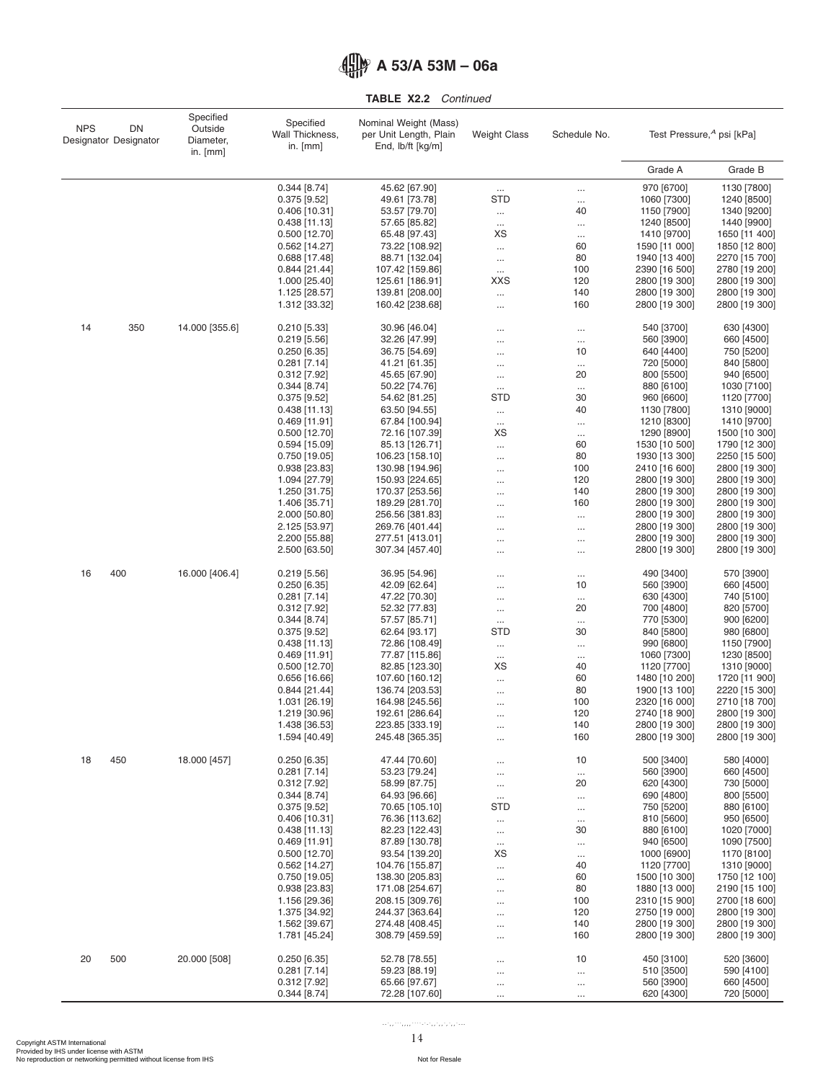|  |  | <b>TABLE X2.2</b> Continued |
|--|--|-----------------------------|
|--|--|-----------------------------|

| <b>NPS</b> | DN<br>Designator Designator | Specified<br>Outside<br>Diameter,<br>in. $[mm]$ | Specified<br>Wall Thickness,<br>in. [mm] | Nominal Weight (Mass)<br>per Unit Length, Plain<br>End, $ b/t $ [kg/m] | <b>Weight Class</b>  | Schedule No.         | Test Pressure, <sup>A</sup> psi [kPa] |                                |
|------------|-----------------------------|-------------------------------------------------|------------------------------------------|------------------------------------------------------------------------|----------------------|----------------------|---------------------------------------|--------------------------------|
|            |                             |                                                 |                                          |                                                                        |                      |                      | Grade A                               | Grade B                        |
|            |                             |                                                 | $0.344$ [8.74]                           | 45.62 [67.90]                                                          | $\cdots$             | $\cdots$             | 970 [6700]                            | 1130 [7800]                    |
|            |                             |                                                 | $0.375$ [9.52]                           | 49.61 [73.78]                                                          | <b>STD</b>           | $\cdots$             | 1060 [7300]                           | 1240 [8500]                    |
|            |                             |                                                 | $0.406$ [10.31]                          | 53.57 [79.70]                                                          | $\ldots$             | 40                   | 1150 [7900]                           | 1340 [9200]                    |
|            |                             |                                                 | $0.438$ [11.13]                          | 57.65 [85.82]                                                          | $\ldots$             | $\cdots$             | 1240 [8500]                           | 1440 [9900]                    |
|            |                             |                                                 | $0.500$ [12.70]                          | 65.48 [97.43]                                                          | XS                   |                      | 1410 [9700]                           | 1650 [11 400]                  |
|            |                             |                                                 | $0.562$ [14.27]                          | 73.22 [108.92]                                                         | $\cdots$             | 60                   | 1590 [11 000]                         | 1850 [12 800]                  |
|            |                             |                                                 | $0.688$ [17.48]                          | 88.71 [132.04]                                                         | $\cdots$             | 80                   | 1940 [13 400]                         | 2270 [15 700]                  |
|            |                             |                                                 | 0.844 [21.44]                            | 107.42 [159.86]                                                        | $\dots$              | 100                  | 2390 [16 500]                         | 2780 [19 200]                  |
|            |                             |                                                 | 1.000 [25.40]<br>1.125 [28.57]           | 125.61 [186.91]<br>139.81 [208.00]                                     | XXS                  | 120<br>140           | 2800 [19 300]<br>2800 [19 300]        | 2800 [19 300]<br>2800 [19 300] |
|            |                             |                                                 | 1.312 [33.32]                            | 160.42 [238.68]                                                        | $\ldots$<br>$\cdots$ | 160                  | 2800 [19 300]                         | 2800 [19 300]                  |
| 14         | 350                         | 14.000 [355.6]                                  | $0.210$ [5.33]                           | 30.96 [46.04]                                                          |                      | $\cdots$             | 540 [3700]                            | 630 [4300]                     |
|            |                             |                                                 | $0.219$ [5.56]                           | 32.26 [47.99]                                                          |                      | $\cdots$             | 560 [3900]                            | 660 [4500]                     |
|            |                             |                                                 | $0.250$ [6.35]                           | 36.75 [54.69]                                                          |                      | 10                   | 640 [4400]                            | 750 [5200]                     |
|            |                             |                                                 | $0.281$ [7.14]                           | 41.21 [61.35]                                                          | $\cdots$             | $\cdots$             | 720 [5000]                            | 840 [5800]                     |
|            |                             |                                                 | $0.312$ [7.92]                           | 45.65 [67.90]                                                          | $\cdots$             | 20                   | 800 [5500]                            | 940 [6500]                     |
|            |                             |                                                 | 0.344 [8.74]                             | 50.22 [74.76]                                                          | $\ldots$             | $\cdots$             | 880 [6100]                            | 1030 [7100]                    |
|            |                             |                                                 | $0.375$ [9.52]                           | 54.62 [81.25]                                                          | <b>STD</b>           | 30                   | 960 [6600]                            | 1120 [7700]                    |
|            |                             |                                                 | $0.438$ [11.13]                          | 63.50 [94.55]                                                          | $\cdots$             | 40                   | 1130 [7800]                           | 1310 [9000]                    |
|            |                             |                                                 | $0.469$ [11.91]<br>$0.500$ [12.70]       | 67.84 [100.94]<br>72.16 [107.39]                                       | $\ldots$<br>XS       | $\cdots$             | 1210 [8300]<br>1290 [8900]            | 1410 [9700]<br>1500 [10 300]   |
|            |                             |                                                 | $0.594$ [15.09]                          | 85.13 [126.71]                                                         | $\ldots$             | $\cdots$<br>60       | 1530 [10 500]                         | 1790 [12 300]                  |
|            |                             |                                                 | 0.750 [19.05]                            | 106.23 [158.10]                                                        | $\cdots$             | 80                   | 1930 [13 300]                         | 2250 [15 500]                  |
|            |                             |                                                 | 0.938 [23.83]                            | 130.98 [194.96]                                                        |                      | 100                  | 2410 [16 600]                         | 2800 [19 300]                  |
|            |                             |                                                 | 1.094 [27.79]                            | 150.93 [224.65]                                                        | $\cdots$             | 120                  | 2800 [19 300]                         | 2800 [19 300]                  |
|            |                             |                                                 | 1.250 [31.75]                            | 170.37 [253.56]                                                        |                      | 140                  | 2800 [19 300]                         | 2800 [19 300]                  |
|            |                             |                                                 | 1.406 [35.71]                            | 189.29 [281.70]                                                        | $\cdots$             | 160                  | 2800 [19 300]                         | 2800 [19 300]                  |
|            |                             |                                                 | 2.000 [50.80]                            | 256.56 [381.83]                                                        |                      |                      | 2800 [19 300]                         | 2800 [19 300]                  |
|            |                             |                                                 | 2.125 [53.97]                            | 269.76 [401.44]                                                        |                      |                      | 2800 [19 300]                         | 2800 [19 300]                  |
|            |                             |                                                 | 2.200 [55.88]<br>2.500 [63.50]           | 277.51 [413.01]<br>307.34 [457.40]                                     | <br>                 | $\cdots$<br>$\cdots$ | 2800 [19 300]<br>2800 [19 300]        | 2800 [19 300]<br>2800 [19 300] |
| 16         | 400                         | 16.000 [406.4]                                  |                                          |                                                                        |                      |                      | 490 [3400]                            | 570 [3900]                     |
|            |                             |                                                 | $0.219$ [5.56]<br>$0.250$ [6.35]         | 36.95 [54.96]<br>42.09 [62.64]                                         | <br>                 | $\cdots$<br>10       | 560 [3900]                            | 660 [4500]                     |
|            |                             |                                                 | $0.281$ [7.14]                           | 47.22 [70.30]                                                          |                      | $\cdots$             | 630 [4300]                            | 740 [5100]                     |
|            |                             |                                                 | $0.312$ [7.92]                           | 52.32 [77.83]                                                          | $\cdots$             | 20                   | 700 [4800]                            | 820 [5700]                     |
|            |                             |                                                 | 0.344 [8.74]                             | 57.57 [85.71]                                                          | $\cdots$             |                      | 770 [5300]                            | 900 [6200]                     |
|            |                             |                                                 | $0.375$ [9.52]                           | 62.64 [93.17]                                                          | <b>STD</b>           | 30                   | 840 [5800]                            | 980 [6800]                     |
|            |                             |                                                 | $0.438$ [11.13]                          | 72.86 [108.49]                                                         | $\cdots$             | $\cdots$             | 990 [6800]                            | 1150 [7900]                    |
|            |                             |                                                 | $0.469$ [11.91]                          | 77.87 [115.86]                                                         | $\ldots$             | $\cdots$             | 1060 [7300]                           | 1230 [8500]                    |
|            |                             |                                                 | $0.500$ [12.70]                          | 82.85 [123.30]                                                         | XS                   | 40                   | 1120 [7700]                           | 1310 [9000]                    |
|            |                             |                                                 | $0.656$ [16.66]                          | 107.60 [160.12]                                                        | $\ldots$             | 60                   | 1480 [10 200]                         | 1720 [11 900]                  |
|            |                             |                                                 | 0.844 [21.44]                            | 136.74 [203.53]                                                        | $\cdots$             | 80                   | 1900 [13 100]                         | 2220 [15 300]                  |
|            |                             |                                                 | 1.031 [26.19]<br>1.219 [30.96]           | 164.98 [245.56]<br>192.61 [286.64]                                     |                      | 100<br>120           | 2320 [16 000]<br>2740 [18 900]        | 2710 [18 700]<br>2800 [19 300] |
|            |                             |                                                 | 1.438 [36.53]                            | 223.85 [333.19]                                                        | $\cdots$             | 140                  | 2800 [19 300]                         | 2800 [19 300]                  |
|            |                             |                                                 | 1.594 [40.49]                            | 245.48 [365.35]                                                        | <br>                 | 160                  | 2800 [19 300]                         | 2800 [19 300]                  |
| 18         | 450                         | 18.000 [457]                                    | $0.250$ [6.35]                           | 47.44 [70.60]                                                          |                      | 10                   | 500 [3400]                            | 580 [4000]                     |
|            |                             |                                                 | $0.281$ [7.14]                           | 53.23 [79.24]                                                          |                      | $\cdots$             | 560 [3900]                            | 660 [4500]                     |
|            |                             |                                                 | $0.312$ [7.92]                           | 58.99 [87.75]                                                          | $\cdots$             | 20                   | 620 [4300]                            | 730 [5000]                     |
|            |                             |                                                 | 0.344 [8.74]                             | 64.93 [96.66]                                                          | $\ldots$             |                      | 690 [4800]                            | 800 [5500]                     |
|            |                             |                                                 | $0.375$ [9.52]                           | 70.65 [105.10]                                                         | <b>STD</b>           | $\cdots$             | 750 [5200]                            | 880 [6100]                     |
|            |                             |                                                 | $0.406$ [10.31]                          | 76.36 [113.62]                                                         | $\cdots$             | $\cdots$             | 810 [5600]                            | 950 [6500]                     |
|            |                             |                                                 | $0.438$ [11.13]                          | 82.23 [122.43]<br>87.89 [130.78]                                       | $\ldots$             | 30                   | 880 [6100]                            | 1020 [7000]                    |
|            |                             |                                                 | $0.469$ [11.91]<br>$0.500$ [12.70]       | 93.54 [139.20]                                                         | $\cdots$<br>XS       | $\cdots$             | 940 [6500]<br>1000 [6900]             | 1090 [7500]<br>1170 [8100]     |
|            |                             |                                                 | $0.562$ [14.27]                          | 104.76 [155.87]                                                        |                      | $\cdots$<br>40       | 1120 [7700]                           | 1310 [9000]                    |
|            |                             |                                                 | 0.750 [19.05]                            | 138.30 [205.83]                                                        |                      | 60                   | 1500 [10 300]                         | 1750 [12 100]                  |
|            |                             |                                                 | 0.938 [23.83]                            | 171.08 [254.67]                                                        |                      | 80                   | 1880 [13 000]                         | 2190 [15 100]                  |
|            |                             |                                                 | 1.156 [29.36]                            | 208.15 [309.76]                                                        |                      | 100                  | 2310 [15 900]                         | 2700 [18 600]                  |
|            |                             |                                                 | 1.375 [34.92]                            | 244.37 [363.64]                                                        | $\cdots$             | 120                  | 2750 [19 000]                         | 2800 [19 300]                  |
|            |                             |                                                 | 1.562 [39.67]                            | 274.48 [408.45]                                                        |                      | 140                  | 2800 [19 300]                         | 2800 [19 300]                  |
|            |                             |                                                 | 1.781 [45.24]                            | 308.79 [459.59]                                                        |                      | 160                  | 2800 [19 300]                         | 2800 [19 300]                  |
| 20         | 500                         | 20.000 [508]                                    | $0.250$ [6.35]                           | 52.78 [78.55]                                                          |                      | 10                   | 450 [3100]                            | 520 [3600]                     |
|            |                             |                                                 | $0.281$ [7.14]                           | 59.23 [88.19]                                                          |                      | $\cdots$             | 510 [3500]                            | 590 [4100]                     |
|            |                             |                                                 | $0.312$ [7.92]<br>0.344 [8.74]           | 65.66 [97.67]<br>72.28 [107.60]                                        |                      | $\cdots$             | 560 [3900]<br>620 [4300]              | 660 [4500]<br>720 [5000]       |
|            |                             |                                                 |                                          |                                                                        |                      |                      |                                       |                                |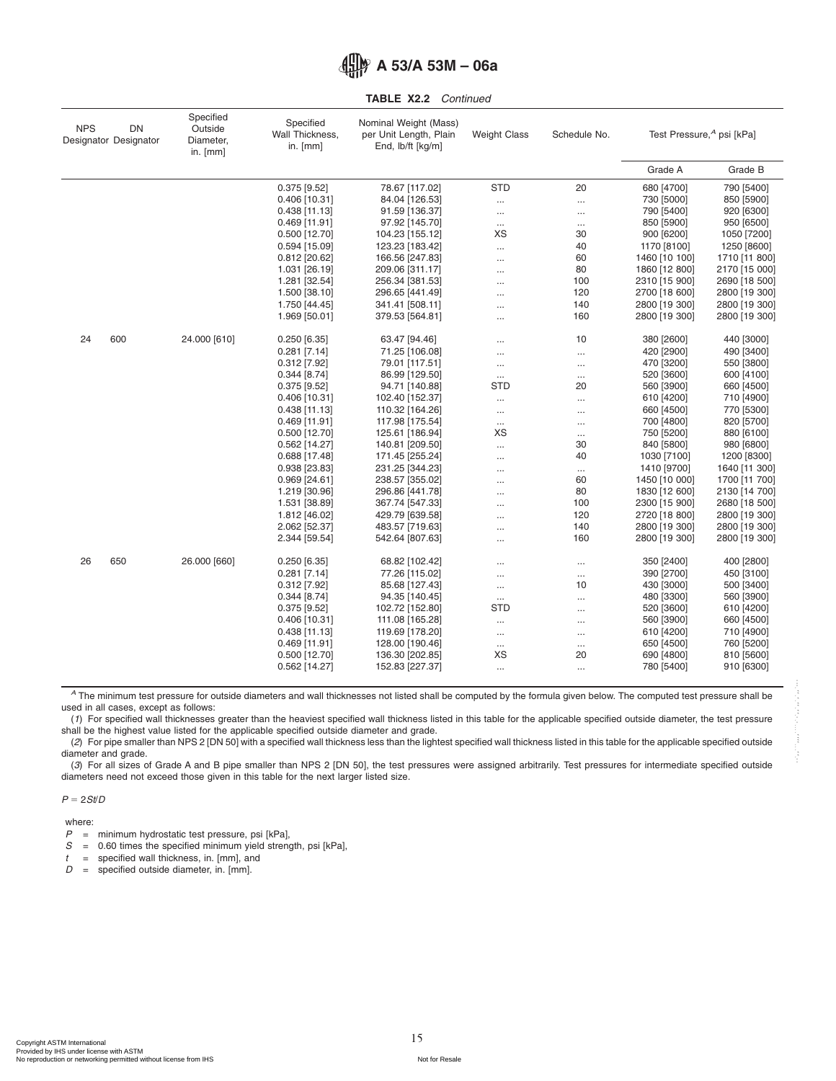|  |  | <b>TABLE X2.2</b> Continued |
|--|--|-----------------------------|
|--|--|-----------------------------|

| <b>NPS</b> | <b>DN</b><br>Designator Designator | Specified<br>Outside<br>Diameter,<br>in. $[mm]$ | Specified<br>Wall Thickness,<br>in. [mm] | Nominal Weight (Mass)<br>per Unit Length, Plain<br>End, lb/ft [kg/m] | <b>Weight Class</b> | Schedule No. | Test Pressure, <sup>4</sup> psi [kPa] |               |
|------------|------------------------------------|-------------------------------------------------|------------------------------------------|----------------------------------------------------------------------|---------------------|--------------|---------------------------------------|---------------|
|            |                                    |                                                 |                                          |                                                                      |                     |              | Grade A                               | Grade B       |
|            |                                    |                                                 | $0.375$ [9.52]                           | 78.67 [117.02]                                                       | <b>STD</b>          | 20           | 680 [4700]                            | 790 [5400]    |
|            |                                    |                                                 | $0.406$ [10.31]                          | 84.04 [126.53]                                                       | $\cdots$            |              | 730 [5000]                            | 850 [5900]    |
|            |                                    |                                                 | $0.438$ [11.13]                          | 91.59 [136.37]                                                       | $\cdots$            | $\cdots$     | 790 [5400]                            | 920 [6300]    |
|            |                                    |                                                 | $0.469$ [11.91]                          | 97.92 [145.70]                                                       | $\ldots$            | $\cdots$     | 850 [5900]                            | 950 [6500]    |
|            |                                    |                                                 | $0.500$ [12.70]                          | 104.23 [155.12]                                                      | XS                  | 30           | 900 [6200]                            | 1050 [7200]   |
|            |                                    |                                                 | $0.594$ [15.09]                          | 123.23 [183.42]                                                      | $\cdots$            | 40           | 1170 [8100]                           | 1250 [8600]   |
|            |                                    |                                                 | $0.812$ [20.62]                          | 166.56 [247.83]                                                      | $\cdots$            | 60           | 1460 [10 100]                         | 1710 [11 800] |
|            |                                    |                                                 | 1.031 [26.19]                            | 209.06 [311.17]                                                      | $\cdots$            | 80           | 1860 [12 800]                         | 2170 [15 000] |
|            |                                    |                                                 | 1.281 [32.54]                            | 256.34 [381.53]                                                      | $\ddotsc$           | 100          | 2310 [15 900]                         | 2690 [18 500] |
|            |                                    |                                                 | 1.500 [38.10]                            | 296.65 [441.49]                                                      |                     | 120          | 2700 [18 600]                         | 2800 [19 300] |
|            |                                    |                                                 | 1.750 [44.45]                            | 341.41 [508.11]                                                      | $\ddotsc$           | 140          | 2800 [19 300]                         | 2800 [19 300] |
|            |                                    |                                                 | 1.969 [50.01]                            | 379.53 [564.81]                                                      |                     | 160          | 2800 [19 300]                         | 2800 [19 300] |
| 24         | 600                                | 24.000 [610]                                    | $0.250$ [6.35]                           | 63.47 [94.46]                                                        | $\ddotsc$           | 10           | 380 [2600]                            | 440 [3000]    |
|            |                                    |                                                 | $0.281$ [7.14]                           | 71.25 [106.08]                                                       |                     | $\cdots$     | 420 [2900]                            | 490 [3400]    |
|            |                                    |                                                 | $0.312$ [7.92]                           | 79.01 [117.51]                                                       | $\cdots$            | $\cdots$     | 470 [3200]                            | 550 [3800]    |
|            |                                    |                                                 | $0.344$ [8.74]                           | 86.99 [129.50]                                                       | $\cdots$            | $\cdots$     | 520 [3600]                            | 600 [4100]    |
|            |                                    |                                                 | $0.375$ [9.52]                           | 94.71 [140.88]                                                       | <b>STD</b>          | 20           | 560 [3900]                            | 660 [4500]    |
|            |                                    |                                                 | $0.406$ [10.31]                          | 102.40 [152.37]                                                      | $\cdots$            |              | 610 [4200]                            | 710 [4900]    |
|            |                                    |                                                 | $0.438$ [11.13]                          | 110.32 [164.26]                                                      | $\cdots$            | $\cdots$     | 660 [4500]                            | 770 [5300]    |
|            |                                    |                                                 | $0.469$ [11.91]                          | 117.98 [175.54]                                                      | $\cdots$            | $\cdots$     | 700 [4800]                            | 820 [5700]    |
|            |                                    |                                                 | $0.500$ [12.70]                          | 125.61 [186.94]                                                      | XS                  | $\cdots$     | 750 [5200]                            | 880 [6100]    |
|            |                                    |                                                 | $0.562$ [14.27]                          | 140.81 [209.50]                                                      | $\cdots$            | 30           | 840 [5800]                            | 980 [6800]    |
|            |                                    |                                                 | $0.688$ [17.48]                          | 171.45 [255.24]                                                      | $\ddotsc$           | 40           | 1030 [7100]                           | 1200 [8300]   |
|            |                                    |                                                 | $0.938$ [23.83]                          | 231.25 [344.23]                                                      | $\cdots$            | $\cdots$     | 1410 [9700]                           | 1640 [11 300] |
|            |                                    |                                                 | $0.969$ [24.61]                          | 238.57 [355.02]                                                      |                     | 60           | 1450 [10 000]                         | 1700 [11 700] |
|            |                                    |                                                 | 1.219 [30.96]                            | 296.86 [441.78]                                                      | $\ddotsc$           | 80           | 1830 [12 600]                         | 2130 [14 700] |
|            |                                    |                                                 | 1.531 [38.89]                            | 367.74 [547.33]                                                      | $\ddotsc$           | 100          | 2300 [15 900]                         | 2680 [18 500] |
|            |                                    |                                                 | 1.812 [46.02]                            | 429.79 [639.58]                                                      |                     | 120          | 2720 [18 800]                         | 2800 [19 300] |
|            |                                    |                                                 | 2.062 [52.37]                            | 483.57 [719.63]                                                      | $\cdots$            | 140          | 2800 [19 300]                         | 2800 [19 300] |
|            |                                    |                                                 | 2.344 [59.54]                            | 542.64 [807.63]                                                      | $\ddotsc$           | 160          | 2800 [19 300]                         | 2800 [19 300] |
| 26         | 650                                | 26.000 [660]                                    | $0.250$ [6.35]                           | 68.82 [102.42]                                                       | $\cdots$            | $\cdots$     | 350 [2400]                            | 400 [2800]    |
|            |                                    |                                                 | $0.281$ [7.14]                           | 77.26 [115.02]                                                       | $\cdots$            | $\cdots$     | 390 [2700]                            | 450 [3100]    |
|            |                                    |                                                 | $0.312$ [7.92]                           | 85.68 [127.43]                                                       | $\cdots$            | 10           | 430 [3000]                            | 500 [3400]    |
|            |                                    |                                                 | $0.344$ [8.74]                           | 94.35 [140.45]                                                       | $\dots$             | $\cdots$     | 480 [3300]                            | 560 [3900]    |
|            |                                    |                                                 | $0.375$ [9.52]                           | 102.72 [152.80]                                                      | <b>STD</b>          | $\cdots$     | 520 [3600]                            | 610 [4200]    |
|            |                                    |                                                 | $0.406$ [10.31]                          | 111.08 [165.28]                                                      | $\cdots$            | $\cdots$     | 560 [3900]                            | 660 [4500]    |
|            |                                    |                                                 | $0.438$ [11.13]                          | 119.69 [178.20]                                                      | $\cdots$            |              | 610 [4200]                            | 710 [4900]    |
|            |                                    |                                                 | $0.469$ [11.91]                          | 128.00 [190.46]                                                      | $\cdots$            | $\cdots$     | 650 [4500]                            | 760 [5200]    |
|            |                                    |                                                 | 0.500 [12.70]                            | 136.30 [202.85]                                                      | XS                  | 20           | 690 [4800]                            | 810 [5600]    |
|            |                                    |                                                 | 0.562 [14.27]                            | 152.83 [227.37]                                                      | $\cdots$            |              | 780 [5400]                            | 910 [6300]    |
|            |                                    |                                                 |                                          |                                                                      |                     |              |                                       |               |

*<sup>A</sup>* The minimum test pressure for outside diameters and wall thicknesses not listed shall be computed by the formula given below. The computed test pressure shall be used in all cases, except as follows:

(*1*) For specified wall thicknesses greater than the heaviest specified wall thickness listed in this table for the applicable specified outside diameter, the test pressure shall be the highest value listed for the applicable specified outside diameter and grade.

(*2*) For pipe smaller than NPS 2 [DN 50] with a specified wall thickness less than the lightest specified wall thickness listed in this table for the applicable specified outside diameter and grade.

(*3*) For all sizes of Grade A and B pipe smaller than NPS 2 [DN 50], the test pressures were assigned arbitrarily. Test pressures for intermediate specified outside diameters need not exceed those given in this table for the next larger listed size.

#### $P = 2St/D$

where:<br> $P =$ 

- *P* = minimum hydrostatic test pressure, psi [kPa],<br>*S* = 0.60 times the specified minimum yield streng
- *S* = 0.60 times the specified minimum yield strength, psi [kPa],
- $t =$  specified wall thickness, in. [mm], and  $D =$  specified outside diameter, in. [mm].
- = specified outside diameter, in. [mm].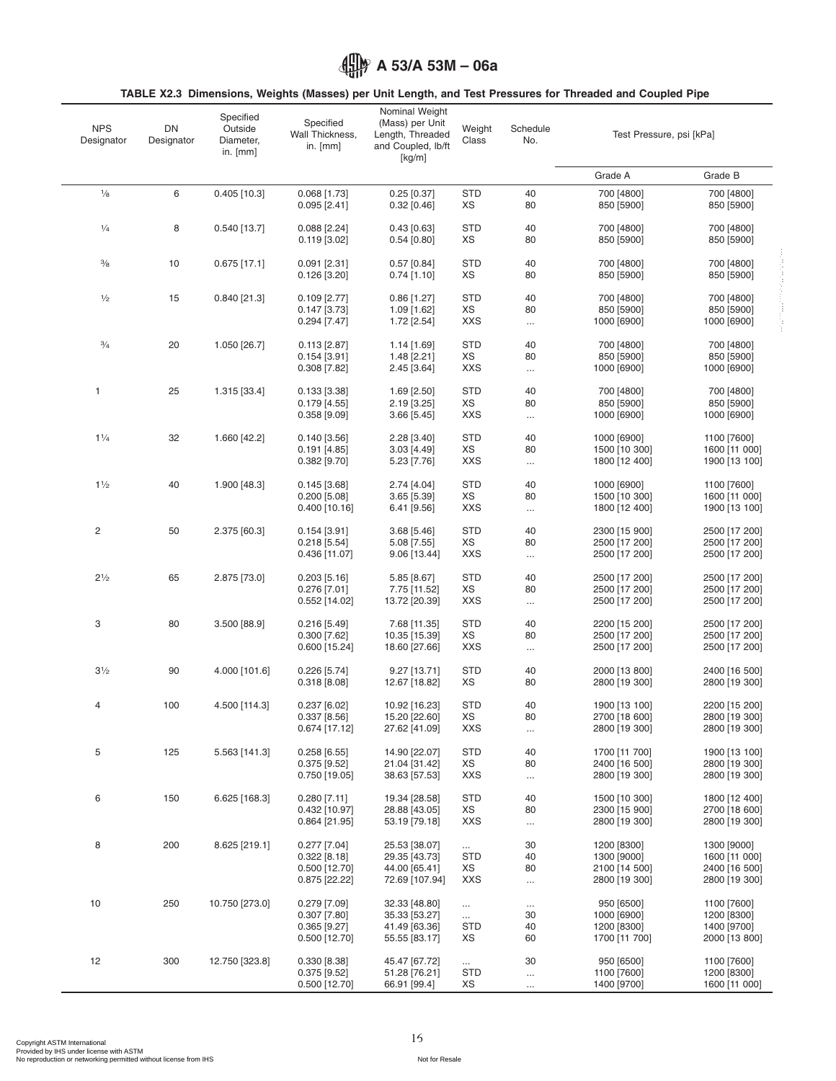<span id="page-15-0"></span>

## **TABLE X2.3 Dimensions, Weights (Masses) per Unit Length, and Test Pressures for Threaded and Coupled Pipe**

| <b>NPS</b><br>Designator | DN<br>Designator | Specified<br>Outside<br>Diameter,<br>in. [mm] | Specified<br>Wall Thickness,<br>in. $[mm]$                              | Nominal Weight<br>(Mass) per Unit<br>Length, Threaded<br>and Coupled, lb/ft<br>[kg/m] | Weight<br>Class                            | Schedule<br>No.            | Test Pressure, psi [kPa]                                     |                                                                |
|--------------------------|------------------|-----------------------------------------------|-------------------------------------------------------------------------|---------------------------------------------------------------------------------------|--------------------------------------------|----------------------------|--------------------------------------------------------------|----------------------------------------------------------------|
|                          |                  |                                               |                                                                         |                                                                                       |                                            |                            | Grade A                                                      | Grade B                                                        |
| $\frac{1}{8}$            | 6                | $0.405$ [10.3]                                | $0.068$ [1.73]<br>$0.095$ [2.41]                                        | $0.25$ [0.37]<br>$0.32$ [0.46]                                                        | <b>STD</b><br>XS                           | 40<br>80                   | 700 [4800]<br>850 [5900]                                     | 700 [4800]<br>850 [5900]                                       |
| $\frac{1}{4}$            | 8                | $0.540$ [13.7]                                | $0.088$ [2.24]<br>$0.119$ [3.02]                                        | $0.43$ [0.63]<br>$0.54$ [0.80]                                                        | <b>STD</b><br>XS                           | 40<br>80                   | 700 [4800]<br>850 [5900]                                     | 700 [4800]<br>850 [5900]                                       |
| $\frac{3}{8}$            | 10               | $0.675$ [17.1]                                | $0.091$ [2.31]<br>$0.126$ [3.20]                                        | $0.57$ [0.84]<br>$0.74$ [1.10]                                                        | <b>STD</b><br>XS                           | 40<br>80                   | 700 [4800]<br>850 [5900]                                     | 700 [4800]<br>850 [5900]                                       |
| $\frac{1}{2}$            | 15               | $0.840$ [21.3]                                | $0.109$ [2.77]<br>$0.147$ [3.73]<br>$0.294$ [7.47]                      | $0.86$ [1.27]<br>1.09 [1.62]<br>1.72 [2.54]                                           | <b>STD</b><br>XS<br><b>XXS</b>             | 40<br>80<br>$\cdots$       | 700 [4800]<br>850 [5900]<br>1000 [6900]                      | 700 [4800]<br>850 [5900]<br>1000 [6900]                        |
| $\frac{3}{4}$            | 20               | 1.050 [26.7]                                  | $0.113$ [2.87]<br>$0.154$ [3.91]<br>$0.308$ [7.82]                      | 1.14 [1.69]<br>1.48 [2.21]<br>$2.45$ [3.64]                                           | <b>STD</b><br>XS<br><b>XXS</b>             | 40<br>80<br>$\cdots$       | 700 [4800]<br>850 [5900]<br>1000 [6900]                      | 700 [4800]<br>850 [5900]<br>1000 [6900]                        |
| $\mathbf{1}$             | 25               | 1.315 [33.4]                                  | $0.133$ [3.38]<br>0.179[4.55]<br>$0.358$ [ $9.09$ ]                     | $1.69$ [2.50]<br>$2.19$ [3.25]<br>$3.66$ [5.45]                                       | <b>STD</b><br>XS<br><b>XXS</b>             | 40<br>80<br>$\cdots$       | 700 [4800]<br>850 [5900]<br>1000 [6900]                      | 700 [4800]<br>850 [5900]<br>1000 [6900]                        |
| $1\frac{1}{4}$           | 32               | 1.660 [42.2]                                  | $0.140$ [3.56]<br>$0.191$ [4.85]<br>$0.382$ [9.70]                      | $2.28$ [3.40]<br>$3.03$ [4.49]<br>5.23 [7.76]                                         | <b>STD</b><br>XS<br><b>XXS</b>             | 40<br>80<br>$\cdots$       | 1000 [6900]<br>1500 [10 300]<br>1800 [12 400]                | 1100 [7600]<br>1600 [11 000]<br>1900 [13 100]                  |
| $1\frac{1}{2}$           | 40               | 1.900 [48.3]                                  | $0.145$ [3.68]<br>$0.200$ [5.08]<br>$0.400$ [10.16]                     | 2.74 [4.04]<br>$3.65$ [5.39]<br>6.41 [9.56]                                           | <b>STD</b><br>XS<br><b>XXS</b>             | 40<br>80<br>$\ldots$       | 1000 [6900]<br>1500 [10 300]<br>1800 [12 400]                | 1100 [7600]<br>1600 [11 000]<br>1900 [13 100]                  |
| 2                        | 50               | 2.375 [60.3]                                  | $0.154$ [3.91]<br>$0.218$ [5.54]<br>0.436 [11.07]                       | 3.68 [5.46]<br>$5.08$ [7.55]<br>9.06 [13.44]                                          | <b>STD</b><br>XS<br><b>XXS</b>             | 40<br>80<br>$\ldots$       | 2300 [15 900]<br>2500 [17 200]<br>2500 [17 200]              | 2500 [17 200]<br>2500 [17 200]<br>2500 [17 200]                |
| $2^{1/2}$                | 65               | 2.875 [73.0]                                  | $0.203$ [5.16]<br>$0.276$ [7.01]<br>0.552 [14.02]                       | 5.85 [8.67]<br>7.75 [11.52]<br>13.72 [20.39]                                          | <b>STD</b><br>XS<br><b>XXS</b>             | 40<br>80<br>$\ldots$       | 2500 [17 200]<br>2500 [17 200]<br>2500 [17 200]              | 2500 [17 200]<br>2500 [17 200]<br>2500 [17 200]                |
| 3                        | 80               | $3.500$ [88.9]                                | $0.216$ [5.49]<br>$0.300$ [7.62]<br>$0.600$ [15.24]                     | 7.68 [11.35]<br>10.35 [15.39]<br>18.60 [27.66]                                        | <b>STD</b><br>XS<br>XXS                    | 40<br>80<br>$\ldots$       | 2200 [15 200]<br>2500 [17 200]<br>2500 [17 200]              | 2500 [17 200]<br>2500 [17 200]<br>2500 [17 200]                |
| $3\frac{1}{2}$           | 90               | 4.000 [101.6]                                 | $0.226$ [5.74]<br>0.318[8.08]                                           | 9.27 [13.71]<br>12.67 [18.82]                                                         | <b>STD</b><br>XS                           | 40<br>80                   | 2000 [13 800]<br>2800 [19 300]                               | 2400 [16 500]<br>2800 [19 300]                                 |
| 4                        | 100              | 4.500 [114.3]                                 | $0.237$ [6.02]<br>0.337[8.56]<br>0.674 [17.12]                          | 10.92 [16.23]<br>15.20 [22.60]<br>27.62 [41.09]                                       | <b>STD</b><br>XS<br>XXS                    | 40<br>80<br>$\ldots$       | 1900 [13 100]<br>2700 [18 600]<br>2800 [19 300]              | 2200 [15 200]<br>2800 [19 300]<br>2800 [19 300]                |
| 5                        | 125              | 5.563 [141.3]                                 | 0.258[6.55]<br>$0.375$ [9.52]<br>$0.750$ [19.05]                        | 14.90 [22.07]<br>21.04 [31.42]<br>38.63 [57.53]                                       | <b>STD</b><br>ХS<br><b>XXS</b>             | 40<br>80<br>$\ldots$       | 1700 [11 700]<br>2400 [16 500]<br>2800 [19 300]              | 1900 [13 100]<br>2800 [19 300]<br>2800 [19 300]                |
| 6                        | 150              | 6.625 [168.3]                                 | $0.280$ [7.11]<br>0.432 [10.97]<br>0.864 [21.95]                        | 19.34 [28.58]<br>28.88 [43.05]<br>53.19 [79.18]                                       | <b>STD</b><br>XS<br><b>XXS</b>             | 40<br>80<br>$\ldots$       | 1500 [10 300]<br>2300 [15 900]<br>2800 [19 300]              | 1800 [12 400]<br>2700 [18 600]<br>2800 [19 300]                |
| 8                        | 200              | 8.625 [219.1]                                 | $0.277$ [7.04]<br>0.322 [8.18]<br>$0.500$ [12.70]<br>0.875 [22.22]      | 25.53 [38.07]<br>29.35 [43.73]<br>44.00 [65.41]<br>72.69 [107.94]                     | $\cdots$<br><b>STD</b><br>ΧS<br><b>XXS</b> | 30<br>40<br>80<br>$\cdots$ | 1200 [8300]<br>1300 [9000]<br>2100 [14 500]<br>2800 [19 300] | 1300 [9000]<br>1600 [11 000]<br>2400 [16 500]<br>2800 [19 300] |
| 10                       | 250              | 10.750 [273.0]                                | $0.279$ [7.09]<br>$0.307$ [7.80]<br>$0.365$ [ $9.27$ ]<br>0.500 [12.70] | 32.33 [48.80]<br>35.33 [53.27]<br>41.49 [63.36]<br>55.55 [83.17]                      | $\ldots$<br>$\cdots$<br><b>STD</b><br>ХS   | $\cdots$<br>30<br>40<br>60 | 950 [6500]<br>1000 [6900]<br>1200 [8300]<br>1700 [11 700]    | 1100 [7600]<br>1200 [8300]<br>1400 [9700]<br>2000 [13 800]     |
| 12                       | 300              | 12.750 [323.8]                                | 0.330 [8.38]<br>$0.375$ [9.52]<br>$0.500$ [12.70]                       | 45.47 [67.72]<br>51.28 [76.21]<br>66.91 [99.4]                                        | $\cdots$<br><b>STD</b><br>XS               | 30<br>$\ldots$<br>$\cdots$ | 950 [6500]<br>1100 [7600]<br>1400 [9700]                     | 1100 [7600]<br>1200 [8300]<br>1600 [11 000]                    |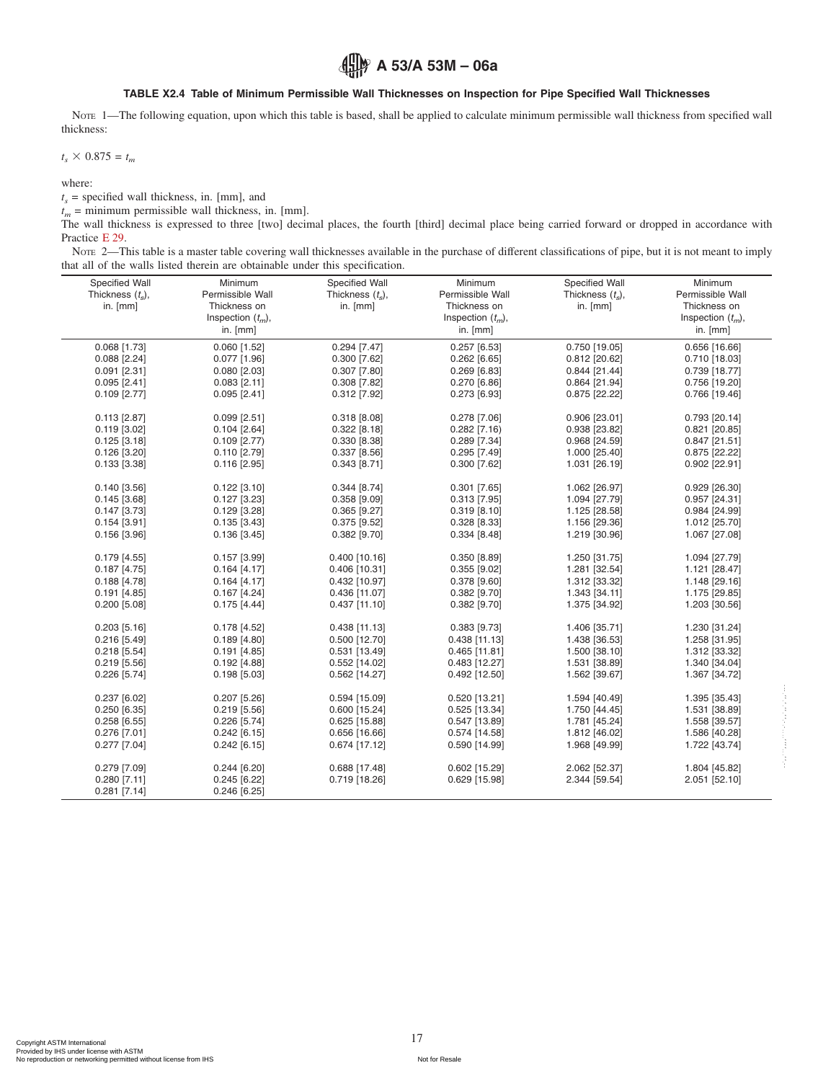#### <span id="page-16-1"></span><span id="page-16-0"></span>**TABLE X2.4 Table of Minimum Permissible Wall Thicknesses on Inspection for Pipe Specified Wall Thicknesses**

Note 1—The following equation, upon which this table is based, shall be applied to calculate minimum permissible wall thickness from specified wall thickness:

 $t_s \times 0.875 = t_m$ 

where:

 $t<sub>s</sub>$  = specified wall thickness, in. [mm], and

 $t_m$  = minimum permissible wall thickness, in. [mm].

The wall thickness is expressed to three [two] decimal places, the fourth [third] decimal place being carried forward or dropped in accordance with Practice [E 29.](#page-1-14)

NOTE 2—This table is a master table covering wall thicknesses available in the purchase of different classifications of pipe, but it is not meant to imply that all of the walls listed therein are obtainable under this specification.

| Specified Wall<br>Thickness $(t_s)$ , | Minimum<br>Permissible Wall | Specified Wall<br>Thickness $(t_{s})$ , | Minimum<br>Permissible Wall | Specified Wall<br>Thickness $(t_{s})$ , | Minimum<br>Permissible Wall |
|---------------------------------------|-----------------------------|-----------------------------------------|-----------------------------|-----------------------------------------|-----------------------------|
| in. [mm]                              | Thickness on                | in. [mm]                                | Thickness on                | in. [mm]                                | Thickness on                |
|                                       | Inspection $(t_m)$ ,        |                                         | Inspection $(t_m)$ ,        |                                         | Inspection $(t_m)$ ,        |
|                                       | in. $[mm]$                  |                                         | in. [mm]                    |                                         | in. $[mm]$                  |
| $0.068$ [1.73]                        | $0.060$ [1.52]              | $0.294$ [7.47]                          | $0.257$ [6.53]              | $0.750$ [19.05]                         | $0.656$ [16.66]             |
| $0.088$ [2.24]                        | $0.077$ [1.96]              | $0.300$ [7.62]                          | $0.262$ [6.65]              | $0.812$ [20.62]                         | $0.710$ [18.03]             |
| $0.091$ [2.31]                        | $0.080$ [2.03]              | $0.307$ [7.80]                          | $0.269$ [6.83]              | $0.844$ [21.44]                         | 0.739 [18.77]               |
| $0.095$ [2.41]                        | $0.083$ [2.11]              | $0.308$ [7.82]                          | 0.270 [6.86]                | 0.864 [21.94]                           | 0.756 [19.20]               |
| $0.109$ [2.77]                        | $0.095$ [2.41]              | $0.312$ [7.92]                          | $0.273$ [6.93]              | 0.875 [22.22]                           | 0.766 [19.46]               |
| $0.113$ [2.87]                        | $0.099$ [2.51]              | 0.318 [8.08]                            | $0.278$ [7.06]              | 0.906 [23.01]                           | 0.793 [20.14]               |
| $0.119$ [3.02]                        | $0.104$ [2.64]              | $0.322$ [8.18]                          | $0.282$ [7.16)              | 0.938 [23.82]                           | $0.821$ [20.85]             |
| $0.125$ [3.18]                        | $0.109$ [2.77)              | $0.330$ [8.38]                          | 0.289 [7.34]                | 0.968 [24.59]                           | $0.847$ [21.51]             |
| $0.126$ [3.20]                        | $0.110$ [2.79]              | $0.337$ [8.56]                          | 0.295 [7.49]                | 1.000 [25.40]                           | 0.875 [22.22]               |
| $0.133$ [3.38]                        | $0.116$ [2.95]              | $0.343$ [8.71]                          | $0.300$ [7.62]              | 1.031 [26.19]                           | 0.902 [22.91]               |
| $0.140$ [3.56]                        | $0.122$ [3.10]              | $0.344$ [8.74]                          | $0.301$ [7.65]              | 1.062 [26.97]                           | $0.929$ [26.30]             |
| $0.145$ [3.68]                        | $0.127$ [3.23]              | $0.358$ [9.09]                          | $0.313$ [7.95]              | 1.094 [27.79]                           | 0.957 [24.31]               |
| $0.147$ [3.73]                        | $0.129$ [3.28]              | $0.365$ [9.27]                          | $0.319$ [8.10]              | 1.125 [28.58]                           | 0.984 [24.99]               |
| $0.154$ [3.91]                        | $0.135$ [3.43]              | $0.375$ [9.52]                          | 0.328 [8.33]                | 1.156 [29.36]                           | 1.012 [25.70]               |
| $0.156$ [3.96]                        | $0.136$ [3.45]              | $0.382$ [9.70]                          | $0.334$ [8.48]              | 1.219 [30.96]                           | 1.067 [27.08]               |
|                                       |                             |                                         |                             |                                         |                             |
| $0.179$ [4.55]                        | $0.157$ [3.99]              | $0.400$ [10.16]                         | 0.350 [8.89]                | 1.250 [31.75]                           | 1.094 [27.79]               |
| $0.187$ [4.75]                        | $0.164$ [4.17]              | 0.406 [10.31]                           | $0.355$ [ $9.02$ ]          | 1.281 [32.54]                           | 1.121 [28.47]               |
| $0.188$ [4.78]                        | $0.164$ [4.17]              | 0.432 [10.97]                           | 0.378 [9.60]                | 1.312 [33.32]                           | 1.148 [29.16]               |
| $0.191$ [4.85]                        | $0.167$ [4.24]              | 0.436 [11.07]                           | 0.382 [9.70]                | 1.343 [34.11]                           | 1.175 [29.85]               |
| $0.200$ [5.08]                        | $0.175$ [4.44]              | $0.437$ [11.10]                         | $0.382$ [9.70]              | 1.375 [34.92]                           | 1.203 [30.56]               |
| $0.203$ [5.16]                        | $0.178$ [4.52]              | $0.438$ [11.13]                         | 0.383 [9.73]                | 1.406 [35.71]                           | 1.230 [31.24]               |
| $0.216$ [5.49]                        | $0.189$ [4.80]              | 0.500 [12.70]                           | $0.438$ [11.13]             | 1.438 [36.53]                           | 1.258 [31.95]               |
| $0.218$ [5.54]                        | $0.191$ [4.85]              | 0.531 [13.49]                           | $0.465$ [11.81]             | 1.500 [38.10]                           | 1.312 [33.32]               |
| $0.219$ [5.56]                        | $0.192$ [4.88]              | 0.552 [14.02]                           | $0.483$ [12.27]             | 1.531 [38.89]                           | 1.340 [34.04]               |
| $0.226$ [5.74]                        | $0.198$ [5.03]              | 0.562 [14.27]                           | $0.492$ [12.50]             | 1.562 [39.67]                           | 1.367 [34.72]               |
| 0.237[6.02]                           | $0.207$ [5.26]              | 0.594 [15.09]                           | 0.520 [13.21]               | 1.594 [40.49]                           | 1.395 [35.43]               |
| $0.250$ [6.35]                        | $0.219$ [5.56]              | 0.600 [15.24]                           | 0.525 [13.34]               | 1.750 [44.45]                           | 1.531 [38.89]               |
| $0.258$ [6.55]                        | $0.226$ [5.74]              | 0.625 [15.88]                           | 0.547 [13.89]               | 1.781 [45.24]                           | 1.558 [39.57]               |
| $0.276$ [7.01]                        | $0.242$ [6.15]              | $0.656$ [16.66]                         | $0.574$ [14.58]             | 1.812 [46.02]                           | 1.586 [40.28]               |
| $0.277$ [7.04]                        | $0.242$ [6.15]              | 0.674 [17.12]                           | 0.590 [14.99]               | 1.968 [49.99]                           | 1.722 [43.74]               |
|                                       |                             |                                         |                             |                                         |                             |
| 0.279 [7.09]                          | $0.244$ [6.20]              | 0.688 [17.48]                           | 0.602 [15.29]               | 2.062 [52.37]                           | 1.804 [45.82]               |
| $0.280$ [7.11]                        | $0.245$ [6.22]              | 0.719 [18.26]                           | 0.629 [15.98]               | 2.344 [59.54]                           | 2.051 [52.10]               |
| $0.281$ [7.14]                        | $0.246$ [6.25]              |                                         |                             |                                         |                             |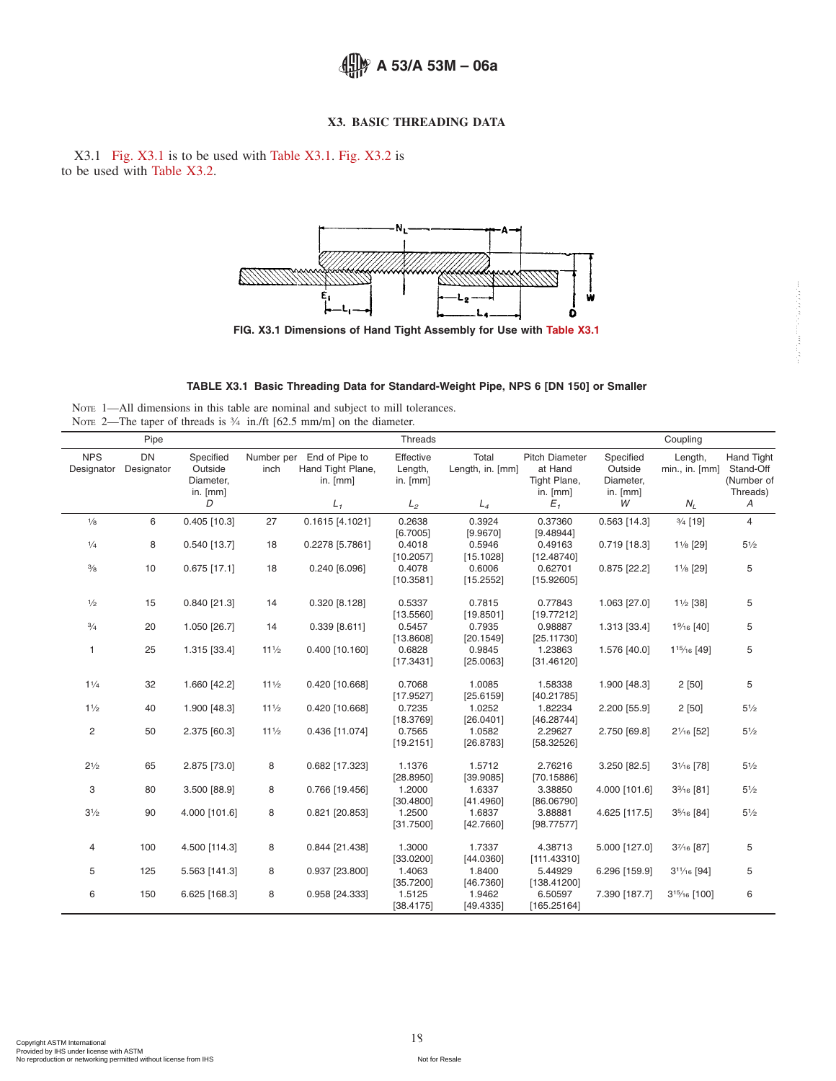## <span id="page-17-1"></span><span id="page-17-0"></span>**X3. BASIC THREADING DATA**

X3.1 [Fig. X3.1](#page-17-1) is to be used with [Table X3.1.](#page-17-0) [Fig. X3.2](#page-18-2) is to be used with [Table X3.2.](#page-18-1)



**FIG. X3.1 Dimensions of Hand Tight Assembly for Use with [Table X3.1](#page-17-0)**



NOTE 1-All dimensions in this table are nominal and subject to mill tolerances. NOTE 2—The taper of threads is  $\frac{3}{4}$  in./ft [62.5 mm/m] on the diameter.

|                          | Pipe                    |                                   |                 |                                                            | Threads                            |                           |                                                  |                                   | Coupling                             |                                              |
|--------------------------|-------------------------|-----------------------------------|-----------------|------------------------------------------------------------|------------------------------------|---------------------------|--------------------------------------------------|-----------------------------------|--------------------------------------|----------------------------------------------|
| <b>NPS</b><br>Designator | <b>DN</b><br>Designator | Specified<br>Outside<br>Diameter, | inch            | Number per End of Pipe to<br>Hand Tight Plane,<br>in. [mm] | Effective<br>Length,<br>in. $[mm]$ | Total<br>Length, in. [mm] | <b>Pitch Diameter</b><br>at Hand<br>Tight Plane, | Specified<br>Outside<br>Diameter, | Length,<br>$min.$ , in. $[mm]$       | <b>Hand Tight</b><br>Stand-Off<br>(Number of |
|                          |                         | in. [mm]<br>D                     |                 | $L_{1}$                                                    | L <sub>2</sub>                     | $L_4$                     | in. [mm]<br>$E_{1}$                              | in. $[mm]$<br>W                   | $N_L$                                | Threads)<br>Α                                |
|                          |                         |                                   |                 |                                                            |                                    |                           |                                                  |                                   |                                      |                                              |
| $\frac{1}{8}$            | 6                       | $0.405$ [10.3]                    | 27              | $0.1615$ [4.1021]                                          | 0.2638<br>[6.7005]                 | 0.3924<br>[9.9670]        | 0.37360<br>[9.48944]                             | $0.563$ [14.3]                    | $\frac{3}{4}$ [19]                   | 4                                            |
| 1/4                      | 8                       | $0.540$ [13.7]                    | 18              | 0.2278 [5.7861]                                            | 0.4018                             | 0.5946                    | 0.49163                                          | $0.719$ [18.3]                    | 1% [29]                              | $5\frac{1}{2}$                               |
|                          |                         |                                   |                 |                                                            | [10.2057]                          | [15.1028]                 | [12.48740]                                       |                                   |                                      |                                              |
| $\frac{3}{8}$            | 10                      | $0.675$ [17.1]                    | 18              | 0.240 [6.096]                                              | 0.4078                             | 0.6006                    | 0.62701                                          | $0.875$ [22.2]                    | 1% [29]                              | 5                                            |
|                          |                         |                                   |                 |                                                            | [10.3581]                          | [15.2552]                 | [15.92605]                                       |                                   |                                      |                                              |
| $\frac{1}{2}$            | 15                      | $0.840$ [21.3]                    | 14              | 0.320 [8.128]                                              | 0.5337                             | 0.7815                    | 0.77843                                          | 1.063 [27.0]                      | $1\frac{1}{2}$ [38]                  | 5                                            |
|                          |                         |                                   |                 |                                                            | [13.5560]                          | [19.8501]                 | [19.77212]                                       |                                   |                                      |                                              |
| $\frac{3}{4}$            | 20                      | 1.050 [26.7]                      | 14              | $0.339$ [8.611]                                            | 0.5457                             | 0.7935                    | 0.98887                                          | 1.313 [33.4]                      | 1% [40]                              | 5                                            |
|                          |                         |                                   |                 |                                                            | [13.8608]                          | [20.1549]                 | [25.11730]                                       |                                   |                                      |                                              |
| 1                        | 25                      | 1.315 [33.4]                      | $11\frac{1}{2}$ | 0.400 [10.160]                                             | 0.6828                             | 0.9845                    | 1.23863                                          | 1.576 [40.0]                      | 1 <sup>15</sup> / <sub>16</sub> [49] | 5                                            |
|                          |                         |                                   |                 |                                                            | [17.3431]                          | [25.0063]                 | [31.46120]                                       |                                   |                                      |                                              |
| $1\frac{1}{4}$           | 32                      | 1.660 [42.2]                      | $11\frac{1}{2}$ | 0.420 [10.668]                                             | 0.7068                             | 1.0085                    | 1.58338                                          | 1.900 [48.3]                      | 2[50]                                | 5                                            |
|                          |                         |                                   |                 |                                                            | [17.9527]                          | [25.6159]                 | [40.21785]                                       |                                   |                                      |                                              |
| $1\frac{1}{2}$           | 40                      | 1.900 [48.3]                      | $11\frac{1}{2}$ | 0.420 [10.668]                                             | 0.7235                             | 1.0252                    | 1.82234                                          | 2.200 [55.9]                      | 2[50]                                | $5\frac{1}{2}$                               |
|                          | 50                      |                                   | $11\frac{1}{2}$ | 0.436 [11.074]                                             | [18.3769]<br>0.7565                | [26.0401]<br>1.0582       | [46.28744]<br>2.29627                            |                                   |                                      | $5\frac{1}{2}$                               |
| $\overline{c}$           |                         | 2.375 [60.3]                      |                 |                                                            | [19.2151]                          | [26.8783]                 | [58.32526]                                       | 2.750 [69.8]                      | 21/16 [52]                           |                                              |
|                          |                         |                                   |                 |                                                            |                                    |                           |                                                  |                                   |                                      |                                              |
| $2^{1/2}$                | 65                      | 2.875 [73.0]                      | 8               | 0.682 [17.323]                                             | 1.1376                             | 1.5712                    | 2.76216                                          | 3.250 [82.5]                      | $3\frac{1}{6}$ [78]                  | $5\frac{1}{2}$                               |
|                          |                         |                                   |                 |                                                            | [28.8950]                          | [39.9085]                 | [70.15886]                                       |                                   |                                      |                                              |
| 3                        | 80                      | 3.500 [88.9]                      | 8               | 0.766 [19.456]                                             | 1.2000                             | 1.6337                    | 3.38850                                          | 4.000 [101.6]                     | 3%6 [81]                             | $5\frac{1}{2}$                               |
| $3\frac{1}{2}$           | 90                      | 4.000 [101.6]                     | 8               | 0.821 [20.853]                                             | [30.4800]<br>1.2500                | [41.4960]<br>1.6837       | [86.06790]<br>3.88881                            | 4.625 [117.5]                     | 35/16 [84]                           | $5\frac{1}{2}$                               |
|                          |                         |                                   |                 |                                                            | [31.7500]                          | [42.7660]                 | [98.77577]                                       |                                   |                                      |                                              |
|                          |                         |                                   |                 |                                                            |                                    |                           |                                                  |                                   |                                      |                                              |
| $\overline{4}$           | 100                     | 4.500 [114.3]                     | 8               | 0.844 [21.438]                                             | 1.3000                             | 1.7337                    | 4.38713                                          | 5.000 [127.0]                     | $3\frac{7}{16}$ [87]                 | 5                                            |
|                          |                         |                                   |                 |                                                            | [33.0200]                          | [44.0360]                 | [111.43310]                                      |                                   |                                      |                                              |
| 5                        | 125                     | 5.563 [141.3]                     | 8               | 0.937 [23.800]                                             | 1.4063                             | 1.8400                    | 5.44929                                          | 6.296 [159.9]                     | $3^{11}/_{16}$ [94]                  | 5                                            |
| 6                        | 150                     | 6.625 [168.3]                     | 8               | 0.958 [24.333]                                             | [35.7200]<br>1.5125                | [46.7360]<br>1.9462       | [138.41200]<br>6.50597                           | 7.390 [187.7]                     | 315/16 [100]                         | 6                                            |
|                          |                         |                                   |                 |                                                            | [38.4175]                          | [49.4335]                 | [165.25164]                                      |                                   |                                      |                                              |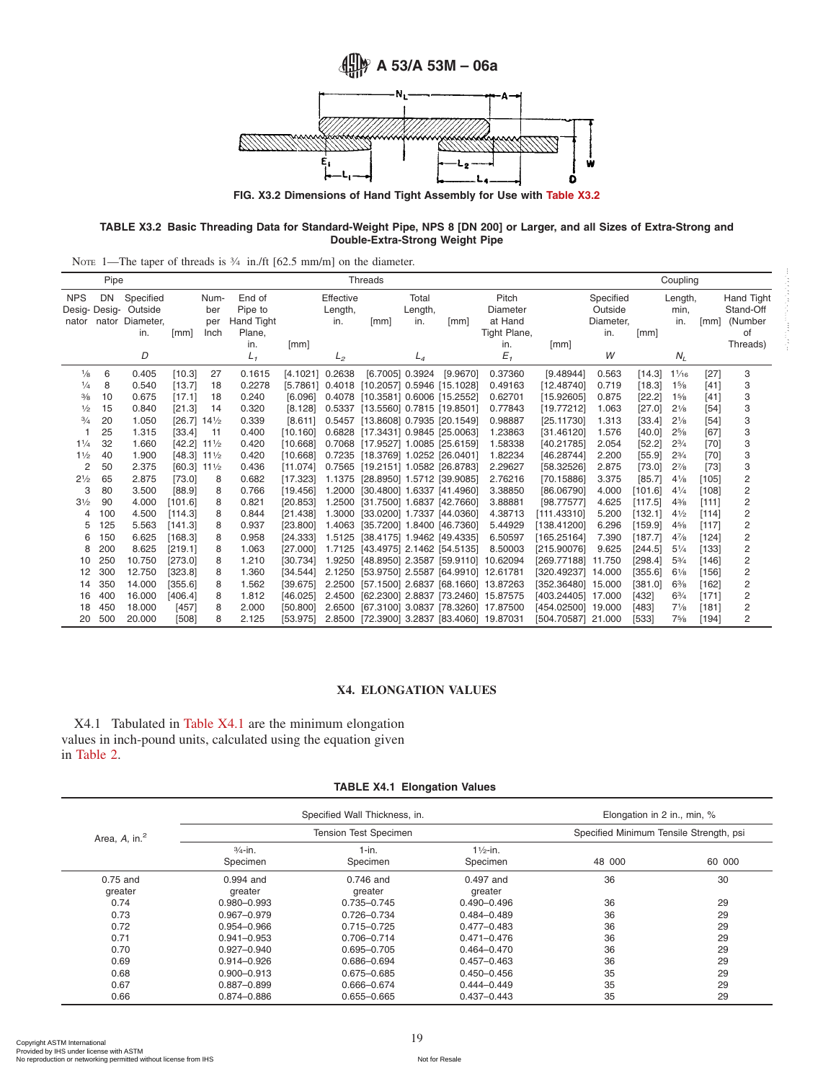<span id="page-18-2"></span>

<span id="page-18-1"></span>**FIG. X3.2 Dimensions of Hand Tight Assembly for Use with [Table X3.2](#page-18-1)**

#### **TABLE X3.2 Basic Threading Data for Standard-Weight Pipe, NPS 8 [DN 200] or Larger, and all Sizes of Extra-Strong and Double-Extra-Strong Weight Pipe**

|  | NOTE 1—The taper of threads is $\frac{3}{4}$ in./ft [62.5 mm/m] on the diameter. |
|--|----------------------------------------------------------------------------------|
|--|----------------------------------------------------------------------------------|

|                                     | Pipe |                                                |                           |                            |                                           |                 |                             | Threads                                    |                         |          |                                              |                    |                                          |         | Coupling               |        |                                          |
|-------------------------------------|------|------------------------------------------------|---------------------------|----------------------------|-------------------------------------------|-----------------|-----------------------------|--------------------------------------------|-------------------------|----------|----------------------------------------------|--------------------|------------------------------------------|---------|------------------------|--------|------------------------------------------|
| <b>NPS</b><br>Desig-Desig-<br>nator | DN   | Specified<br>Outside<br>nator Diameter,<br>in. | [mm]                      | Num-<br>ber<br>per<br>Inch | End of<br>Pipe to<br>Hand Tight<br>Plane, |                 | Effective<br>Length,<br>in. | [mm]                                       | Total<br>Length,<br>in. | [mm]     | Pitch<br>Diameter<br>at Hand<br>Tight Plane, |                    | Specified<br>Outside<br>Diameter,<br>in. | [mm]    | Length,<br>min,<br>in. | [mm]   | Hand Tight<br>Stand-Off<br>(Number<br>οf |
|                                     |      | D                                              |                           |                            | in.<br>L,                                 | [mm]            | $L_2$                       |                                            | $L_4$                   |          | in.<br>$E_{1}$                               | [mm]               | W                                        |         | $N_L$                  |        | Threads)                                 |
| $\frac{1}{8}$                       | 6    | 0.405                                          | [10.3]                    | 27                         | 0.1615                                    | [4.1021] 0.2638 |                             | [6.7005] 0.3924                            |                         | [9.9670] | 0.37360                                      | [9.48944]          | 0.563                                    | [14.3]  | $1\frac{1}{16}$        | $[27]$ | 3                                        |
| 1/4                                 | 8    | 0.540                                          | [13.7]                    | 18                         | 0.2278                                    |                 |                             | [5.7861] 0.4018 [10.2057] 0.5946 [15.1028] |                         |          | 0.49163                                      | [12.48740]         | 0.719                                    | [18.3]  | 15/8                   | [41]   | 3                                        |
| $\frac{3}{8}$                       | 10   | 0.675                                          | [17.1]                    | 18                         | 0.240                                     | [6.096]         | 0.4078                      | [10.3581] 0.6006 [15.2552]                 |                         |          | 0.62701                                      | [15.92605]         | 0.875                                    | [22.2]  | 15/8                   | [41]   | 3                                        |
| $\frac{1}{2}$                       | 15   | 0.840                                          | [21.3]                    | 14                         | 0.320                                     | [8.128]         | 0.5337                      | [13.5560] 0.7815 [19.8501]                 |                         |          | 0.77843                                      | [19.77212]         | 1.063                                    | [27.0]  | $2\frac{1}{8}$         | $[54]$ | 3                                        |
| $\frac{3}{4}$                       | 20   | 1.050                                          | [26.7]                    | $14\frac{1}{2}$            | 0.339                                     | [8.611]         | 0.5457                      | [13.8608] 0.7935 [20.1549]                 |                         |          | 0.98887                                      | [25.11730]         | 1.313                                    | [33.4]  | $2\frac{1}{8}$         | $[54]$ | 3                                        |
|                                     | 25   | 1.315                                          | [33.4]                    | 11                         | 0.400                                     | [10.160]        |                             | 0.6828 [17.3431] 0.9845 [25.0063]          |                         |          | 1.23863                                      | [31.46120]         | 1.576                                    | [40.0]  | $2^{5/8}$              | [67]   | 3                                        |
| 11/4                                | 32   | 1.660                                          | $[42.2]$ 111/2            |                            | 0.420                                     | [10.668]        |                             | 0.7068 [17.9527] 1.0085 [25.6159]          |                         |          | 1.58338                                      | [40.21785]         | 2.054                                    | [52.2]  | $2^{3/4}$              | $[70]$ | 3                                        |
| 11/2                                | 40   | 1.900                                          | $[48.3]$ 11 $\frac{1}{2}$ |                            | 0.420                                     | [10.668]        |                             | 0.7235 [18.3769] 1.0252 [26.0401]          |                         |          | 1.82234                                      | [46.28744]         | 2.200                                    | [55.9]  | $2^{3/4}$              | $[70]$ | 3                                        |
| 2                                   | 50   | 2.375                                          | $[60.3]$ 11 $\frac{1}{2}$ |                            | 0.436                                     | [11.074]        |                             | 0.7565 [19.2151] 1.0582 [26.8783]          |                         |          | 2.29627                                      | [58.32526]         | 2.875                                    | [73.0]  | $2^{7}/8$              | $[73]$ | 3                                        |
| $2\frac{1}{2}$                      | 65   | 2.875                                          | [73.0]                    | 8                          | 0.682                                     | [17.323]        |                             | 1.1375 [28.8950] 1.5712 [39.9085]          |                         |          | 2.76216                                      | [70.15886]         | 3.375                                    | [85.7]  | $4\frac{1}{8}$         | [105]  | 2                                        |
| 3                                   | 80   | 3.500                                          | [88.9]                    | 8                          | 0.766                                     | [19.456]        | 1.2000                      | [30.4800] 1.6337 [41.4960]                 |                         |          | 3.38850                                      | [86.06790]         | 4.000                                    | [101.6] | $4^{1/4}$              | [108]  | $\overline{c}$                           |
| $3\frac{1}{2}$                      | 90   | 4.000                                          | [101.6]                   | 8                          | 0.821                                     | [20.853]        | 1.2500                      | [31.7500] 1.6837 [42.7660]                 |                         |          | 3.88881                                      | [98.77577]         | 4.625                                    | [117.5] | $4\frac{3}{8}$         | [111]  | $\overline{c}$                           |
| 4                                   | 100  | 4.500                                          | [114.3]                   | 8                          | 0.844                                     | [21.438]        | 1.3000                      | [33.0200] 1.7337 [44.0360]                 |                         |          | 4.38713                                      | [111.43310]        | 5.200                                    | [132.1] | $4\frac{1}{2}$         | [114]  | $\overline{c}$                           |
| 5                                   | 125  | 5.563                                          | [141.3]                   | 8                          | 0.937                                     | [23.800]        |                             | 1.4063 [35.7200] 1.8400 [46.7360]          |                         |          | 5.44929                                      | [138.41200]        | 6.296                                    | [159.9] | $4\frac{5}{8}$         | [117]  | $\overline{c}$                           |
| 6                                   | 150  | 6.625                                          | [168.3]                   | 8                          | 0.958                                     | [24.333]        |                             | 1.5125 [38.4175] 1.9462 [49.4335]          |                         |          | 6.50597                                      | [165.25164]        | 7.390                                    | [187.7] | $4^{7}/_{8}$           | [124]  | 2                                        |
| 8                                   | 200  | 8.625                                          | [219.1]                   | 8                          | 1.063                                     | [27,000]        |                             | 1.7125 [43.4975] 2.1462 [54.5135]          |                         |          | 8.50003                                      | [215.90076]        | 9.625                                    | [244.5] | $5\frac{1}{4}$         | [133]  | $\overline{c}$                           |
| 10                                  | 250  | 10.750                                         | [273.0]                   | 8                          | 1.210                                     | [30.734]        |                             | 1.9250 [48.8950] 2.3587 [59.9110]          |                         |          | 10.62094                                     | [269.77188]        | 11.750                                   | [298.4] | $5^{3}/4$              | [146]  | 2                                        |
| 12                                  | 300  | 12.750                                         | [323.8]                   | 8                          | 1.360                                     | [34.544]        | 2.1250                      | [53.9750] 2.5587 [64.9910] 12.61781        |                         |          |                                              | [320.49237]        | 14.000                                   | [355.6] | $6\frac{1}{8}$         | [156]  | $\overline{c}$                           |
| 14                                  | 350  | 14.000                                         | [355.6]                   | 8                          | 1.562                                     | [39.675]        |                             |                                            |                         |          | 2.2500 [57.1500] 2.6837 [68.1660] 13.87263   | [352.36480] 15.000 |                                          | [381.0] | $6\frac{3}{8}$         | [162]  | 2                                        |
| 16                                  | 400  | 16.000                                         | [406.4]                   | 8                          | 1.812                                     | [46.025]        | 2.4500                      |                                            |                         |          | [62.2300] 2.8837 [73.2460] 15.87575          | [403.24405]        | 17.000                                   | [432]   | $6^{3}/4$              | [171]  | $\overline{c}$                           |
| 18                                  | 450  | 18.000                                         | [457]                     | 8                          | 2.000                                     | [50,800]        | 2.6500                      |                                            |                         |          | [67.3100] 3.0837 [78.3260] 17.87500          | [454.02500] 19.000 |                                          | [483]   | $7\frac{1}{8}$         | [181]  | 2                                        |
| 20                                  | 500  | 20.000                                         | [508]                     | 8                          | 2.125                                     | [53.975]        |                             |                                            |                         |          | 2.8500 [72.3900] 3.2837 [83.4060] 19.87031   | [504.70587] 21.000 |                                          | [533]   | 75/8                   | [194]  | 2                                        |

#### **X4. ELONGATION VALUES**

X4.1 Tabulated in [Table X4.1](#page-18-0) are the minimum elongation values in inch-pound units, calculated using the equation given in [Table 2.](#page-2-4)

## <span id="page-18-0"></span>**TABLE X4.1 Elongation Values**

|                     |                                | Specified Wall Thickness, in. |                                 | Elongation in 2 in., min, %             |        |
|---------------------|--------------------------------|-------------------------------|---------------------------------|-----------------------------------------|--------|
| Area, $A$ , in. $2$ |                                | <b>Tension Test Specimen</b>  |                                 | Specified Minimum Tensile Strength, psi |        |
|                     | $\frac{3}{4}$ -in.<br>Specimen | $1-in.$<br>Specimen           | $1\frac{1}{2}$ -in.<br>Specimen | 48 000                                  | 60 000 |
| 0.75 and            | 0.994 and                      | $0.746$ and                   | 0.497 and                       | 36                                      | 30     |
| greater             | greater                        | greater                       | greater                         |                                         |        |
| 0.74                | $0.980 - 0.993$                | 0.735-0.745                   | $0.490 - 0.496$                 | 36                                      | 29     |
| 0.73                | 0.967-0.979                    | 0.726-0.734                   | $0.484 - 0.489$                 | 36                                      | 29     |
| 0.72                | $0.954 - 0.966$                | $0.715 - 0.725$               | $0.477 - 0.483$                 | 36                                      | 29     |
| 0.71                | $0.941 - 0.953$                | 0.706-0.714                   | $0.471 - 0.476$                 | 36                                      | 29     |
| 0.70                | $0.927 - 0.940$                | 0.695-0.705                   | 0.464-0.470                     | 36                                      | 29     |
| 0.69                | $0.914 - 0.926$                | 0.686-0.694                   | $0.457 - 0.463$                 | 36                                      | 29     |
| 0.68                | $0.900 - 0.913$                | $0.675 - 0.685$               | $0.450 - 0.456$                 | 35                                      | 29     |
| 0.67                | $0.887 - 0.899$                | 0.666-0.674                   | $0.444 - 0.449$                 | 35                                      | 29     |
| 0.66                | 0.874-0.886                    | $0.655 - 0.665$               | $0.437 - 0.443$                 | 35                                      | 29     |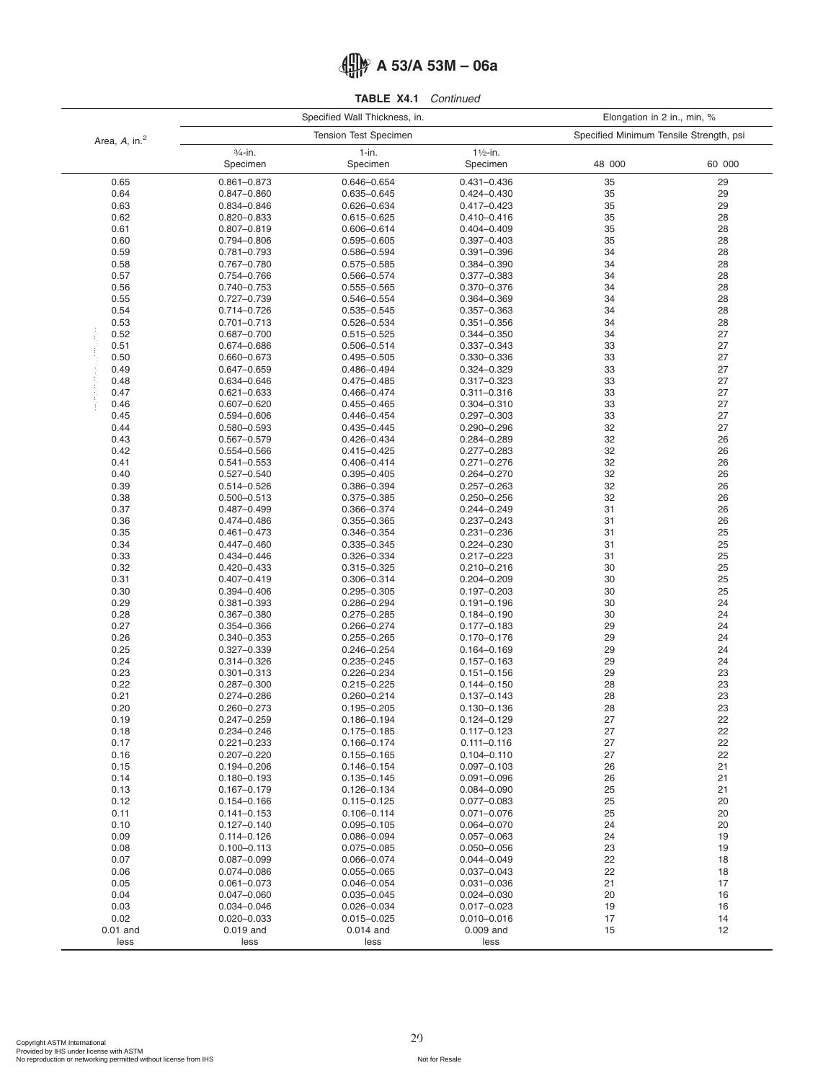|  | 4 MH A 53/A 53M - 06a |
|--|-----------------------|
|--|-----------------------|

| TABLE X4.1 |  | Continued |
|------------|--|-----------|
|------------|--|-----------|

|                           |                                    | Specified Wall Thickness, in.      | Elongation in 2 in., min, %     |                                         |          |  |
|---------------------------|------------------------------------|------------------------------------|---------------------------------|-----------------------------------------|----------|--|
| Area, A, in. <sup>2</sup> |                                    | <b>Tension Test Specimen</b>       |                                 | Specified Minimum Tensile Strength, psi |          |  |
|                           | $3/4$ -in.<br>Specimen             | $1-in.$<br>Specimen                | $1\frac{1}{2}$ -in.<br>Specimen | 48 000                                  | 60 000   |  |
| 0.65                      | $0.861 - 0.873$                    | 0.646-0.654                        | $0.431 - 0.436$                 | 35                                      | 29       |  |
| 0.64                      | $0.847 - 0.860$                    | $0.635 - 0.645$                    | $0.424 - 0.430$                 | 35                                      | 29       |  |
| 0.63                      | 0.834-0.846                        | 0.626-0.634                        | $0.417 - 0.423$                 | 35                                      | 29       |  |
| 0.62                      | 0.820-0.833                        | 0.615-0.625                        | $0.410 - 0.416$                 | 35                                      | 28       |  |
| 0.61                      | $0.807 - 0.819$                    | 0.606-0.614                        | $0.404 - 0.409$                 | 35                                      | 28       |  |
| 0.60                      | 0.794-0.806                        | $0.595 - 0.605$                    | $0.397 - 0.403$                 | 35                                      | 28       |  |
| 0.59                      | 0.781-0.793                        | 0.586-0.594                        | $0.391 - 0.396$                 | 34                                      | 28       |  |
| 0.58                      | 0.767-0.780                        | $0.575 - 0.585$                    | 0.384-0.390                     | 34                                      | 28       |  |
| 0.57                      | 0.754-0.766                        | 0.566-0.574                        | 0.377-0.383                     | 34                                      | 28       |  |
| 0.56                      | 0.740-0.753                        | 0.555-0.565                        | 0.370-0.376                     | 34                                      | 28       |  |
| 0.55                      | 0.727-0.739                        | 0.546-0.554                        | 0.364-0.369                     | 34                                      | 28       |  |
| 0.54                      | 0.714-0.726                        | 0.535-0.545                        | $0.357 - 0.363$                 | 34                                      | 28       |  |
| 0.53                      | $0.701 - 0.713$                    | 0.526-0.534                        | $0.351 - 0.356$                 | 34                                      | 28       |  |
| 0.52                      | 0.687-0.700                        | 0.515-0.525                        | 0.344-0.350                     | 34                                      | 27       |  |
| 0.51                      | 0.674-0.686                        | 0.506-0.514                        | 0.337-0.343                     | 33                                      | 27       |  |
| 0.50                      | 0.660-0.673                        | $0.495 - 0.505$                    | 0.330-0.336                     | 33                                      | 27       |  |
| 0.49                      | 0.647-0.659                        | 0.486-0.494                        | 0.324-0.329                     | 33                                      | 27       |  |
| 0.48                      | 0.634-0.646                        | $0.475 - 0.485$                    | 0.317-0.323                     | 33                                      | 27       |  |
| 0.47                      | $0.621 - 0.633$                    | $0.466 - 0.474$                    | $0.311 - 0.316$                 | 33                                      | 27       |  |
| 0.46                      | $0.607 - 0.620$                    | $0.455 - 0.465$                    | 0.304-0.310                     | 33                                      | 27       |  |
| 0.45                      | 0.594-0.606                        | $0.446 - 0.454$                    | $0.297 - 0.303$                 | 33                                      | 27       |  |
| 0.44                      | 0.580-0.593                        | $0.435 - 0.445$                    | $0.290 - 0.296$                 | 32                                      | 27       |  |
| 0.43                      | 0.567-0.579                        | 0.426-0.434                        | 0.284-0.289                     | 32                                      | 26       |  |
| 0.42                      | 0.554-0.566                        | $0.415 - 0.425$                    | $0.277 - 0.283$                 | 32                                      | 26       |  |
| 0.41                      | $0.541 - 0.553$                    | $0.406 - 0.414$                    | $0.271 - 0.276$                 | 32                                      | 26       |  |
| 0.40                      | $0.527 - 0.540$                    | $0.395 - 0.405$                    | 0.264-0.270                     | 32                                      | 26       |  |
| 0.39                      | 0.514-0.526                        | 0.386-0.394                        | $0.257 - 0.263$                 | 32                                      | 26       |  |
| 0.38                      | $0.500 - 0.513$                    | 0.375-0.385                        | $0.250 - 0.256$                 | 32                                      | 26       |  |
| 0.37                      | 0.487-0.499                        | 0.366-0.374                        | 0.244-0.249                     | 31                                      | 26       |  |
| 0.36<br>0.35              | 0.474-0.486                        | 0.355-0.365                        | 0.237-0.243                     | 31<br>31                                | 26       |  |
| 0.34                      | $0.461 - 0.473$                    | 0.346-0.354                        | 0.231-0.236                     | 31                                      | 25<br>25 |  |
| 0.33                      | 0.447-0.460<br>0.434-0.446         | 0.335-0.345<br>0.326-0.334         | 0.224-0.230<br>0.217-0.223      | 31                                      | 25       |  |
| 0.32                      | 0.420-0.433                        | 0.315-0.325                        | 0.210-0.216                     | 30                                      | 25       |  |
| 0.31                      | $0.407 - 0.419$                    | 0.306-0.314                        | $0.204 - 0.209$                 | 30                                      | 25       |  |
| 0.30                      | 0.394-0.406                        | $0.295 - 0.305$                    | $0.197 - 0.203$                 | 30                                      | 25       |  |
| 0.29                      | $0.381 - 0.393$                    | 0.286-0.294                        | $0.191 - 0.196$                 | 30                                      | 24       |  |
| 0.28                      | 0.367-0.380                        | 0.275-0.285                        | $0.184 - 0.190$                 | 30                                      | 24       |  |
| 0.27                      | 0.354-0.366                        | 0.266-0.274                        | $0.177 - 0.183$                 | 29                                      | 24       |  |
| 0.26                      | 0.340-0.353                        | $0.255 - 0.265$                    | 0.170-0.176                     | 29                                      | 24       |  |
| 0.25                      | $0.327 - 0.339$                    | 0.246-0.254                        | $0.164 - 0.169$                 | 29                                      | 24       |  |
| 0.24                      | 0.314-0.326                        | $0.235 - 0.245$                    | $0.157 - 0.163$                 | 29                                      | 24       |  |
| 0.23                      | $0.301 - 0.313$                    | 0.226-0.234                        | $0.151 - 0.156$                 | 29                                      | 23       |  |
| 0.22                      | 0.287-0.300                        | $0.215 - 0.225$                    | $0.144 - 0.150$                 | 28                                      | 23       |  |
| 0.21                      | 0.274-0.286                        | $0.260 - 0.214$                    | $0.137 - 0.143$                 | 28                                      | 23       |  |
| 0.20                      | 0.260-0.273                        | $0.195 - 0.205$                    | $0.130 - 0.136$                 | 28                                      | 23       |  |
| 0.19                      | $0.247 - 0.259$                    | 0.186-0.194                        | 0.124-0.129                     | 27                                      | 22       |  |
| 0.18                      | 0.234-0.246                        | $0.175 - 0.185$                    | $0.117 - 0.123$                 | 27                                      | 22       |  |
| 0.17                      | $0.221 - 0.233$                    | 0.166-0.174                        | $0.111 - 0.116$                 | 27                                      | 22       |  |
| 0.16                      | $0.207 - 0.220$                    | $0.155 - 0.165$                    | $0.104 - 0.110$                 | 27                                      | 22       |  |
| 0.15                      | 0.194-0.206                        | $0.146 - 0.154$                    | $0.097 - 0.103$                 | 26                                      | 21       |  |
| 0.14                      | $0.180 - 0.193$                    | $0.135 - 0.145$                    | $0.091 - 0.096$                 | 26                                      | 21       |  |
| 0.13                      | $0.167 - 0.179$                    | $0.126 - 0.134$                    | $0.084 - 0.090$                 | 25                                      | 21       |  |
| 0.12                      | $0.154 - 0.166$                    | $0.115 - 0.125$                    | $0.077 - 0.083$                 | 25                                      | 20       |  |
| 0.11                      | $0.141 - 0.153$                    | $0.106 - 0.114$                    | $0.071 - 0.076$                 | 25                                      | 20       |  |
| 0.10                      | $0.127 - 0.140$                    | $0.095 - 0.105$                    | $0.064 - 0.070$                 | 24                                      | 20       |  |
| 0.09                      | $0.114 - 0.126$                    | 0.086-0.094                        | $0.057 - 0.063$                 | 24                                      | 19       |  |
| 0.08                      | $0.100 - 0.113$                    | $0.075 - 0.085$                    | 0.050-0.056                     | 23                                      | 19       |  |
| 0.07                      | $0.087 - 0.099$                    | 0.066-0.074                        | $0.044 - 0.049$                 | 22                                      | 18       |  |
| 0.06                      | 0.074-0.086                        | $0.055 - 0.065$                    | $0.037 - 0.043$                 | 22<br>21                                | 18<br>17 |  |
| 0.05<br>0.04              | $0.061 - 0.073$<br>$0.047 - 0.060$ | 0.046-0.054                        | 0.031-0.036                     | 20                                      | 16       |  |
| 0.03                      | 0.034-0.046                        | $0.035 - 0.045$<br>$0.026 - 0.034$ | 0.024-0.030<br>$0.017 - 0.023$  | 19                                      | 16       |  |
| 0.02                      | $0.020 - 0.033$                    | $0.015 - 0.025$                    | $0.010 - 0.016$                 | 17                                      | 14       |  |
| $0.01$ and                | $0.019$ and                        | $0.014$ and                        | 0.009 and                       | 15                                      | 12       |  |
| less                      | less                               | less                               | less                            |                                         |          |  |
|                           |                                    |                                    |                                 |                                         |          |  |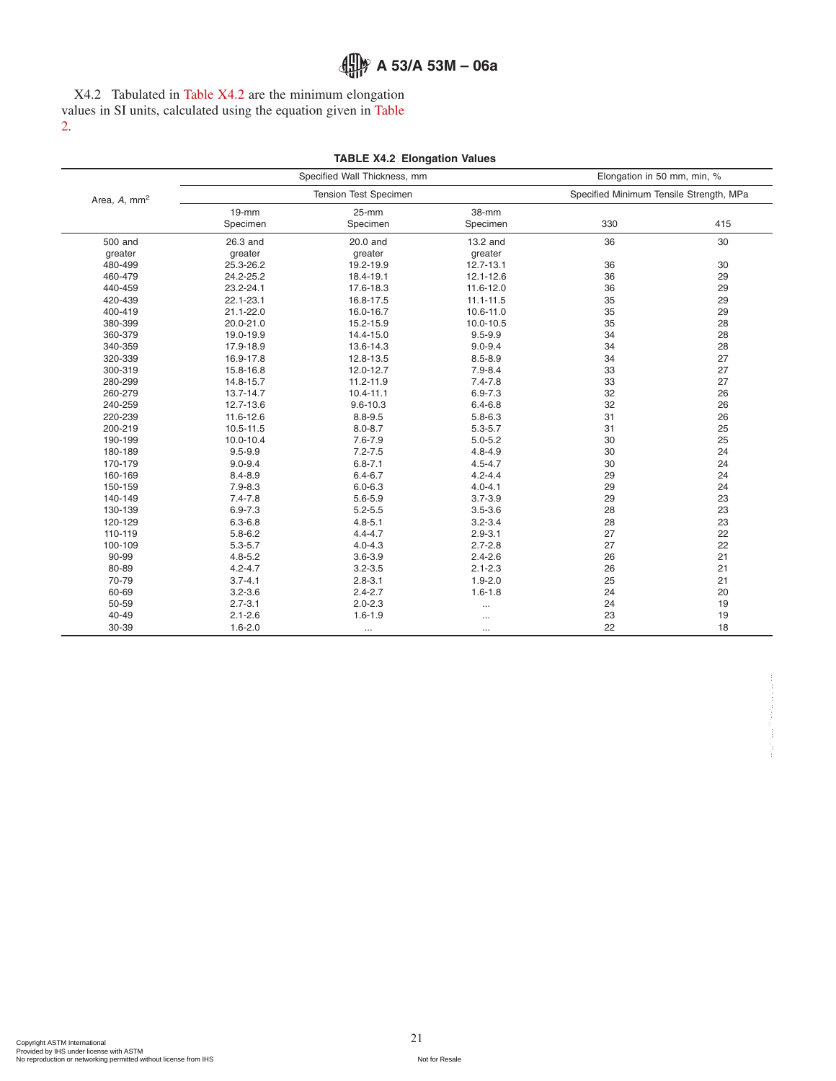X4.2 Tabulated in [Table X4.2](#page-20-0) are the minimum elongation values in SI units, calculated using the equation given in [Table](#page-2-4) [2.](#page-2-4)

<span id="page-20-0"></span>

|             | Specified Wall Thickness, mm                                                                                                                                                                                       |                                                                                                                                                                                                                        | Elongation in 50 mm, min, %                                                                                                                                                                               |                                                                                                                 |  |  |
|-------------|--------------------------------------------------------------------------------------------------------------------------------------------------------------------------------------------------------------------|------------------------------------------------------------------------------------------------------------------------------------------------------------------------------------------------------------------------|-----------------------------------------------------------------------------------------------------------------------------------------------------------------------------------------------------------|-----------------------------------------------------------------------------------------------------------------|--|--|
|             | Tension Test Specimen                                                                                                                                                                                              |                                                                                                                                                                                                                        | Specified Minimum Tensile Strength, MPa                                                                                                                                                                   |                                                                                                                 |  |  |
| $19-mm$     | $25-mm$                                                                                                                                                                                                            | 38-mm                                                                                                                                                                                                                  |                                                                                                                                                                                                           |                                                                                                                 |  |  |
|             |                                                                                                                                                                                                                    |                                                                                                                                                                                                                        |                                                                                                                                                                                                           | 415                                                                                                             |  |  |
| 26.3 and    | 20.0 and                                                                                                                                                                                                           | 13.2 and                                                                                                                                                                                                               | 36                                                                                                                                                                                                        | 30                                                                                                              |  |  |
|             |                                                                                                                                                                                                                    |                                                                                                                                                                                                                        |                                                                                                                                                                                                           |                                                                                                                 |  |  |
|             |                                                                                                                                                                                                                    |                                                                                                                                                                                                                        |                                                                                                                                                                                                           | 30                                                                                                              |  |  |
|             |                                                                                                                                                                                                                    |                                                                                                                                                                                                                        |                                                                                                                                                                                                           | 29                                                                                                              |  |  |
| 23.2-24.1   | 17.6-18.3                                                                                                                                                                                                          | 11.6-12.0                                                                                                                                                                                                              |                                                                                                                                                                                                           | 29                                                                                                              |  |  |
| 22.1-23.1   | 16.8-17.5                                                                                                                                                                                                          | $11.1 - 11.5$                                                                                                                                                                                                          |                                                                                                                                                                                                           | 29                                                                                                              |  |  |
| 21.1-22.0   | 16.0-16.7                                                                                                                                                                                                          | 10.6-11.0                                                                                                                                                                                                              |                                                                                                                                                                                                           | 29                                                                                                              |  |  |
| 20.0-21.0   | 15.2-15.9                                                                                                                                                                                                          | 10.0-10.5                                                                                                                                                                                                              | 35                                                                                                                                                                                                        | 28                                                                                                              |  |  |
| 19.0-19.9   | 14.4-15.0                                                                                                                                                                                                          | $9.5 - 9.9$                                                                                                                                                                                                            | 34                                                                                                                                                                                                        | 28                                                                                                              |  |  |
| 17.9-18.9   | 13.6-14.3                                                                                                                                                                                                          | $9.0 - 9.4$                                                                                                                                                                                                            | 34                                                                                                                                                                                                        | 28                                                                                                              |  |  |
| 16.9-17.8   | 12.8-13.5                                                                                                                                                                                                          | $8.5 - 8.9$                                                                                                                                                                                                            | 34                                                                                                                                                                                                        | 27                                                                                                              |  |  |
| 15.8-16.8   | 12.0-12.7                                                                                                                                                                                                          | $7.9 - 8.4$                                                                                                                                                                                                            | 33                                                                                                                                                                                                        | 27                                                                                                              |  |  |
| 14.8-15.7   | $11.2 - 11.9$                                                                                                                                                                                                      | $7.4 - 7.8$                                                                                                                                                                                                            | 33                                                                                                                                                                                                        | 27                                                                                                              |  |  |
| 13.7-14.7   | $10.4 - 11.1$                                                                                                                                                                                                      | $6.9 - 7.3$                                                                                                                                                                                                            | 32                                                                                                                                                                                                        | 26                                                                                                              |  |  |
| 12.7-13.6   | $9.6 - 10.3$                                                                                                                                                                                                       | $6.4 - 6.8$                                                                                                                                                                                                            | 32                                                                                                                                                                                                        | 26                                                                                                              |  |  |
| 11.6-12.6   | $8.8 - 9.5$                                                                                                                                                                                                        | $5.8 - 6.3$                                                                                                                                                                                                            | 31                                                                                                                                                                                                        | 26                                                                                                              |  |  |
| 10.5-11.5   | $8.0 - 8.7$                                                                                                                                                                                                        | $5.3 - 5.7$                                                                                                                                                                                                            | 31                                                                                                                                                                                                        | 25                                                                                                              |  |  |
| 10.0-10.4   | $7.6 - 7.9$                                                                                                                                                                                                        | $5.0 - 5.2$                                                                                                                                                                                                            | 30                                                                                                                                                                                                        | 25                                                                                                              |  |  |
| $9.5 - 9.9$ |                                                                                                                                                                                                                    | $4.8 - 4.9$                                                                                                                                                                                                            |                                                                                                                                                                                                           | 24                                                                                                              |  |  |
| $9.0 - 9.4$ | $6.8 - 7.1$                                                                                                                                                                                                        | $4.5 - 4.7$                                                                                                                                                                                                            | 30                                                                                                                                                                                                        | 24                                                                                                              |  |  |
| $8.4 - 8.9$ | $6.4 - 6.7$                                                                                                                                                                                                        | $4.2 - 4.4$                                                                                                                                                                                                            |                                                                                                                                                                                                           | 24                                                                                                              |  |  |
| $7.9 - 8.3$ | $6.0 - 6.3$                                                                                                                                                                                                        | $4.0 - 4.1$                                                                                                                                                                                                            | 29                                                                                                                                                                                                        | 24                                                                                                              |  |  |
| $7.4 - 7.8$ | $5.6 - 5.9$                                                                                                                                                                                                        | $3.7 - 3.9$                                                                                                                                                                                                            | 29                                                                                                                                                                                                        | 23                                                                                                              |  |  |
|             |                                                                                                                                                                                                                    |                                                                                                                                                                                                                        |                                                                                                                                                                                                           | 23                                                                                                              |  |  |
|             |                                                                                                                                                                                                                    |                                                                                                                                                                                                                        |                                                                                                                                                                                                           | 23                                                                                                              |  |  |
|             |                                                                                                                                                                                                                    |                                                                                                                                                                                                                        |                                                                                                                                                                                                           | 22                                                                                                              |  |  |
|             |                                                                                                                                                                                                                    |                                                                                                                                                                                                                        |                                                                                                                                                                                                           | 22                                                                                                              |  |  |
|             |                                                                                                                                                                                                                    |                                                                                                                                                                                                                        |                                                                                                                                                                                                           | 21                                                                                                              |  |  |
|             |                                                                                                                                                                                                                    |                                                                                                                                                                                                                        |                                                                                                                                                                                                           | 21                                                                                                              |  |  |
|             |                                                                                                                                                                                                                    |                                                                                                                                                                                                                        |                                                                                                                                                                                                           | 21                                                                                                              |  |  |
|             |                                                                                                                                                                                                                    |                                                                                                                                                                                                                        |                                                                                                                                                                                                           | 20                                                                                                              |  |  |
|             |                                                                                                                                                                                                                    |                                                                                                                                                                                                                        |                                                                                                                                                                                                           | 19                                                                                                              |  |  |
|             |                                                                                                                                                                                                                    |                                                                                                                                                                                                                        |                                                                                                                                                                                                           | 19                                                                                                              |  |  |
|             |                                                                                                                                                                                                                    |                                                                                                                                                                                                                        |                                                                                                                                                                                                           | 18                                                                                                              |  |  |
|             | Specimen<br>greater<br>25.3-26.2<br>24.2-25.2<br>$6.9 - 7.3$<br>$6.3 - 6.8$<br>$5.8 - 6.2$<br>$5.3 - 5.7$<br>$4.8 - 5.2$<br>$4.2 - 4.7$<br>$3.7 - 4.1$<br>$3.2 - 3.6$<br>$2.7 - 3.1$<br>$2.1 - 2.6$<br>$1.6 - 2.0$ | Specimen<br>greater<br>19.2-19.9<br>18.4-19.1<br>$7.2 - 7.5$<br>$5.2 - 5.5$<br>$4.8 - 5.1$<br>$4.4 - 4.7$<br>$4.0 - 4.3$<br>$3.6 - 3.9$<br>$3.2 - 3.5$<br>$2.8 - 3.1$<br>$2.4 - 2.7$<br>$2.0 - 2.3$<br>$1.6 - 1.9$<br> | Specimen<br>greater<br>12.7-13.1<br>12.1-12.6<br>$3.5 - 3.6$<br>$3.2 - 3.4$<br>$2.9 - 3.1$<br>$2.7 - 2.8$<br>$2.4 - 2.6$<br>$2.1 - 2.3$<br>$1.9 - 2.0$<br>$1.6 - 1.8$<br>$\cdots$<br>$\cdots$<br>$\cdots$ | 330<br>36<br>36<br>36<br>35<br>35<br>30<br>29<br>28<br>28<br>27<br>27<br>26<br>26<br>25<br>24<br>24<br>23<br>22 |  |  |